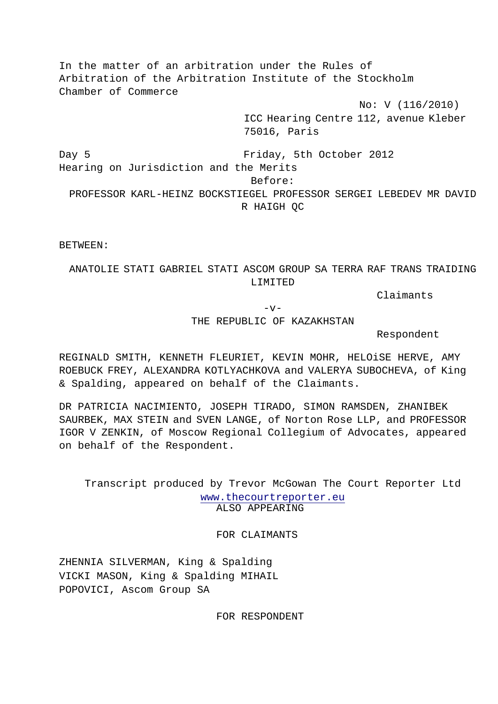In the matter of an arbitration under the Rules of Arbitration of the Arbitration Institute of the Stockholm Chamber of Commerce

No: V (116/2010)

ICC Hearing Centre 112, avenue Kleber 75016, Paris

Day 5 Friday, 5th October 2012 Hearing on Jurisdiction and the Merits Before: PROFESSOR KARL-HEINZ BOCKSTIEGEL PROFESSOR SERGEI LEBEDEV MR DAVID R HAIGH QC

BETWEEN:

# ANATOLIE STATI GABRIEL STATI ASCOM GROUP SA TERRA RAF TRANS TRAIDING LIMITED

Claimants

 $-v-$ 

THE REPUBLIC OF KAZAKHSTAN

Respondent

REGINALD SMITH, KENNETH FLEURIET, KEVIN MOHR, HELOiSE HERVE, AMY ROEBUCK FREY, ALEXANDRA KOTLYACHKOVA and VALERYA SUBOCHEVA, of King & Spalding, appeared on behalf of the Claimants.

DR PATRICIA NACIMIENTO, JOSEPH TIRADO, SIMON RAMSDEN, ZHANIBEK SAURBEK, MAX STEIN and SVEN LANGE, of Norton Rose LLP, and PROFESSOR IGOR V ZENKIN, of Moscow Regional Collegium of Advocates, appeared on behalf of the Respondent.

Transcript produced by Trevor McGowan The Court Reporter Ltd www.thecourtreporter.eu ALSO APPEARING

FOR CLAIMANTS

ZHENNIA SILVERMAN, King & Spalding VICKI MASON, King & Spalding MIHAIL POPOVICI, Ascom Group SA

FOR RESPONDENT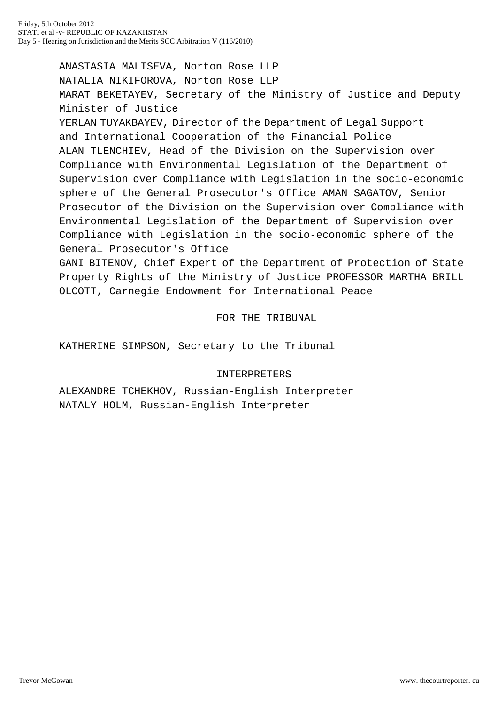ANASTASIA MALTSEVA, Norton Rose LLP NATALIA NIKIFOROVA, Norton Rose LLP MARAT BEKETAYEV, Secretary of the Ministry of Justice and Deputy Minister of Justice YERLAN TUYAKBAYEV, Director of the Department of Legal Support and International Cooperation of the Financial Police ALAN TLENCHIEV, Head of the Division on the Supervision over Compliance with Environmental Legislation of the Department of Supervision over Compliance with Legislation in the socio-economic sphere of the General Prosecutor's Office AMAN SAGATOV, Senior Prosecutor of the Division on the Supervision over Compliance with Environmental Legislation of the Department of Supervision over Compliance with Legislation in the socio-economic sphere of the General Prosecutor's Office

GANI BITENOV, Chief Expert of the Department of Protection of State Property Rights of the Ministry of Justice PROFESSOR MARTHA BRILL OLCOTT, Carnegie Endowment for International Peace

FOR THE TRIBUNAL

KATHERINE SIMPSON, Secretary to the Tribunal

# INTERPRETERS

ALEXANDRE TCHEKHOV, Russian-English Interpreter NATALY HOLM, Russian-English Interpreter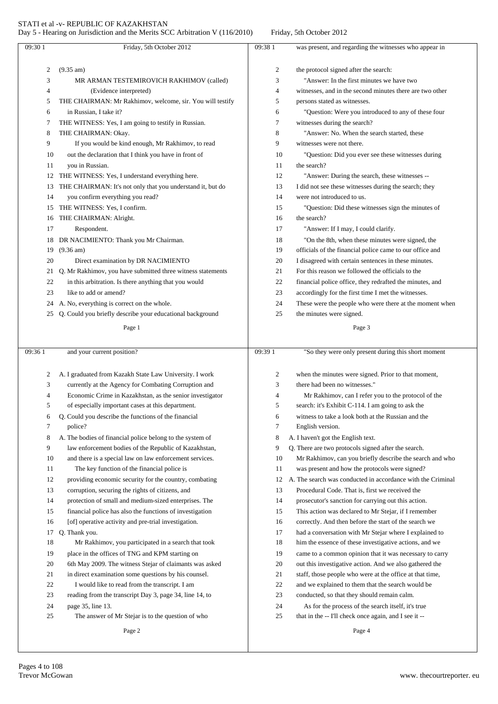| 09:30 1  | Friday, 5th October 2012                                                                                         | 09:38 1  | was present, and regarding the witnesses who appear in                                                         |
|----------|------------------------------------------------------------------------------------------------------------------|----------|----------------------------------------------------------------------------------------------------------------|
| 2        | $(9.35 \text{ am})$                                                                                              | 2        | the protocol signed after the search:                                                                          |
| 3        | MR ARMAN TESTEMIROVICH RAKHIMOV (called)                                                                         | 3        | "Answer: In the first minutes we have two                                                                      |
| 4        | (Evidence interpreted)                                                                                           | 4        | witnesses, and in the second minutes there are two other                                                       |
| 5        | THE CHAIRMAN: Mr Rakhimov, welcome, sir. You will testify                                                        | 5        | persons stated as witnesses.                                                                                   |
| 6        | in Russian, I take it?                                                                                           | 6        | "Question: Were you introduced to any of these four                                                            |
| 7        | THE WITNESS: Yes, I am going to testify in Russian.                                                              | 7        | witnesses during the search?                                                                                   |
| 8        | THE CHAIRMAN: Okay.                                                                                              | 8        | "Answer: No. When the search started, these                                                                    |
| 9        | If you would be kind enough, Mr Rakhimov, to read                                                                | 9        | witnesses were not there.                                                                                      |
|          |                                                                                                                  | 10       |                                                                                                                |
| 10       | out the declaration that I think you have in front of                                                            |          | "Question: Did you ever see these witnesses during                                                             |
| 11       | you in Russian.                                                                                                  | 11<br>12 | the search?                                                                                                    |
|          | 12 THE WITNESS: Yes, I understand everything here.                                                               |          | "Answer: During the search, these witnesses --                                                                 |
| 13       | THE CHAIRMAN: It's not only that you understand it, but do                                                       | 13       | I did not see these witnesses during the search; they                                                          |
| 14       | you confirm everything you read?                                                                                 | 14       | were not introduced to us.                                                                                     |
| 15       | THE WITNESS: Yes, I confirm.                                                                                     | 15       | "Question: Did these witnesses sign the minutes of                                                             |
| 16       | THE CHAIRMAN: Alright.                                                                                           | 16       | the search?                                                                                                    |
| 17       | Respondent.                                                                                                      | 17       | "Answer: If I may, I could clarify.                                                                            |
| 18       | DR NACIMIENTO: Thank you Mr Chairman.                                                                            | 18       | "On the 8th, when these minutes were signed, the                                                               |
| 19       | $(9.36 \text{ am})$                                                                                              | 19       | officials of the financial police came to our office and                                                       |
| 20       | Direct examination by DR NACIMIENTO                                                                              | 20       | I disagreed with certain sentences in these minutes.                                                           |
| 21       | Q. Mr Rakhimov, you have submitted three witness statements                                                      | 21       | For this reason we followed the officials to the                                                               |
| 22       | in this arbitration. Is there anything that you would                                                            | 22       | financial police office, they redrafted the minutes, and                                                       |
| 23       | like to add or amend?                                                                                            | 23       | accordingly for the first time I met the witnesses.                                                            |
| 24       | A. No, everything is correct on the whole.                                                                       | 24       | These were the people who were there at the moment when                                                        |
| 25       | Q. Could you briefly describe your educational background                                                        | 25       | the minutes were signed.                                                                                       |
|          | Page 1                                                                                                           |          | Page 3                                                                                                         |
|          |                                                                                                                  |          |                                                                                                                |
|          |                                                                                                                  |          |                                                                                                                |
| 09:361   | and your current position?                                                                                       | 09:39 1  | "So they were only present during this short moment                                                            |
|          |                                                                                                                  |          |                                                                                                                |
| 2        | A. I graduated from Kazakh State Law University. I work                                                          | 2        | when the minutes were signed. Prior to that moment,                                                            |
| 3        | currently at the Agency for Combating Corruption and                                                             | 3        | there had been no witnesses."                                                                                  |
| 4        | Economic Crime in Kazakhstan, as the senior investigator                                                         | 4        | Mr Rakhimov, can I refer you to the protocol of the                                                            |
| 5        | of especially important cases at this department.                                                                | 5        | search: it's Exhibit C-114. I am going to ask the                                                              |
| 6        | Q. Could you describe the functions of the financial                                                             | 6        | witness to take a look both at the Russian and the                                                             |
| 7        | police?                                                                                                          | 7        | English version.                                                                                               |
| 8        | A. The bodies of financial police belong to the system of                                                        | 8        | A. I haven't got the English text.                                                                             |
| 9        | law enforcement bodies of the Republic of Kazakhstan,                                                            | 9        | Q. There are two protocols signed after the search.                                                            |
| 10       | and there is a special law on law enforcement services.                                                          | 10       | Mr Rakhimov, can you briefly describe the search and who                                                       |
| 11<br>12 | The key function of the financial police is                                                                      | 11<br>12 | was present and how the protocols were signed?                                                                 |
| 13       | providing economic security for the country, combating                                                           |          | A. The search was conducted in accordance with the Criminal<br>Procedural Code. That is, first we received the |
| 14       | corruption, securing the rights of citizens, and                                                                 | 13<br>14 |                                                                                                                |
| 15       | protection of small and medium-sized enterprises. The                                                            | 15       | prosecutor's sanction for carrying out this action.<br>This action was declared to Mr Stejar, if I remember    |
| 16       | financial police has also the functions of investigation<br>[of] operative activity and pre-trial investigation. | 16       | correctly. And then before the start of the search we                                                          |
| 17       | Q. Thank you.                                                                                                    | 17       | had a conversation with Mr Stejar where I explained to                                                         |
| 18       | Mr Rakhimov, you participated in a search that took                                                              | 18       | him the essence of these investigative actions, and we                                                         |
| 19       | place in the offices of TNG and KPM starting on                                                                  | 19       | came to a common opinion that it was necessary to carry                                                        |
| 20       | 6th May 2009. The witness Stejar of claimants was asked                                                          | 20       | out this investigative action. And we also gathered the                                                        |
| 21       | in direct examination some questions by his counsel.                                                             | 21       | staff, those people who were at the office at that time,                                                       |
| 22       | I would like to read from the transcript. I am                                                                   | 22       | and we explained to them that the search would be                                                              |
| 23       | reading from the transcript Day 3, page 34, line 14, to                                                          | 23       | conducted, so that they should remain calm.                                                                    |
| 24       | page 35, line 13.                                                                                                | 24       | As for the process of the search itself, it's true                                                             |
| 25       | The answer of Mr Stejar is to the question of who                                                                | 25       | that in the -- I'll check once again, and I see it --                                                          |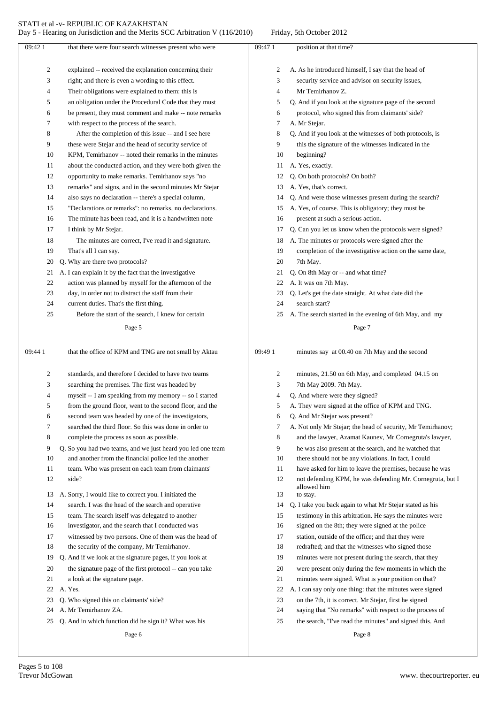| 09:42 1        | that there were four search witnesses present who were      | 09:47 1 | position at that time?                                               |
|----------------|-------------------------------------------------------------|---------|----------------------------------------------------------------------|
| 2              | explained -- received the explanation concerning their      | 2       | A. As he introduced himself, I say that the head of                  |
| 3              | right; and there is even a wording to this effect.          | 3       | security service and advisor on security issues,                     |
| 4              | Their obligations were explained to them: this is           | 4       | Mr Temirhanov Z.                                                     |
| 5              | an obligation under the Procedural Code that they must      | 5       | Q. And if you look at the signature page of the second               |
| 6              | be present, they must comment and make -- note remarks      | 6       | protocol, who signed this from claimants' side?                      |
| 7              | with respect to the process of the search.                  | 7       | A. Mr Stejar.                                                        |
| 8              | After the completion of this issue -- and I see here        | 8       | Q. And if you look at the witnesses of both protocols, is            |
| 9              | these were Stejar and the head of security service of       | 9       | this the signature of the witnesses indicated in the                 |
| 10             | KPM, Temirhanov -- noted their remarks in the minutes       | 10      | beginning?                                                           |
| 11             | about the conducted action, and they were both given the    | 11      | A. Yes, exactly.                                                     |
| 12             | opportunity to make remarks. Temirhanov says "no            | 12      | Q. On both protocols? On both?                                       |
| 13             | remarks" and signs, and in the second minutes Mr Stejar     | 13      | A. Yes, that's correct.                                              |
| 14             | also says no declaration -- there's a special column,       | 14      | Q. And were those witnesses present during the search?               |
| 15             | "Declarations or remarks": no remarks, no declarations.     | 15      | A. Yes, of course. This is obligatory; they must be                  |
| 16             | The minute has been read, and it is a handwritten note      | 16      | present at such a serious action.                                    |
| 17             | I think by Mr Stejar.                                       | 17      | Q. Can you let us know when the protocols were signed?               |
| 18             | The minutes are correct, I've read it and signature.        | 18      | A. The minutes or protocols were signed after the                    |
| 19             | That's all I can say.                                       | 19      | completion of the investigative action on the same date,             |
| 20             | Q. Why are there two protocols?                             | 20      | 7th May.                                                             |
| 21             | A. I can explain it by the fact that the investigative      | 21      | Q. On 8th May or -- and what time?                                   |
| 22             | action was planned by myself for the afternoon of the       | 22      | A. It was on 7th May.                                                |
| 23             | day, in order not to distract the staff from their          | 23      | Q. Let's get the date straight. At what date did the                 |
| 24             | current duties. That's the first thing.                     | 24      | search start?                                                        |
| 25             | Before the start of the search, I knew for certain          | 25      | A. The search started in the evening of 6th May, and my              |
|                | Page 5                                                      |         | Page 7                                                               |
|                |                                                             |         |                                                                      |
| 09:44 1        | that the office of KPM and TNG are not small by Aktau       | 09:49 1 | minutes say at 00.40 on 7th May and the second                       |
|                |                                                             |         |                                                                      |
| $\overline{c}$ | standards, and therefore I decided to have two teams        | 2       | minutes, 21.50 on 6th May, and completed 04.15 on                    |
| 3              |                                                             |         |                                                                      |
|                | searching the premises. The first was headed by             | 3       | 7th May 2009. 7th May.                                               |
| 4              | myself -- I am speaking from my memory -- so I started      | 4       | Q. And where were they signed?                                       |
| 5              | from the ground floor, went to the second floor, and the    | 5       | A. They were signed at the office of KPM and TNG.                    |
| 6              | second team was headed by one of the investigators,         | 6       | Q. And Mr Stejar was present?                                        |
| 7              | searched the third floor. So this was done in order to      | 7       | A. Not only Mr Stejar; the head of security, Mr Temirhanov;          |
| 8              | complete the process as soon as possible.                   | 8       | and the lawyer, Azamat Kaunev, Mr Cornegruta's lawyer,               |
| 9              | Q. So you had two teams, and we just heard you led one team | 9       | he was also present at the search, and he watched that               |
| 10             | and another from the financial police led the another       | 10      | there should not be any violations. In fact, I could                 |
| 11             | team. Who was present on each team from claimants'          | 11      | have asked for him to leave the premises, because he was             |
| 12             | side?                                                       | 12      | not defending KPM, he was defending Mr. Cornegruta, but I            |
| 13             | A. Sorry, I would like to correct you. I initiated the      | 13      | allowed him                                                          |
| 14             | search. I was the head of the search and operative          | 14      | to stay.<br>Q. I take you back again to what Mr Stejar stated as his |
| 15             | team. The search itself was delegated to another            | 15      | testimony in this arbitration. He says the minutes were              |
| 16             | investigator, and the search that I conducted was           | 16      | signed on the 8th; they were signed at the police                    |
| 17             | witnessed by two persons. One of them was the head of       | 17      | station, outside of the office; and that they were                   |
| 18             | the security of the company, Mr Temirhanov.                 | 18      | redrafted; and that the witnesses who signed those                   |
| 19             | Q. And if we look at the signature pages, if you look at    | 19      | minutes were not present during the search, that they                |
| 20             | the signature page of the first protocol -- can you take    | 20      | were present only during the few moments in which the                |
| 21             | a look at the signature page.                               | 21      | minutes were signed. What is your position on that?                  |
| 22             | A. Yes.                                                     | 22      | A. I can say only one thing: that the minutes were signed            |
| 23             | Q. Who signed this on claimants' side?                      | 23      | on the 7th, it is correct. Mr Stejar, first he signed                |
| 24             | A. Mr Temirhanov ZA.                                        | 24      | saying that "No remarks" with respect to the process of              |
| 25             | Q. And in which function did he sign it? What was his       | 25      | the search, "I've read the minutes" and signed this. And             |
|                | Page 6                                                      |         | Page 8                                                               |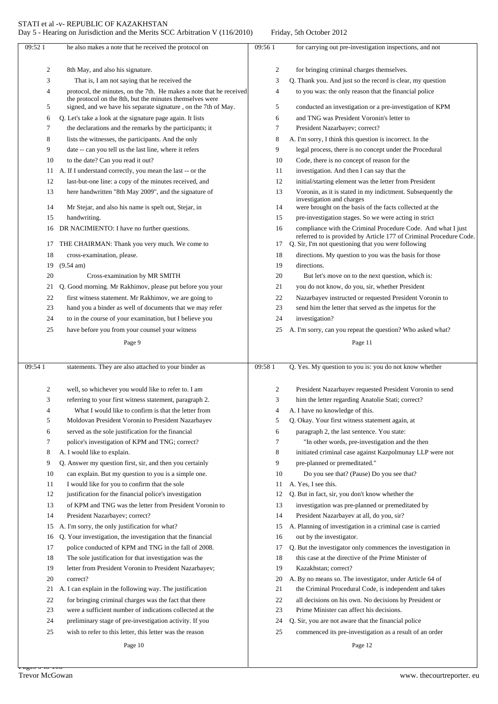| 09:52 1        | he also makes a note that he received the protocol on                                                                       | 09:56 1        | for carrying out pre-investigation inspections, and not                                                                           |
|----------------|-----------------------------------------------------------------------------------------------------------------------------|----------------|-----------------------------------------------------------------------------------------------------------------------------------|
| $\overline{c}$ | 8th May, and also his signature.                                                                                            | 2              | for bringing criminal charges themselves.                                                                                         |
| 3              | That is, I am not saying that he received the                                                                               | 3              | Q. Thank you. And just so the record is clear, my question                                                                        |
| 4              | protocol, the minutes, on the 7th. He makes a note that he received                                                         | 4              | to you was: the only reason that the financial police                                                                             |
| 5              | the protocol on the 8th, but the minutes themselves were<br>signed, and we have his separate signature , on the 7th of May. | 5              | conducted an investigation or a pre-investigation of KPM                                                                          |
| 6              | Q. Let's take a look at the signature page again. It lists                                                                  | 6              | and TNG was President Voronin's letter to                                                                                         |
| 7              | the declarations and the remarks by the participants; it                                                                    | 7              | President Nazarbayev; correct?                                                                                                    |
| 8              | lists the witnesses, the participants. And the only                                                                         | 8              | A. I'm sorry, I think this question is incorrect. In the                                                                          |
| 9              | date -- can you tell us the last line, where it refers                                                                      | 9              | legal process, there is no concept under the Procedural                                                                           |
| 10             | to the date? Can you read it out?                                                                                           | 10             | Code, there is no concept of reason for the                                                                                       |
| 11             | A. If I understand correctly, you mean the last -- or the                                                                   | 11             | investigation. And then I can say that the                                                                                        |
| 12             | last-but-one line: a copy of the minutes received, and                                                                      | 12             | initial/starting element was the letter from President                                                                            |
| 13             | here handwritten "8th May 2009", and the signature of                                                                       | 13             | Voronin, as it is stated in my indictment. Subsequently the                                                                       |
|                |                                                                                                                             |                | investigation and charges                                                                                                         |
| 14             | Mr Stejar, and also his name is spelt out, Stejar, in                                                                       | 14             | were brought on the basis of the facts collected at the                                                                           |
| 15             | handwriting.                                                                                                                | 15             | pre-investigation stages. So we were acting in strict                                                                             |
| 16             | DR NACIMIENTO: I have no further questions.                                                                                 | 16             | compliance with the Criminal Procedure Code. And what I just<br>referred to is provided by Article 177 of Criminal Procedure Code |
| 17             | THE CHAIRMAN: Thank you very much. We come to                                                                               | 17             | Q. Sir, I'm not questioning that you were following                                                                               |
| 18             | cross-examination, please.                                                                                                  | 18             | directions. My question to you was the basis for those                                                                            |
| 19             | $(9.54 \text{ am})$                                                                                                         | 19             | directions.                                                                                                                       |
| 20             | Cross-examination by MR SMITH                                                                                               | 20             | But let's move on to the next question, which is:                                                                                 |
| 21             | Q. Good morning. Mr Rakhimov, please put before you your                                                                    | 21             | you do not know, do you, sir, whether President                                                                                   |
| 22             | first witness statement. Mr Rakhimov, we are going to                                                                       | 22             | Nazarbayev instructed or requested President Voronin to                                                                           |
| 23             | hand you a binder as well of documents that we may refer                                                                    | 23             | send him the letter that served as the impetus for the                                                                            |
| 24             | to in the course of your examination, but I believe you                                                                     | 24             | investigation?                                                                                                                    |
| 25             | have before you from your counsel your witness                                                                              | 25             | A. I'm sorry, can you repeat the question? Who asked what?                                                                        |
|                | Page 9                                                                                                                      |                | Page 11                                                                                                                           |
|                |                                                                                                                             |                |                                                                                                                                   |
| 09:54 1        | statements. They are also attached to your binder as                                                                        | 09:58 1        | Q. Yes. My question to you is: you do not know whether                                                                            |
| $\overline{c}$ | well, so whichever you would like to refer to. I am                                                                         | $\overline{c}$ |                                                                                                                                   |
|                | referring to your first witness statement, paragraph 2.                                                                     | 3              | President Nazarbayev requested President Voronin to send                                                                          |
| 3              |                                                                                                                             |                | him the letter regarding Anatolie Stati; correct?                                                                                 |
| 4              | What I would like to confirm is that the letter from                                                                        | 4              | A. I have no knowledge of this.                                                                                                   |
| 5              | Moldovan President Voronin to President Nazarbayev                                                                          | 5              | Q. Okay. Your first witness statement again, at                                                                                   |
| 6              | served as the sole justification for the financial                                                                          | 6              | paragraph 2, the last sentence. You state:                                                                                        |
| 7              | police's investigation of KPM and TNG; correct?                                                                             | 7              | "In other words, pre-investigation and the then                                                                                   |
| 8              | A. I would like to explain.                                                                                                 | 8              | initiated criminal case against Kazpolmunay LLP were not                                                                          |
| 9              | Q. Answer my question first, sir, and then you certainly                                                                    | 9              | pre-planned or premeditated."                                                                                                     |
| 10             | can explain. But my question to you is a simple one.                                                                        | 10             | Do you see that? (Pause) Do you see that?                                                                                         |
| 11             | I would like for you to confirm that the sole                                                                               | 11             | A. Yes, I see this.                                                                                                               |
| 12             | justification for the financial police's investigation                                                                      | 12             | Q. But in fact, sir, you don't know whether the                                                                                   |
| 13             | of KPM and TNG was the letter from President Voronin to                                                                     | 13             | investigation was pre-planned or premeditated by                                                                                  |
| 14             | President Nazarbayev; correct?                                                                                              | 14             | President Nazarbayev at all, do you, sir?                                                                                         |
| 15             | A. I'm sorry, the only justification for what?                                                                              | 15             | A. Planning of investigation in a criminal case is carried                                                                        |
| 16             | Q. Your investigation, the investigation that the financial                                                                 | 16             | out by the investigator.                                                                                                          |
| 17             | police conducted of KPM and TNG in the fall of 2008.                                                                        | 17             | Q. But the investigator only commences the investigation in                                                                       |
| 18             | The sole justification for that investigation was the                                                                       | 18             | this case at the directive of the Prime Minister of                                                                               |
| 19             | letter from President Voronin to President Nazarbayev;                                                                      | 19             | Kazakhstan; correct?                                                                                                              |
| 20             | correct?                                                                                                                    | 20             | A. By no means so. The investigator, under Article 64 of                                                                          |
| 21             | A. I can explain in the following way. The justification                                                                    | 21             | the Criminal Procedural Code, is independent and takes                                                                            |
| 22             | for bringing criminal charges was the fact that there                                                                       | 22             | all decisions on his own. No decisions by President or                                                                            |
| 23             | were a sufficient number of indications collected at the                                                                    | 23             | Prime Minister can affect his decisions.                                                                                          |
| 24             | preliminary stage of pre-investigation activity. If you                                                                     | 24             | Q. Sir, you are not aware that the financial police                                                                               |
| 25             | wish to refer to this letter, this letter was the reason                                                                    | 25             | commenced its pre-investigation as a result of an order                                                                           |
|                | Page 10                                                                                                                     |                | Page 12                                                                                                                           |
|                |                                                                                                                             |                |                                                                                                                                   |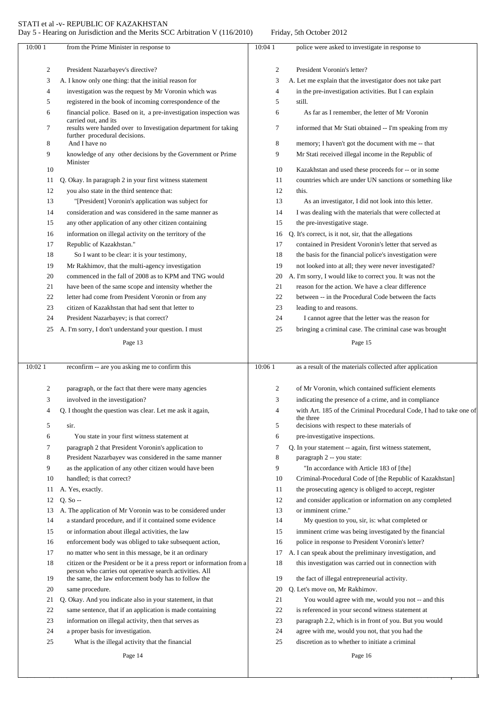Day 5 - Hearing on Jurisdiction and the Merits SCC Arbitration V (116/2010) Friday, 5th October 2012

| 10:001 | from the Prime Minister in response to                | 10:041 | police were asked to investigate in response to            |
|--------|-------------------------------------------------------|--------|------------------------------------------------------------|
|        | President Nazarbayev's directive?                     |        | President Voronin's letter?                                |
| 3      | A. I know only one thing: that the initial reason for |        | A. Let me explain that the investigator does not take part |
|        | investigation was the request by Mr Voronin which was |        | in the pre-investigation activities. But I can explain     |

6 As far as I remember, the letter of Mr Voronin

9 Mr Stati received illegal income in the Republic of

7 informed that Mr Stati obtained -- I'm speaking from my

- 5 registered in the book of incoming correspondence of the 5 still.
- 6 financial police. Based on it, a pre-investigation inspection was carried out, and its
- 7 results were handed over to Investigation department for taking further procedural decisions.<br>And I have no
- 8 And I have no 8 memory: I haven't got the document with me -- that
- 9 knowledge of any other decisions by the Government or Prime Minister 10 10 Kazakhstan and used these proceeds for -- or in some
- 
- 11 Q. Okay. In paragraph 2 in your first witness statement 11 countries which are under UN sanctions or something like 12 you also state in the third sentence that: 12 this.
- 13 "[President] Voronin's application was subject for 13 As an investigator, I did not look into this letter.
- 14 consideration and was considered in the same manner as 14 I was dealing with the materials that were collected at
- 15 any other application of any other citizen containing 15 the pre-investigative stage.
- 16 information on illegal activity on the territory of the 16 Q. It's correct, is it not, sir, that the allegations
- 17 Republic of Kazakhstan." 17 contained in President Voronin's letter that served as
- 18 So I want to be clear: it is your testimony, 18 the basis for the financial police's investigation were
- 19 Mr Rakhimov, that the multi-agency investigation 19 not looked into at all; they were never investigated?
- 20 commenced in the fall of 2008 as to KPM and TNG would 20 A. I'm sorry, I would like to correct you. It was not the
- 21 have been of the same scope and intensity whether the 21 reason for the action. We have a clear difference
- 22 letter had come from President Voronin or from any 22 between -- in the Procedural Code between the facts
- 23 citizen of Kazakhstan that had sent that letter to 23 leading to and reasons.
- 24 President Nazarbayev; is that correct? 24 I cannot agree that the letter was the reason for
- 25 A. I'm sorry, I don't understand your question. I must 25 bringing a criminal case. The criminal case was brought
	- Page 13 Page 15 Page 15

| 10:02 1        | reconfirm -- are you asking me to confirm this                                                                                    | 10:06 1        | as a result of the materials collected after application                         |
|----------------|-----------------------------------------------------------------------------------------------------------------------------------|----------------|----------------------------------------------------------------------------------|
| $\overline{2}$ | paragraph, or the fact that there were many agencies                                                                              | 2              | of Mr Voronin, which contained sufficient elements                               |
| 3              | involved in the investigation?                                                                                                    | 3              | indicating the presence of a crime, and in compliance                            |
| 4              | Q. I thought the question was clear. Let me ask it again,                                                                         | $\overline{4}$ | with Art. 185 of the Criminal Procedural Code, I had to take one of<br>the three |
| 5              | sir.                                                                                                                              | 5              | decisions with respect to these materials of                                     |
| 6              | You state in your first witness statement at                                                                                      | 6              | pre-investigative inspections.                                                   |
| 7              | paragraph 2 that President Voronin's application to                                                                               | 7              | Q. In your statement -- again, first witness statement,                          |
| 8              | President Nazarbayev was considered in the same manner                                                                            | 8              | paragraph 2 -- you state:                                                        |
| 9              | as the application of any other citizen would have been                                                                           | 9              | "In accordance with Article 183 of [the]                                         |
| 10             | handled; is that correct?                                                                                                         | 10             | Criminal-Procedural Code of [the Republic of Kazakhstan]                         |
| 11             | A. Yes, exactly.                                                                                                                  | 11             | the prosecuting agency is obliged to accept, register                            |
| 12             | $0.50 -$                                                                                                                          | 12             | and consider application or information on any completed                         |
| 13             | A. The application of Mr Voronin was to be considered under                                                                       | 13             | or imminent crime."                                                              |
| 14             | a standard procedure, and if it contained some evidence                                                                           | 14             | My question to you, sir, is: what completed or                                   |
| 15             | or information about illegal activities, the law                                                                                  | 15             | imminent crime was being investigated by the financial                           |
| 16             | enforcement body was obliged to take subsequent action,                                                                           | 16             | police in response to President Voronin's letter?                                |
| 17             | no matter who sent in this message, be it an ordinary                                                                             | 17             | A. I can speak about the preliminary investigation, and                          |
| 18             | citizen or the President or be it a press report or information from a<br>person who carries out operative search activities. All | 18             | this investigation was carried out in connection with                            |
| 19             | the same, the law enforcement body has to follow the                                                                              | 19             | the fact of illegal entrepreneurial activity.                                    |
| 20             | same procedure.                                                                                                                   | 20             | Q. Let's move on, Mr Rakhimov.                                                   |
| 21             | Q. Okay. And you indicate also in your statement, in that                                                                         | 21             | You would agree with me, would you not -- and this                               |
| 22             | same sentence, that if an application is made containing                                                                          | 22             | is referenced in your second witness statement at                                |
| 23             | information on illegal activity, then that serves as                                                                              | 23             | paragraph 2.2, which is in front of you. But you would                           |
| 24             | a proper basis for investigation.                                                                                                 | 24             | agree with me, would you not, that you had the                                   |
| 25             | What is the illegal activity that the financial                                                                                   | 25             | discretion as to whether to initiate a criminal                                  |
|                | Page 14                                                                                                                           |                | Page 16                                                                          |

Trevor McGowan www. thecourtreporter. The courtreporter of the courtreporter of the courtreporter. The courtre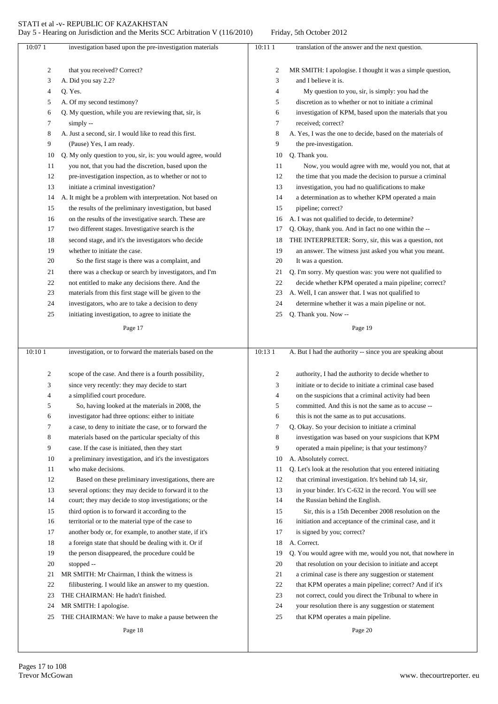| 10:071         | investigation based upon the pre-investigation materials    | 10:11 1                 | translation of the answer and the next question.            |
|----------------|-------------------------------------------------------------|-------------------------|-------------------------------------------------------------|
| 2              | that you received? Correct?                                 | $\overline{\mathbf{c}}$ | MR SMITH: I apologise. I thought it was a simple question,  |
| 3              | A. Did you say 2.2?                                         | 3                       | and I believe it is.                                        |
| 4              | Q. Yes.                                                     | 4                       | My question to you, sir, is simply: you had the             |
| 5              | A. Of my second testimony?                                  | 5                       | discretion as to whether or not to initiate a criminal      |
| 6              | Q. My question, while you are reviewing that, sir, is       | 6                       | investigation of KPM, based upon the materials that you     |
| 7              | simply --                                                   | 7                       | received; correct?                                          |
| 8              | A. Just a second, sir. I would like to read this first.     | 8                       | A. Yes, I was the one to decide, based on the materials of  |
| 9              | (Pause) Yes, I am ready.                                    | 9                       | the pre-investigation.                                      |
| 10             | Q. My only question to you, sir, is: you would agree, would | 10                      | Q. Thank you.                                               |
| 11             | you not, that you had the discretion, based upon the        | 11                      | Now, you would agree with me, would you not, that at        |
| 12             | pre-investigation inspection, as to whether or not to       | 12                      | the time that you made the decision to pursue a criminal    |
| 13             | initiate a criminal investigation?                          | 13                      | investigation, you had no qualifications to make            |
| 14             | A. It might be a problem with interpretation. Not based on  | 14                      | a determination as to whether KPM operated a main           |
| 15             | the results of the preliminary investigation, but based     | 15                      | pipeline; correct?                                          |
| 16             | on the results of the investigative search. These are       | 16                      | A. I was not qualified to decide, to determine?             |
| 17             | two different stages. Investigative search is the           | 17                      | Q. Okay, thank you. And in fact no one within the --        |
| 18             | second stage, and it's the investigators who decide         | 18                      | THE INTERPRETER: Sorry, sir, this was a question, not       |
| 19             | whether to initiate the case.                               | 19                      | an answer. The witness just asked you what you meant.       |
| 20             | So the first stage is there was a complaint, and            | 20                      | It was a question.                                          |
| 21             | there was a checkup or search by investigators, and I'm     | 21                      | Q. I'm sorry. My question was: you were not qualified to    |
| 22             | not entitled to make any decisions there. And the           | 22                      | decide whether KPM operated a main pipeline; correct?       |
| $23\,$         | materials from this first stage will be given to the        | 23                      | A. Well, I can answer that. I was not qualified to          |
| 24             | investigators, who are to take a decision to deny           | 24                      | determine whether it was a main pipeline or not.            |
| 25             | initiating investigation, to agree to initiate the          | 25                      | Q. Thank you. Now --                                        |
|                | Page 17                                                     |                         | Page 19                                                     |
| 10:10 1        | investigation, or to forward the materials based on the     | 10:13 1                 | A. But I had the authority -- since you are speaking about  |
| $\overline{c}$ | scope of the case. And there is a fourth possibility,       | 2                       | authority, I had the authority to decide whether to         |
| 3              | since very recently: they may decide to start               | 3                       | initiate or to decide to initiate a criminal case based     |
| $\overline{4}$ | a simplified court procedure.                               | $\overline{4}$          | on the suspicions that a criminal activity had been         |
| 5              | So, having looked at the materials in 2008, the             | 5                       | committed. And this is not the same as to accuse --         |
| 6              | investigator had three options: either to initiate          | 6                       | this is not the same as to put accusations.                 |
| 7              | a case, to deny to initiate the case, or to forward the     | 7                       | Q. Okay. So your decision to initiate a criminal            |
| 8              | materials based on the particular specialty of this         | 8                       | investigation was based on your suspicions that KPM         |
| 9              | case. If the case is initiated, then they start             | 9                       | operated a main pipeline; is that your testimony?           |
| 10             | a preliminary investigation, and it's the investigators     | 10                      | A. Absolutely correct.                                      |
| 11             | who make decisions.                                         | 11                      | Q. Let's look at the resolution that you entered initiating |
| 12             | Based on these preliminary investigations, there are        | 12                      | that criminal investigation. It's behind tab 14, sir,       |
| 13             | several options: they may decide to forward it to the       | 13                      | in your binder. It's C-632 in the record. You will see      |
| 14             | court; they may decide to stop investigations; or the       | 14                      | the Russian behind the English.                             |
| 15             | third option is to forward it according to the              | 15                      | Sir, this is a 15th December 2008 resolution on the         |
| 16             | territorial or to the material type of the case to          | 16                      | initiation and acceptance of the criminal case, and it      |
| 17             | another body or, for example, to another state, if it's     | 17                      | is signed by you; correct?                                  |
| 18             | a foreign state that should be dealing with it. Or if       | 18                      | A. Correct.                                                 |
| 19             | the person disappeared, the procedure could be              | 19                      | Q. You would agree with me, would you not, that nowhere in  |
| $20\,$         | stopped --                                                  | 20                      | that resolution on your decision to initiate and accept     |
| 21             | MR SMITH: Mr Chairman, I think the witness is               | 21                      | a criminal case is there any suggestion or statement        |
| 22             | filibustering. I would like an answer to my question.       | 22                      | that KPM operates a main pipeline; correct? And if it's     |
| 23             | THE CHAIRMAN: He hadn't finished.                           | 23                      | not correct, could you direct the Tribunal to where in      |
| 24             | MR SMITH: I apologise.                                      | 24                      | your resolution there is any suggestion or statement        |
| 25             | THE CHAIRMAN: We have to make a pause between the           | 25                      | that KPM operates a main pipeline.                          |
|                | Page 18                                                     |                         | Page 20                                                     |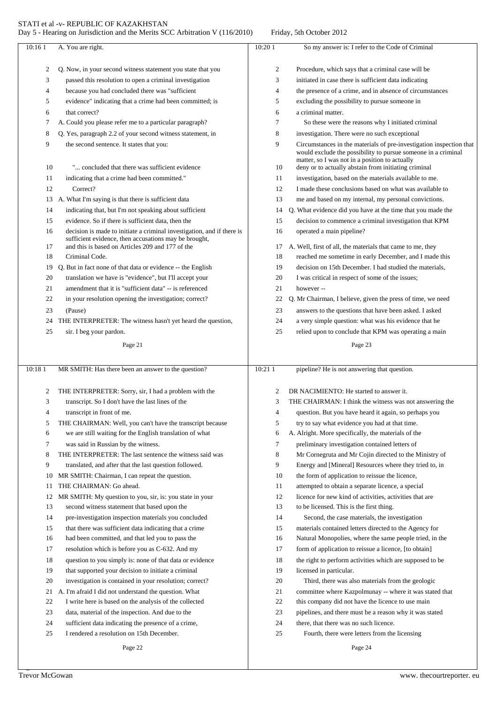Day 5 - Hearing on Jurisdiction and the Merits SCC Arbitration V (116/2010) Friday, 5th October 2012

| 10:161         | A. You are right.                                                                                                               | 10:201         | So my answer is: I refer to the Code of Criminal                                                                                                                                       |
|----------------|---------------------------------------------------------------------------------------------------------------------------------|----------------|----------------------------------------------------------------------------------------------------------------------------------------------------------------------------------------|
| 2              | Q. Now, in your second witness statement you state that you                                                                     | 2              | Procedure, which says that a criminal case will be                                                                                                                                     |
| 3              | passed this resolution to open a criminal investigation                                                                         | 3              | initiated in case there is sufficient data indicating                                                                                                                                  |
| $\overline{4}$ | because you had concluded there was "sufficient                                                                                 | $\overline{4}$ | the presence of a crime, and in absence of circumstances                                                                                                                               |
| 5              | evidence" indicating that a crime had been committed; is                                                                        | 5              | excluding the possibility to pursue someone in                                                                                                                                         |
| 6              | that correct?                                                                                                                   | 6              | a criminal matter.                                                                                                                                                                     |
| 7              | A. Could you please refer me to a particular paragraph?                                                                         | 7              | So these were the reasons why I initiated criminal                                                                                                                                     |
| 8              | Q. Yes, paragraph 2.2 of your second witness statement, in                                                                      | 8              | investigation. There were no such exceptional                                                                                                                                          |
| 9              | the second sentence. It states that you:                                                                                        | 9              | Circumstances in the materials of pre-investigation inspection that<br>would exclude the possibility to pursue someone in a criminal<br>matter, so I was not in a position to actually |
| 10             | " concluded that there was sufficient evidence                                                                                  | 10             | deny or to actually abstain from initiating criminal                                                                                                                                   |
| 11             | indicating that a crime had been committed."                                                                                    | 11             | investigation, based on the materials available to me.                                                                                                                                 |
| 12             | Correct?                                                                                                                        | 12             | I made these conclusions based on what was available to                                                                                                                                |
| 13             | A. What I'm saying is that there is sufficient data                                                                             | 13             | me and based on my internal, my personal convictions.                                                                                                                                  |
| 14             | indicating that, but I'm not speaking about sufficient                                                                          | 14             | Q. What evidence did you have at the time that you made the                                                                                                                            |
| 15             | evidence. So if there is sufficient data, then the                                                                              | 15             | decision to commence a criminal investigation that KPM                                                                                                                                 |
| 16             | decision is made to initiate a criminal investigation, and if there is<br>sufficient evidence, then accusations may be brought, | 16             | operated a main pipeline?                                                                                                                                                              |
| 17             | and this is based on Articles 209 and 177 of the                                                                                | 17             | A. Well, first of all, the materials that came to me, they                                                                                                                             |
| 18             | Criminal Code.                                                                                                                  | 18             | reached me sometime in early December, and I made this                                                                                                                                 |
| 19             | Q. But in fact none of that data or evidence -- the English                                                                     | 19             | decision on 15th December. I had studied the materials,                                                                                                                                |
| 20             | translation we have is "evidence", but I'll accept your                                                                         | 20             | I was critical in respect of some of the issues;                                                                                                                                       |
| 21             | amendment that it is "sufficient data" -- is referenced                                                                         | 21             | however-                                                                                                                                                                               |
|                |                                                                                                                                 |                |                                                                                                                                                                                        |

22 in your resolution opening the investigation; correct? 22 Q. Mr Chairman, I believe, given the press of time, we need 23 (Pause) 23 answers to the questions that have been asked. I asked

24 THE INTERPRETER: The witness hasn't yet heard the question, 24 a very simple question: what was his evidence that he

25 sir. I beg your pardon. 25 relied upon to conclude that KPM was operating a main

| 10:181 | MR SMITH: Has there been an answer to the question?       | 10:21 1        | pipeline? He is not answering that question.             |
|--------|-----------------------------------------------------------|----------------|----------------------------------------------------------|
|        |                                                           |                |                                                          |
| 2      | THE INTERPRETER: Sorry, sir, I had a problem with the     | 2              | DR NACIMIENTO: He started to answer it.                  |
| 3      | transcript. So I don't have the last lines of the         | 3              | THE CHAIRMAN: I think the witness was not answering the  |
| 4      | transcript in front of me.                                | $\overline{4}$ | question. But you have heard it again, so perhaps you    |
| 5      | THE CHAIRMAN: Well, you can't have the transcript because | 5              | try to say what evidence you had at that time.           |
| 6      | we are still waiting for the English translation of what  | 6              | A. Alright. More specifically, the materials of the      |
| 7      | was said in Russian by the witness.                       | 7              | preliminary investigation contained letters of           |
| 8      | THE INTERPRETER: The last sentence the witness said was   | 8              | Mr Cornegruta and Mr Cojin directed to the Ministry of   |
| 9      | translated, and after that the last question followed.    | 9              | Energy and [Mineral] Resources where they tried to, in   |
| 10     | MR SMITH: Chairman, I can repeat the question.            | 10             | the form of application to reissue the licence,          |
| 11     | THE CHAIRMAN: Go ahead.                                   | 11             | attempted to obtain a separate licence, a special        |
| 12     | MR SMITH: My question to you, sir, is: you state in your  | 12             | licence for new kind of activities, activities that are  |
| 13     | second witness statement that based upon the              | 13             | to be licensed. This is the first thing.                 |
| 14     | pre-investigation inspection materials you concluded      | 14             | Second, the case materials, the investigation            |
| 15     | that there was sufficient data indicating that a crime    | 15             | materials contained letters directed to the Agency for   |
| 16     | had been committed, and that led you to pass the          | 16             | Natural Monopolies, where the same people tried, in the  |
| 17     | resolution which is before you as C-632. And my           | 17             | form of application to reissue a licence, [to obtain]    |
| 18     | question to you simply is: none of that data or evidence  | 18             | the right to perform activities which are supposed to be |
| 19     | that supported your decision to initiate a criminal       | 19             | licensed in particular.                                  |
| 20     | investigation is contained in your resolution; correct?   | 20             | Third, there was also materials from the geologic        |
| 21     | A. I'm afraid I did not understand the question. What     | 21             | committee where Kazpolmunay -- where it was stated that  |
| 22     | I write here is based on the analysis of the collected    | 22             | this company did not have the licence to use main        |
| 23     | data, material of the inspection. And due to the          | 23             | pipelines, and there must be a reason why it was stated  |
| 24     | sufficient data indicating the presence of a crime,       | 24             | there, that there was no such licence.                   |
| 25     | I rendered a resolution on 15th December.                 | 25             | Fourth, there were letters from the licensing            |
|        | Page 22                                                   |                | Page 24                                                  |

Page 21 Page 23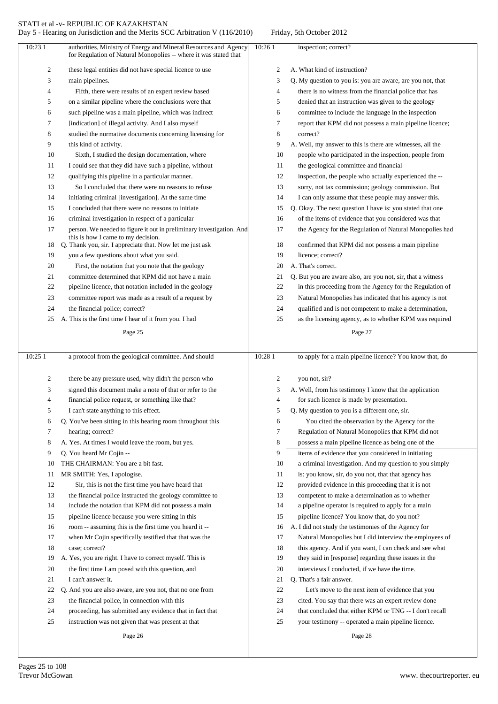| 10:23 1        | authorities, Ministry of Energy and Mineral Resources and Agency<br>for Regulation of Natural Monopolies -- where it was stated that | 10:26 1 | inspection; correct?                                        |
|----------------|--------------------------------------------------------------------------------------------------------------------------------------|---------|-------------------------------------------------------------|
| $\overline{c}$ | these legal entities did not have special licence to use                                                                             | 2       | A. What kind of instruction?                                |
| 3              | main pipelines.                                                                                                                      | 3       | Q. My question to you is: you are aware, are you not, that  |
| 4              | Fifth, there were results of an expert review based                                                                                  | 4       | there is no witness from the financial police that has      |
| 5              | on a similar pipeline where the conclusions were that                                                                                | 5       | denied that an instruction was given to the geology         |
| 6              | such pipeline was a main pipeline, which was indirect                                                                                | 6       | committee to include the language in the inspection         |
| 7              | [indication] of illegal activity. And I also myself                                                                                  | 7       | report that KPM did not possess a main pipeline licence;    |
| 8              | studied the normative documents concerning licensing for                                                                             | 8       | correct?                                                    |
| 9              | this kind of activity.                                                                                                               | 9       | A. Well, my answer to this is there are witnesses, all the  |
| 10             | Sixth, I studied the design documentation, where                                                                                     | 10      | people who participated in the inspection, people from      |
| 11             | I could see that they did have such a pipeline, without                                                                              | 11      | the geological committee and financial                      |
| 12             | qualifying this pipeline in a particular manner.                                                                                     | 12      | inspection, the people who actually experienced the --      |
| 13             | So I concluded that there were no reasons to refuse                                                                                  | 13      | sorry, not tax commission; geology commission. But          |
| 14             | initiating criminal [investigation]. At the same time                                                                                | 14      | I can only assume that these people may answer this.        |
| 15             | I concluded that there were no reasons to initiate                                                                                   | 15      | Q. Okay. The next question I have is: you stated that one   |
| 16             | criminal investigation in respect of a particular                                                                                    | 16      | of the items of evidence that you considered was that       |
| 17             | person. We needed to figure it out in preliminary investigation. And<br>this is how I came to my decision.                           | 17      | the Agency for the Regulation of Natural Monopolies had     |
| 18             | Q. Thank you, sir. I appreciate that. Now let me just ask                                                                            | 18      | confirmed that KPM did not possess a main pipeline          |
| 19             | you a few questions about what you said.                                                                                             | 19      | licence; correct?                                           |
| 20             | First, the notation that you note that the geology                                                                                   | 20      | A. That's correct.                                          |
| 21             | committee determined that KPM did not have a main                                                                                    | 21      | Q. But you are aware also, are you not, sir, that a witness |
| 22             | pipeline licence, that notation included in the geology                                                                              | 22      | in this proceeding from the Agency for the Regulation of    |
| 23             | committee report was made as a result of a request by                                                                                | 23      | Natural Monopolies has indicated that his agency is not     |
| 24             | the financial police; correct?                                                                                                       | 24      | qualified and is not competent to make a determination,     |
| 25             | A. This is the first time I hear of it from you. I had                                                                               | 25      | as the licensing agency, as to whether KPM was required     |
|                | Page 25                                                                                                                              |         | Page 27                                                     |
| 10:25 1        | a protocol from the geological committee. And should                                                                                 | 10:28 1 | to apply for a main pipeline licence? You know that, do     |
|                |                                                                                                                                      |         |                                                             |
|                |                                                                                                                                      |         |                                                             |
| $\overline{c}$ | there be any pressure used, why didn't the person who                                                                                | 2       | you not, sir?                                               |
| 3              | signed this document make a note of that or refer to the                                                                             | 3       | A. Well, from his testimony I know that the application     |
| $\overline{4}$ | financial police request, or something like that?                                                                                    | 4       | for such licence is made by presentation.                   |
| 5              | I can't state anything to this effect.                                                                                               | 5       | Q. My question to you is a different one, sir.              |
| 6              | Q. You've been sitting in this hearing room throughout this                                                                          | 6       | You cited the observation by the Agency for the             |
| 7              | hearing; correct?                                                                                                                    | 7       | Regulation of Natural Monopolies that KPM did not           |
| 8              | A. Yes. At times I would leave the room, but yes.                                                                                    | 8       | possess a main pipeline licence as being one of the         |
| 9              | Q. You heard Mr Cojin --                                                                                                             | 9       | items of evidence that you considered in initiating         |
| 10             | THE CHAIRMAN: You are a bit fast.                                                                                                    | $10\,$  | a criminal investigation. And my question to you simply     |
| 11             | MR SMITH: Yes, I apologise.                                                                                                          | 11      | is: you know, sir, do you not, that that agency has         |
| 12             | Sir, this is not the first time you have heard that                                                                                  | 12      | provided evidence in this proceeding that it is not         |
| 13             | the financial police instructed the geology committee to                                                                             | 13      | competent to make a determination as to whether             |
| 14             | include the notation that KPM did not possess a main                                                                                 | 14      | a pipeline operator is required to apply for a main         |
| 15             | pipeline licence because you were sitting in this                                                                                    | 15      | pipeline licence? You know that, do you not?                |
| 16             | room -- assuming this is the first time you heard it --                                                                              | 16      | A. I did not study the testimonies of the Agency for        |
| 17             | when Mr Cojin specifically testified that that was the                                                                               | 17      | Natural Monopolies but I did interview the employees of     |
| 18             | case; correct?                                                                                                                       | 18      | this agency. And if you want, I can check and see what      |
| 19             | A. Yes, you are right. I have to correct myself. This is                                                                             | 19      | they said in [response] regarding these issues in the       |
| 20             | the first time I am posed with this question, and                                                                                    | 20      | interviews I conducted, if we have the time.                |
| 21             | I can't answer it.                                                                                                                   | 21      | Q. That's a fair answer.                                    |
| 22             | Q. And you are also aware, are you not, that no one from                                                                             | 22      | Let's move to the next item of evidence that you            |
| 23             | the financial police, in connection with this                                                                                        | 23      | cited. You say that there was an expert review done         |
| 24             | proceeding, has submitted any evidence that in fact that                                                                             | 24      | that concluded that either KPM or TNG -- I don't recall     |
| 25             | instruction was not given that was present at that                                                                                   | 25      | your testimony -- operated a main pipeline licence.         |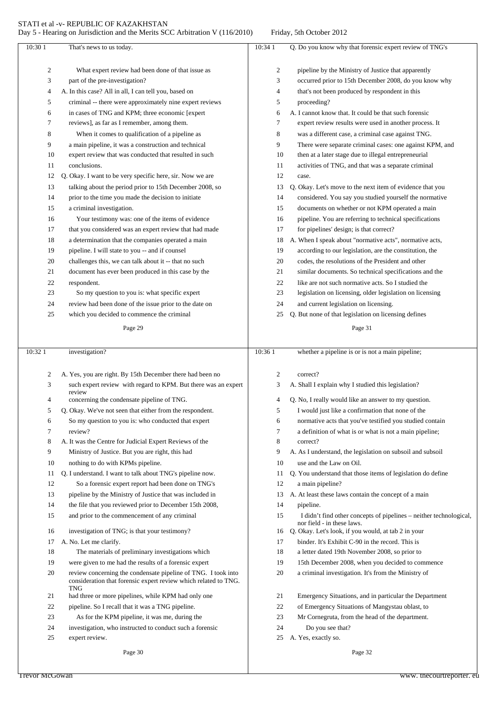| 10:30 1  | That's news to us today.                                                                                                                                                                                | 10:34 1        | Q. Do you know why that forensic expert review of TNG's                                                 |
|----------|---------------------------------------------------------------------------------------------------------------------------------------------------------------------------------------------------------|----------------|---------------------------------------------------------------------------------------------------------|
| 2        | What expert review had been done of that issue as                                                                                                                                                       | $\overline{2}$ | pipeline by the Ministry of Justice that apparently                                                     |
| 3        | part of the pre-investigation?                                                                                                                                                                          | 3              | occurred prior to 15th December 2008, do you know why                                                   |
| 4        | A. In this case? All in all, I can tell you, based on                                                                                                                                                   | 4              | that's not been produced by respondent in this                                                          |
| 5        | criminal -- there were approximately nine expert reviews                                                                                                                                                | 5              | proceeding?                                                                                             |
| 6        | in cases of TNG and KPM; three economic [expert                                                                                                                                                         | 6              | A. I cannot know that. It could be that such forensic                                                   |
| 7        | reviews], as far as I remember, among them.                                                                                                                                                             | 7              | expert review results were used in another process. It                                                  |
| 8        | When it comes to qualification of a pipeline as                                                                                                                                                         | 8              | was a different case, a criminal case against TNG.                                                      |
| 9        | a main pipeline, it was a construction and technical                                                                                                                                                    | 9              | There were separate criminal cases: one against KPM, and                                                |
| 10       | expert review that was conducted that resulted in such                                                                                                                                                  | 10             | then at a later stage due to illegal entrepreneurial                                                    |
| 11       | conclusions.                                                                                                                                                                                            | 11             | activities of TNG, and that was a separate criminal                                                     |
| 12       | Q. Okay. I want to be very specific here, sir. Now we are                                                                                                                                               | 12             | case.                                                                                                   |
| 13       | talking about the period prior to 15th December 2008, so                                                                                                                                                | 13             | Q. Okay. Let's move to the next item of evidence that you                                               |
| 14       | prior to the time you made the decision to initiate                                                                                                                                                     | 14             | considered. You say you studied yourself the normative                                                  |
| 15       | a criminal investigation.                                                                                                                                                                               | 15             | documents on whether or not KPM operated a main                                                         |
| 16       | Your testimony was: one of the items of evidence                                                                                                                                                        | 16             | pipeline. You are referring to technical specifications                                                 |
| 17       | that you considered was an expert review that had made                                                                                                                                                  | 17             | for pipelines' design; is that correct?                                                                 |
| 18       | a determination that the companies operated a main                                                                                                                                                      | 18             | A. When I speak about "normative acts", normative acts,                                                 |
| 19       | pipeline. I will state to you -- and if counsel                                                                                                                                                         | 19             | according to our legislation, are the constitution, the                                                 |
| 20       | challenges this, we can talk about it -- that no such                                                                                                                                                   | 20             | codes, the resolutions of the President and other                                                       |
| 21       | document has ever been produced in this case by the                                                                                                                                                     | 21             | similar documents. So technical specifications and the                                                  |
| 22       | respondent.                                                                                                                                                                                             | 22             | like are not such normative acts. So I studied the                                                      |
| 23       | So my question to you is: what specific expert                                                                                                                                                          | 23             | legislation on licensing, older legislation on licensing                                                |
| 24       | review had been done of the issue prior to the date on                                                                                                                                                  | 24             | and current legislation on licensing.                                                                   |
| 25       | which you decided to commence the criminal                                                                                                                                                              | 25             | Q. But none of that legislation on licensing defines                                                    |
|          | Page 29                                                                                                                                                                                                 |                | Page 31                                                                                                 |
|          |                                                                                                                                                                                                         |                |                                                                                                         |
|          |                                                                                                                                                                                                         |                |                                                                                                         |
| 10:32 1  | investigation?                                                                                                                                                                                          | 10:36 1        | whether a pipeline is or is not a main pipeline;                                                        |
|          |                                                                                                                                                                                                         |                |                                                                                                         |
| 2        | A. Yes, you are right. By 15th December there had been no                                                                                                                                               | $\overline{2}$ | correct?                                                                                                |
| 3        | such expert review with regard to KPM. But there was an expert<br>review                                                                                                                                | 3              | A. Shall I explain why I studied this legislation?                                                      |
| 4        | concerning the condensate pipeline of TNG.                                                                                                                                                              | 4              | Q. No, I really would like an answer to my question.                                                    |
| 5        | Q. Okay. We've not seen that either from the respondent.                                                                                                                                                | 5              | I would just like a confirmation that none of the                                                       |
| 6        | So my question to you is: who conducted that expert                                                                                                                                                     | 6              | normative acts that you've testified you studied contain                                                |
| 7        | review?                                                                                                                                                                                                 | $\tau$         | a definition of what is or what is not a main pipeline;                                                 |
| 8        | A. It was the Centre for Judicial Expert Reviews of the                                                                                                                                                 | 8              | correct?                                                                                                |
| 9        | Ministry of Justice. But you are right, this had                                                                                                                                                        | 9              | A. As I understand, the legislation on subsoil and subsoil                                              |
| 10       | nothing to do with KPMs pipeline.                                                                                                                                                                       | 10             | use and the Law on Oil.                                                                                 |
| 11       | Q. I understand. I want to talk about TNG's pipeline now.                                                                                                                                               | 11             | Q. You understand that those items of legislation do define                                             |
| 12       | So a forensic expert report had been done on TNG's                                                                                                                                                      | 12             | a main pipeline?                                                                                        |
| 13       | pipeline by the Ministry of Justice that was included in                                                                                                                                                | 13             | A. At least these laws contain the concept of a main                                                    |
| 14<br>15 | the file that you reviewed prior to December 15th 2008,<br>and prior to the commencement of any criminal                                                                                                | 14<br>15       | pipeline.<br>I didn't find other concepts of pipelines – neither technological,                         |
| 16       |                                                                                                                                                                                                         | 16             | nor field - in these laws.                                                                              |
| 17       | investigation of TNG; is that your testimony?                                                                                                                                                           | 17             | Q. Okay. Let's look, if you would, at tab 2 in your<br>binder. It's Exhibit C-90 in the record. This is |
| 18       | A. No. Let me clarify.<br>The materials of preliminary investigations which                                                                                                                             | 18             | a letter dated 19th November 2008, so prior to                                                          |
| 19       |                                                                                                                                                                                                         | 19             |                                                                                                         |
| 20       | were given to me had the results of a forensic expert<br>review concerning the condensate pipeline of TNG. I took into<br>consideration that forensic expert review which related to TNG.<br><b>TNG</b> | 20             | 15th December 2008, when you decided to commence<br>a criminal investigation. It's from the Ministry of |
| 21       | had three or more pipelines, while KPM had only one                                                                                                                                                     | 21             | Emergency Situations, and in particular the Department                                                  |
| 22       | pipeline. So I recall that it was a TNG pipeline.                                                                                                                                                       | 22             | of Emergency Situations of Mangystau oblast, to                                                         |
| 23       | As for the KPM pipeline, it was me, during the                                                                                                                                                          | 23             | Mr Cornegruta, from the head of the department.                                                         |
| 24       | investigation, who instructed to conduct such a forensic                                                                                                                                                | 24             | Do you see that?                                                                                        |
| 25       | expert review.                                                                                                                                                                                          | 25             | A. Yes, exactly so.                                                                                     |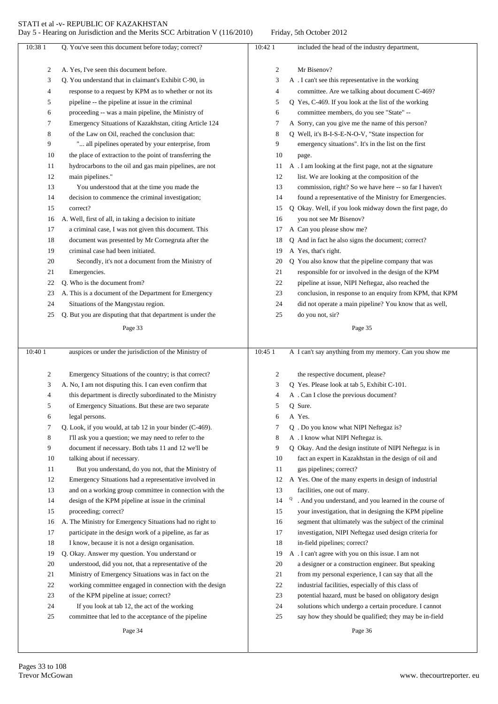| 10:38 1          |                                                            |                |                                                             |
|------------------|------------------------------------------------------------|----------------|-------------------------------------------------------------|
|                  | Q. You've seen this document before today; correct?        | 10:42 1        | included the head of the industry department,               |
| $\overline{c}$   | A. Yes, I've seen this document before.                    | $\overline{c}$ | Mr Bisenov?                                                 |
| 3                | Q. You understand that in claimant's Exhibit C-90, in      | 3              | A . I can't see this representative in the working          |
| 4                | response to a request by KPM as to whether or not its      | 4              | committee. Are we talking about document C-469?             |
| 5                | pipeline -- the pipeline at issue in the criminal          | 5              | Q Yes, C-469. If you look at the list of the working        |
|                  |                                                            |                |                                                             |
| 6                | proceeding -- was a main pipeline, the Ministry of         | 6              | committee members, do you see "State" --                    |
| 7                | Emergency Situations of Kazakhstan, citing Article 124     | 7              | A Sorry, can you give me the name of this person?           |
| 8                | of the Law on Oil, reached the conclusion that:            | 8              | Q Well, it's B-I-S-E-N-O-V, "State inspection for           |
| 9                | " all pipelines operated by your enterprise, from          | 9              | emergency situations". It's in the list on the first        |
| 10               | the place of extraction to the point of transferring the   | 10             | page.                                                       |
| 11               | hydrocarbons to the oil and gas main pipelines, are not    | 11             | A . I am looking at the first page, not at the signature    |
| 12               | main pipelines."                                           | 12             | list. We are looking at the composition of the              |
| 13               | You understood that at the time you made the               | 13             | commission, right? So we have here -- so far I haven't      |
| 14               | decision to commence the criminal investigation;           | 14             | found a representative of the Ministry for Emergencies.     |
| 15               | correct?                                                   | 15             | Q Okay. Well, if you look midway down the first page, do    |
| 16               | A. Well, first of all, in taking a decision to initiate    | 16             | you not see Mr Bisenov?                                     |
| 17               | a criminal case, I was not given this document. This       | 17             | A Can you please show me?                                   |
| 18               | document was presented by Mr Cornegruta after the          | 18             | Q And in fact he also signs the document; correct?          |
| 19               | criminal case had been initiated.                          | 19             | A Yes, that's right.                                        |
| 20               | Secondly, it's not a document from the Ministry of         | 20             | Q You also know that the pipeline company that was          |
| 21               | Emergencies.                                               | 21             | responsible for or involved in the design of the KPM        |
| 22               | Q. Who is the document from?                               | 22             | pipeline at issue, NIPI Neftegaz, also reached the          |
| 23               | A. This is a document of the Department for Emergency      | 23             | conclusion, in response to an enquiry from KPM, that KPM    |
| 24               | Situations of the Mangystau region.                        | 24             | did not operate a main pipeline? You know that as well,     |
| 25               | Q. But you are disputing that that department is under the | 25             | do you not, sir?                                            |
|                  |                                                            |                |                                                             |
|                  | Page 33                                                    |                | Page 35                                                     |
| 10:40 1          | auspices or under the jurisdiction of the Ministry of      | 10:45 1        | A I can't say anything from my memory. Can you show me      |
|                  |                                                            |                |                                                             |
|                  |                                                            |                |                                                             |
| $\boldsymbol{2}$ | Emergency Situations of the country; is that correct?      | 2              | the respective document, please?                            |
| 3                | A. No, I am not disputing this. I can even confirm that    | 3              | Q Yes. Please look at tab 5, Exhibit C-101.                 |
| 4                | this department is directly subordinated to the Ministry   | 4              | A . Can I close the previous document?                      |
| 5                | of Emergency Situations. But these are two separate        | 5              | Q Sure.                                                     |
| 6                | legal persons.                                             | 6              | A Yes.                                                      |
| 7                | Q. Look, if you would, at tab 12 in your binder (C-469).   | 7              | Q. Do you know what NIPI Neftegaz is?                       |
| 8                | I'll ask you a question; we may need to refer to the       | 8              | A . I know what NIPI Neftegaz is.                           |
| 9                | document if necessary. Both tabs 11 and 12 we'll be        | 9              | Q Okay. And the design institute of NIPI Neftegaz is in     |
| 10               | talking about if necessary.                                | 10             | fact an expert in Kazakhstan in the design of oil and       |
| 11               | But you understand, do you not, that the Ministry of       | 11             | gas pipelines; correct?                                     |
| 12               | Emergency Situations had a representative involved in      | 12             | A Yes. One of the many experts in design of industrial      |
| 13               | and on a working group committee in connection with the    | 13             | facilities, one out of many.                                |
| 14               | design of the KPM pipeline at issue in the criminal        | 14             | Q<br>. And you understand, and you learned in the course of |
| 15               | proceeding; correct?                                       | 15             | your investigation, that in designing the KPM pipeline      |
| 16               | A. The Ministry for Emergency Situations had no right to   | 16             | segment that ultimately was the subject of the criminal     |
| 17               | participate in the design work of a pipeline, as far as    | 17             | investigation, NIPI Neftegaz used design criteria for       |
| 18               | I know, because it is not a design organisation.           | 18             | in-field pipelines; correct?                                |
| 19               | Q. Okay. Answer my question. You understand or             | 19             | A . I can't agree with you on this issue. I am not          |
| 20               | understood, did you not, that a representative of the      | 20             | a designer or a construction engineer. But speaking         |
| 21               | Ministry of Emergency Situations was in fact on the        | 21             | from my personal experience, I can say that all the         |
| 22               | working committee engaged in connection with the design    | 22             | industrial facilities, especially of this class of          |
| 23               | of the KPM pipeline at issue; correct?                     | 23             | potential hazard, must be based on obligatory design        |
| 24               | If you look at tab 12, the act of the working              | 24             | solutions which undergo a certain procedure. I cannot       |
| 25               | committee that led to the acceptance of the pipeline       | 25             | say how they should be qualified; they may be in-field      |
|                  | Page 34                                                    |                | Page 36                                                     |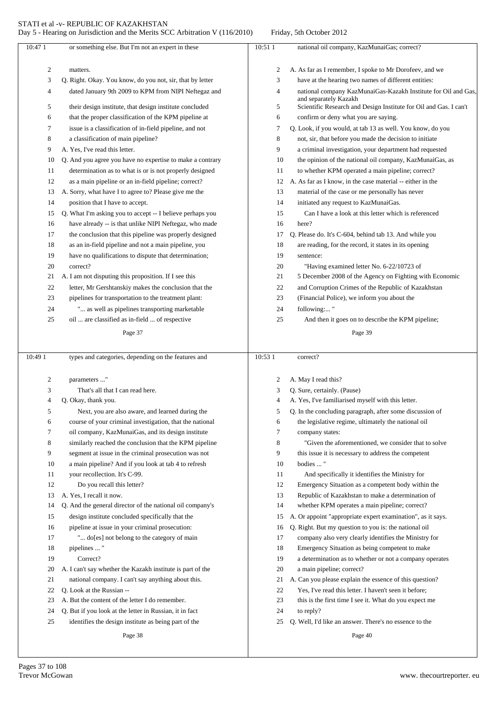| 10:47 1        | or something else. But I'm not an expert in these          | 10:51 1 | national oil company, KazMunaiGas; correct?                                             |
|----------------|------------------------------------------------------------|---------|-----------------------------------------------------------------------------------------|
|                |                                                            |         |                                                                                         |
| 2              | matters.                                                   | 2       | A. As far as I remember, I spoke to Mr Dorofeev, and we                                 |
| 3              | Q. Right. Okay. You know, do you not, sir, that by letter  | 3       | have at the hearing two names of different entities:                                    |
| 4              | dated January 9th 2009 to KPM from NIPI Neftegaz and       | 4       | national company KazMunaiGas-Kazakh Institute for Oil and Gas,<br>and separately Kazakh |
| 5              | their design institute, that design institute concluded    | 5       | Scientific Research and Design Institute for Oil and Gas. I can't                       |
| 6              | that the proper classification of the KPM pipeline at      | 6       | confirm or deny what you are saying.                                                    |
| 7              | issue is a classification of in-field pipeline, and not    | 7       | Q. Look, if you would, at tab 13 as well. You know, do you                              |
| 8              | a classification of main pipeline?                         | 8       | not, sir, that before you made the decision to initiate                                 |
| 9              | A. Yes, I've read this letter.                             | 9       | a criminal investigation, your department had requested                                 |
| 10             | Q. And you agree you have no expertise to make a contrary  | 10      | the opinion of the national oil company, KazMunaiGas, as                                |
| 11             | determination as to what is or is not properly designed    | 11      | to whether KPM operated a main pipeline; correct?                                       |
| 12             | as a main pipeline or an in-field pipeline; correct?       | 12      | A. As far as I know, in the case material -- either in the                              |
| 13             | A. Sorry, what have I to agree to? Please give me the      | 13      | material of the case or me personally has never                                         |
| 14             | position that I have to accept.                            | 14      | initiated any request to KazMunaiGas.                                                   |
| 15             | Q. What I'm asking you to accept -- I believe perhaps you  | 15      | Can I have a look at this letter which is referenced                                    |
| 16             | have already -- is that unlike NIPI Neftegaz, who made     | 16      | here?                                                                                   |
| 17             | the conclusion that this pipeline was properly designed    | 17      | Q. Please do. It's C-604, behind tab 13. And while you                                  |
| 18             | as an in-field pipeline and not a main pipeline, you       | 18      | are reading, for the record, it states in its opening                                   |
| 19             | have no qualifications to dispute that determination;      | 19      | sentence:                                                                               |
| 20             | correct?                                                   | 20      | "Having examined letter No. 6-22/10723 of                                               |
| 21             | A. I am not disputing this proposition. If I see this      | 21      | 5 December 2008 of the Agency on Fighting with Economic                                 |
| 22             | letter, Mr Gershtanskiy makes the conclusion that the      | 22      | and Corruption Crimes of the Republic of Kazakhstan                                     |
| 23             | pipelines for transportation to the treatment plant:       | 23      | (Financial Police), we inform you about the                                             |
| 24             | " as well as pipelines transporting marketable             | 24      | following:"                                                                             |
| 25             | oil  are classified as in-field  of respective             | 25      | And then it goes on to describe the KPM pipeline;                                       |
|                | Page 37                                                    |         | Page 39                                                                                 |
|                |                                                            |         |                                                                                         |
| 10:49 1        | types and categories, depending on the features and        | 10:53 1 | correct?                                                                                |
|                |                                                            |         |                                                                                         |
| $\overline{c}$ | parameters "                                               | 2       | A. May I read this?                                                                     |
| 3              | That's all that I can read here.                           | 3       | Q. Sure, certainly. (Pause)                                                             |
| 4              | Q. Okay, thank you.                                        | 4       | A. Yes, I've familiarised myself with this letter.                                      |
| 5              | Next, you are also aware, and learned during the           | 5       | Q. In the concluding paragraph, after some discussion of                                |
| 6              | course of your criminal investigation, that the national   | 6       | the legislative regime, ultimately the national oil                                     |
| 7              | oil company, KazMunaiGas, and its design institute         | $\tau$  | company states:                                                                         |
| 8              | similarly reached the conclusion that the KPM pipeline     | 8       | "Given the aforementioned, we consider that to solve                                    |
| 9              | segment at issue in the criminal prosecution was not       | 9       | this issue it is necessary to address the competent                                     |
| 10             | a main pipeline? And if you look at tab 4 to refresh       | 10      | bodies $\ldots$ "                                                                       |
| 11             | your recollection. It's C-99.                              | 11      | And specifically it identifies the Ministry for                                         |
| 12             | Do you recall this letter?                                 | 12      | Emergency Situation as a competent body within the                                      |
| 13             | A. Yes, I recall it now.                                   | 13      | Republic of Kazakhstan to make a determination of                                       |
| 14             | Q. And the general director of the national oil company's  | 14      | whether KPM operates a main pipeline; correct?                                          |
| 15             | design institute concluded specifically that the           | 15      | A. Or appoint "appropriate expert examination", as it says.                             |
| 16             | pipeline at issue in your criminal prosecution:            | 16      | Q. Right. But my question to you is: the national oil                                   |
| 17             | " do[es] not belong to the category of main                | 17      | company also very clearly identifies the Ministry for                                   |
| $18\,$         | pipelines  "                                               | 18      | Emergency Situation as being competent to make                                          |
| 19             | Correct?                                                   | 19      | a determination as to whether or not a company operates                                 |
| 20             | A. I can't say whether the Kazakh institute is part of the | $20\,$  | a main pipeline; correct?                                                               |
| 21             | national company. I can't say anything about this.         | 21      | A. Can you please explain the essence of this question?                                 |
| 22             | Q. Look at the Russian --                                  | $22\,$  | Yes, I've read this letter. I haven't seen it before;                                   |
| 23             | A. But the content of the letter I do remember.            | 23      | this is the first time I see it. What do you expect me                                  |
| 24             | Q. But if you look at the letter in Russian, it in fact    | 24      | to reply?                                                                               |
| 25             | identifies the design institute as being part of the       | 25      | Q. Well, I'd like an answer. There's no essence to the                                  |
|                | Page 38                                                    |         | Page 40                                                                                 |
|                |                                                            |         |                                                                                         |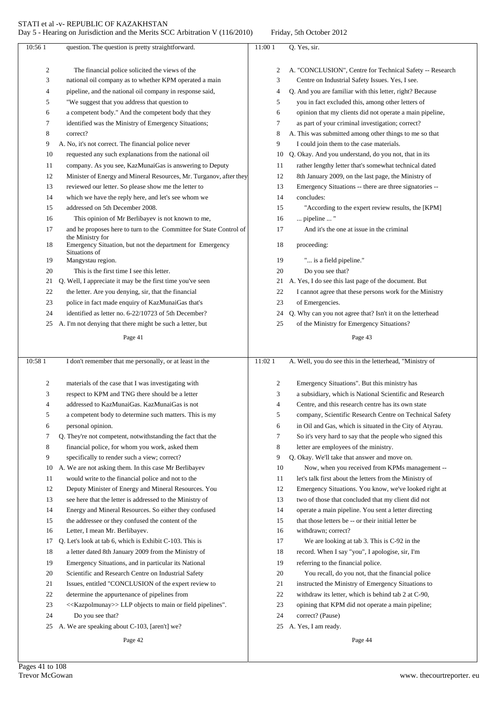| 10:56 1 | question. The question is pretty straightforward.                                      | 11:00 1 | Q. Yes, sir.                                              |
|---------|----------------------------------------------------------------------------------------|---------|-----------------------------------------------------------|
|         |                                                                                        |         |                                                           |
| 2       | The financial police solicited the views of the                                        | 2       | A. "CONCLUSION", Centre for Technical Safety -- Research  |
| 3       | national oil company as to whether KPM operated a main                                 | 3       | Centre on Industrial Safety Issues. Yes, I see.           |
| 4       | pipeline, and the national oil company in response said,                               | 4       | Q. And you are familiar with this letter, right? Because  |
| 5       | "We suggest that you address that question to                                          | 5       | you in fact excluded this, among other letters of         |
| 6       | a competent body." And the competent body that they                                    | 6       | opinion that my clients did not operate a main pipeline,  |
| 7       | identified was the Ministry of Emergency Situations;                                   | 7       | as part of your criminal investigation; correct?          |
| 8       | correct?                                                                               | 8       | A. This was submitted among other things to me so that    |
| 9       | A. No, it's not correct. The financial police never                                    | 9       | I could join them to the case materials.                  |
| 10      | requested any such explanations from the national oil                                  | 10      | Q. Okay. And you understand, do you not, that in its      |
| 11      | company. As you see, KazMunaiGas is answering to Deputy                                | 11      | rather lengthy letter that's somewhat technical dated     |
| 12      | Minister of Energy and Mineral Resources, Mr. Turganov, after they                     | 12      | 8th January 2009, on the last page, the Ministry of       |
| 13      | reviewed our letter. So please show me the letter to                                   | 13      | Emergency Situations -- there are three signatories --    |
| 14      | which we have the reply here, and let's see whom we                                    | 14      | concludes:                                                |
| 15      | addressed on 5th December 2008.                                                        | 15      | "According to the expert review results, the [KPM]        |
| 16      | This opinion of Mr Berlibayev is not known to me,                                      | 16      | pipeline  "                                               |
| 17      | and he proposes here to turn to the Committee for State Control of<br>the Ministry for | 17      | And it's the one at issue in the criminal                 |
| 18      | Emergency Situation, but not the department for Emergency<br>Situations of             | 18      | proceeding:                                               |
| 19      | Mangystau region.                                                                      | 19      | " is a field pipeline."                                   |
| 20      | This is the first time I see this letter.                                              | 20      | Do you see that?                                          |
| 21      | Q. Well, I appreciate it may be the first time you've seen                             | 21      | A. Yes, I do see this last page of the document. But      |
| 22      | the letter. Are you denying, sir, that the financial                                   | 22      | I cannot agree that these persons work for the Ministry   |
| 23      | police in fact made enquiry of KazMunaiGas that's                                      | 23      | of Emergencies.                                           |
| 24      | identified as letter no. 6-22/10723 of 5th December?                                   | 24      | Q. Why can you not agree that? Isn't it on the letterhead |
| 25      | A. I'm not denying that there might be such a letter, but                              | 25      | of the Ministry for Emergency Situations?                 |
|         | Page 41                                                                                |         | Page 43                                                   |
| 10:58 1 | I don't remember that me personally, or at least in the                                | 11:021  | A. Well, you do see this in the letterhead, "Ministry of  |
|         |                                                                                        |         |                                                           |
| 2       | materials of the case that I was investigating with                                    | 2       | Emergency Situations". But this ministry has              |
| 3       | respect to KPM and TNG there should be a letter                                        | 3       | a subsidiary, which is National Scientific and Research   |
| 4       | addressed to KazMunaiGas. KazMunaiGas is not                                           | 4       | Centre, and this research centre has its own state        |
| 5       | a competent body to determine such matters. This is my                                 | 5       | company, Scientific Research Centre on Technical Safety   |
| 6       | personal opinion.                                                                      | 6       | in Oil and Gas, which is situated in the City of Atyrau.  |
| 7       | Q. They're not competent, notwithstanding the fact that the                            | 7       | So it's very hard to say that the people who signed this  |
| 8       | financial police, for whom you work, asked them                                        | 8       | letter are employees of the ministry.                     |
| 9       | specifically to render such a view; correct?                                           | 9       | Q. Okay. We'll take that answer and move on.              |
| 10      | A. We are not asking them. In this case Mr Berlibayev                                  | 10      | Now, when you received from KPMs management --            |
| 11      | would write to the financial police and not to the                                     | 11      | let's talk first about the letters from the Ministry of   |
| 12      | Deputy Minister of Energy and Mineral Resources. You                                   | 12      | Emergency Situations. You know, we've looked right at     |
| 13      | see here that the letter is addressed to the Ministry of                               | 13      | two of those that concluded that my client did not        |
| 14      | Energy and Mineral Resources. So either they confused                                  | 14      | operate a main pipeline. You sent a letter directing      |
| 15      | the addressee or they confused the content of the                                      | 15      | that those letters be -- or their initial letter be       |
| 16      | Letter, I mean Mr. Berlibayev.                                                         | 16      | withdrawn; correct?                                       |
| 17      | Q. Let's look at tab 6, which is Exhibit C-103. This is                                | 17      | We are looking at tab 3. This is C-92 in the              |
| 18      | a letter dated 8th January 2009 from the Ministry of                                   | 18      | record. When I say "you", I apologise, sir, I'm           |
| 19      | Emergency Situations, and in particular its National                                   | 19      | referring to the financial police.                        |
| 20      | Scientific and Research Centre on Industrial Safety                                    | 20      | You recall, do you not, that the financial police         |
| 21      | Issues, entitled "CONCLUSION of the expert review to                                   | 21      | instructed the Ministry of Emergency Situations to        |
| 22      | determine the appurtenance of pipelines from                                           | 22      | withdraw its letter, which is behind tab 2 at C-90,       |
| 23      | < <kazpolmunay>&gt; LLP objects to main or field pipelines".</kazpolmunay>             | 23      | opining that KPM did not operate a main pipeline;         |
| 24      | Do you see that?                                                                       | 24      | correct? (Pause)                                          |
| 25      | A. We are speaking about C-103, [aren't] we?                                           | 25      | A. Yes, I am ready.                                       |
|         | Page 42                                                                                |         | Page 44                                                   |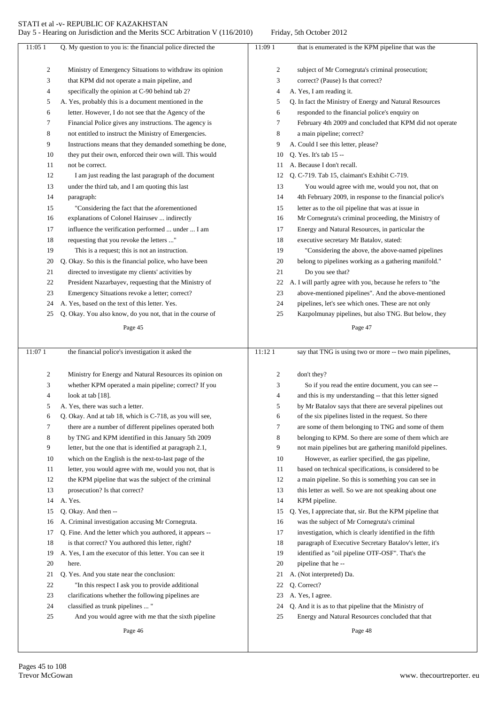| 11:05 1        | Q. My question to you is: the financial police directed the                                                    | 11:09 1        | that is enumerated is the KPM pipeline that was the                                                        |
|----------------|----------------------------------------------------------------------------------------------------------------|----------------|------------------------------------------------------------------------------------------------------------|
|                |                                                                                                                |                |                                                                                                            |
| 2              | Ministry of Emergency Situations to withdraw its opinion                                                       | 2              | subject of Mr Cornegruta's criminal prosecution;                                                           |
| 3              | that KPM did not operate a main pipeline, and                                                                  | 3              | correct? (Pause) Is that correct?                                                                          |
| 4              | specifically the opinion at C-90 behind tab 2?                                                                 | 4              | A. Yes, I am reading it.                                                                                   |
| 5              | A. Yes, probably this is a document mentioned in the                                                           | 5<br>6         | Q. In fact the Ministry of Energy and Natural Resources                                                    |
| 6<br>7         | letter. However, I do not see that the Agency of the<br>Financial Police gives any instructions. The agency is | 7              | responded to the financial police's enquiry on<br>February 4th 2009 and concluded that KPM did not operate |
| 8              | not entitled to instruct the Ministry of Emergencies.                                                          | 8              | a main pipeline; correct?                                                                                  |
| 9              | Instructions means that they demanded something be done,                                                       | 9              | A. Could I see this letter, please?                                                                        |
| 10             | they put their own, enforced their own will. This would                                                        | 10             | Q. Yes. It's tab 15 --                                                                                     |
| 11             | not be correct.                                                                                                | 11             | A. Because I don't recall.                                                                                 |
| 12             | I am just reading the last paragraph of the document                                                           | 12             | Q. C-719. Tab 15, claimant's Exhibit C-719.                                                                |
| 13             | under the third tab, and I am quoting this last                                                                | 13             | You would agree with me, would you not, that on                                                            |
| 14             | paragraph:                                                                                                     | 14             | 4th February 2009, in response to the financial police's                                                   |
| 15             | "Considering the fact that the aforementioned                                                                  | 15             | letter as to the oil pipeline that was at issue in                                                         |
| 16             | explanations of Colonel Hairusev  indirectly                                                                   | 16             | Mr Cornegruta's criminal proceeding, the Ministry of                                                       |
| 17             | influence the verification performed  under  I am                                                              | 17             | Energy and Natural Resources, in particular the                                                            |
| 18             | requesting that you revoke the letters "                                                                       | 18             | executive secretary Mr Batalov, stated:                                                                    |
| 19             | This is a request; this is not an instruction.                                                                 | 19             | "Considering the above, the above-named pipelines                                                          |
| 20             | Q. Okay. So this is the financial police, who have been                                                        | 20             | belong to pipelines working as a gathering manifold."                                                      |
| 21             | directed to investigate my clients' activities by                                                              | 21             | Do you see that?                                                                                           |
| 22             | President Nazarbayev, requesting that the Ministry of                                                          | 22             | A. I will partly agree with you, because he refers to "the                                                 |
| 23             | Emergency Situations revoke a letter; correct?                                                                 | 23             | above-mentioned pipelines". And the above-mentioned                                                        |
| 24             | A. Yes, based on the text of this letter. Yes.                                                                 | 24             | pipelines, let's see which ones. These are not only                                                        |
| 25             | Q. Okay. You also know, do you not, that in the course of                                                      | 25             | Kazpolmunay pipelines, but also TNG. But below, they                                                       |
|                | Page 45                                                                                                        |                | Page 47                                                                                                    |
|                |                                                                                                                |                |                                                                                                            |
| 11:07 1        | the financial police's investigation it asked the                                                              | 11:121         | say that TNG is using two or more -- two main pipelines,                                                   |
| $\overline{c}$ | Ministry for Energy and Natural Resources its opinion on                                                       | 2              | don't they?                                                                                                |
| 3              | whether KPM operated a main pipeline; correct? If you                                                          | 3              | So if you read the entire document, you can see --                                                         |
| 4              | look at tab [18].                                                                                              | $\overline{4}$ | and this is my understanding -- that this letter signed                                                    |
| 5              | A. Yes, there was such a letter.                                                                               | 5              | by Mr Batalov says that there are several pipelines out                                                    |
| 6              | Q. Okay. And at tab 18, which is C-718, as you will see,                                                       | 6              | of the six pipelines listed in the request. So there                                                       |
| 7              | there are a number of different pipelines operated both                                                        | $\overline{7}$ | are some of them belonging to TNG and some of them                                                         |
| 8              | by TNG and KPM identified in this January 5th 2009                                                             | 8              | belonging to KPM. So there are some of them which are                                                      |
| 9              | letter, but the one that is identified at paragraph 2.1,                                                       | 9              | not main pipelines but are gathering manifold pipelines.                                                   |
| 10             | which on the English is the next-to-last page of the                                                           | 10             | However, as earlier specified, the gas pipeline,                                                           |
| 11             | letter, you would agree with me, would you not, that is                                                        | 11             | based on technical specifications, is considered to be                                                     |
| 12             | the KPM pipeline that was the subject of the criminal                                                          | 12             | a main pipeline. So this is something you can see in                                                       |
| 13             | prosecution? Is that correct?                                                                                  | 13             | this letter as well. So we are not speaking about one                                                      |
| 14             | A. Yes.<br>Q. Okay. And then --                                                                                | 14             | KPM pipeline.                                                                                              |
| 15             | A. Criminal investigation accusing Mr Cornegruta.                                                              | 15             | Q. Yes, I appreciate that, sir. But the KPM pipeline that<br>was the subject of Mr Cornegruta's criminal   |
| 16<br>17       | Q. Fine. And the letter which you authored, it appears --                                                      | 16<br>17       | investigation, which is clearly identified in the fifth                                                    |
| 18             | is that correct? You authored this letter, right?                                                              | 18             | paragraph of Executive Secretary Batalov's letter, it's                                                    |
| 19             | A. Yes, I am the executor of this letter. You can see it                                                       | 19             | identified as "oil pipeline OTF-OSF". That's the                                                           |
| 20             | here.                                                                                                          | 20             | pipeline that he-                                                                                          |
| 21             | Q. Yes. And you state near the conclusion:                                                                     | 21             | A. (Not interpreted) Da.                                                                                   |
| 22             | "In this respect I ask you to provide additional                                                               | 22             | Q. Correct?                                                                                                |
| 23             | clarifications whether the following pipelines are                                                             | 23             | A. Yes, I agree.                                                                                           |
| 24             | classified as trunk pipelines  "                                                                               | 24             | Q. And it is as to that pipeline that the Ministry of                                                      |
| 25             | And you would agree with me that the sixth pipeline                                                            | 25             | Energy and Natural Resources concluded that that                                                           |
|                | Page 46                                                                                                        |                | Page 48                                                                                                    |
|                |                                                                                                                |                |                                                                                                            |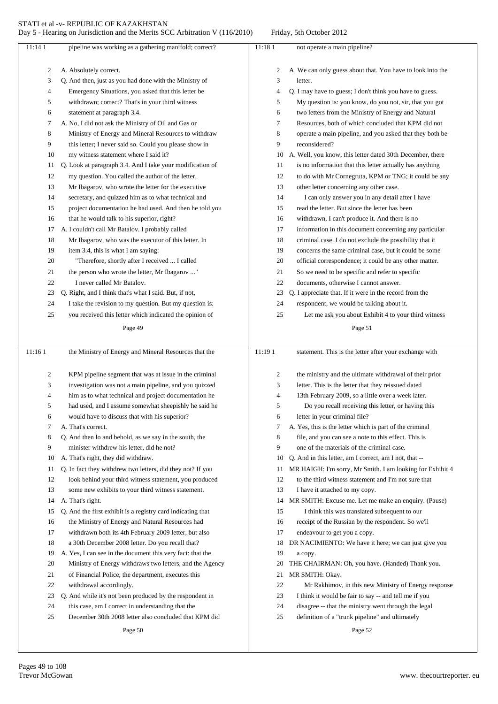| STATI et al -v- REPUBLIC OF KAZAKHSTAN                                        |                          |
|-------------------------------------------------------------------------------|--------------------------|
| Day 5 - Hearing on Jurisdiction and the Merits SCC Arbitration V $(116/2010)$ | Friday, 5th October 2012 |

| 11:14 1 | pipeline was working as a gathering manifold; correct?      | 11:18 1 | not operate a main pipeline?                               |
|---------|-------------------------------------------------------------|---------|------------------------------------------------------------|
| 2       | A. Absolutely correct.                                      | 2       | A. We can only guess about that. You have to look into the |
| 3       | Q. And then, just as you had done with the Ministry of      | 3       | letter.                                                    |
| 4       | Emergency Situations, you asked that this letter be         | 4       | Q. I may have to guess; I don't think you have to guess.   |
| 5       | withdrawn; correct? That's in your third witness            | 5       | My question is: you know, do you not, sir, that you got    |
| 6       | statement at paragraph 3.4.                                 | 6       | two letters from the Ministry of Energy and Natural        |
| 7       | A. No, I did not ask the Ministry of Oil and Gas or         | 7       | Resources, both of which concluded that KPM did not        |
| 8       | Ministry of Energy and Mineral Resources to withdraw        | 8       | operate a main pipeline, and you asked that they both be   |
| 9       | this letter; I never said so. Could you please show in      | 9       | reconsidered?                                              |
| 10      | my witness statement where I said it?                       | 10      | A. Well, you know, this letter dated 30th December, there  |
| 11      | Q. Look at paragraph 3.4. And I take your modification of   | 11      | is no information that this letter actually has anything   |
| 12      | my question. You called the author of the letter,           | 12      | to do with Mr Cornegruta, KPM or TNG; it could be any      |
| 13      | Mr Ibagarov, who wrote the letter for the executive         | 13      | other letter concerning any other case.                    |
| 14      | secretary, and quizzed him as to what technical and         | 14      | I can only answer you in any detail after I have           |
| 15      | project documentation he had used. And then he told you     | 15      | read the letter. But since the letter has been             |
| 16      | that he would talk to his superior, right?                  | 16      | withdrawn, I can't produce it. And there is no             |
| 17      | A. I couldn't call Mr Batalov. I probably called            | 17      | information in this document concerning any particular     |
| 18      | Mr Ibagarov, who was the executor of this letter. In        | 18      | criminal case. I do not exclude the possibility that it    |
| 19      | item 3.4, this is what I am saying:                         | 19      | concerns the same criminal case, but it could be some      |
| 20      | "Therefore, shortly after I received  I called              | 20      | official correspondence; it could be any other matter.     |
| 21      | the person who wrote the letter, Mr Ibagarov "              | 21      | So we need to be specific and refer to specific            |
| 22      | I never called Mr Batalov.                                  | 22      | documents, otherwise I cannot answer.                      |
| 23      | Q. Right, and I think that's what I said. But, if not,      | 23      | Q. I appreciate that. If it were in the record from the    |
| 24      | I take the revision to my question. But my question is:     | 24      | respondent, we would be talking about it.                  |
| 25      | you received this letter which indicated the opinion of     | 25      | Let me ask you about Exhibit 4 to your third witness       |
|         | Page 49                                                     |         | Page 51                                                    |
|         |                                                             |         |                                                            |
|         |                                                             |         |                                                            |
| 11:16 1 | the Ministry of Energy and Mineral Resources that the       | 11:19 1 | statement. This is the letter after your exchange with     |
| 2       | KPM pipeline segment that was at issue in the criminal      | 2       | the ministry and the ultimate withdrawal of their prior    |
| 3       | investigation was not a main pipeline, and you quizzed      | 3       | letter. This is the letter that they reissued dated        |
| 4       | him as to what technical and project documentation he       | 4       | 13th February 2009, so a little over a week later.         |
| 5       | had used, and I assume somewhat sheepishly he said he       | 5       | Do you recall receiving this letter, or having this        |
| 6       | would have to discuss that with his superior?               | 6       | letter in your criminal file?                              |
| 7       | A. That's correct.                                          | 7       | A. Yes, this is the letter which is part of the criminal   |
| 8       | Q. And then lo and behold, as we say in the south, the      | 8       | file, and you can see a note to this effect. This is       |
| 9       | minister withdrew his letter, did he not?                   | 9       | one of the materials of the criminal case.                 |
| 10      | A. That's right, they did withdraw.                         | 10      | Q. And in this letter, am I correct, am I not, that --     |
| 11      | Q. In fact they withdrew two letters, did they not? If you  | 11      | MR HAIGH: I'm sorry, Mr Smith. I am looking for Exhibit 4  |
| 12      | look behind your third witness statement, you produced      | 12      | to the third witness statement and I'm not sure that       |
| 13      | some new exhibits to your third witness statement.          | 13      | I have it attached to my copy.                             |
| 14      | A. That's right.                                            |         | 14 MR SMITH: Excuse me. Let me make an enquiry. (Pause)    |
| 15      | Q. And the first exhibit is a registry card indicating that | 15      | I think this was translated subsequent to our              |
| 16      | the Ministry of Energy and Natural Resources had            | 16      | receipt of the Russian by the respondent. So we'll         |
| 17      | withdrawn both its 4th February 2009 letter, but also       | 17      | endeavour to get you a copy.                               |
| 18      | a 30th December 2008 letter. Do you recall that?            | 18      | DR NACIMIENTO: We have it here; we can just give you       |
| 19      | A. Yes, I can see in the document this very fact: that the  | 19      | a copy.                                                    |
| 20      | Ministry of Energy withdraws two letters, and the Agency    | 20      | THE CHAIRMAN: Oh, you have. (Handed) Thank you.            |
| 21      | of Financial Police, the department, executes this          | 21      | MR SMITH: Okay.                                            |
| 22      | withdrawal accordingly.                                     | 22      | Mr Rakhimov, in this new Ministry of Energy response       |
| 23      | Q. And while it's not been produced by the respondent in    | 23      | I think it would be fair to say -- and tell me if you      |
| 24      | this case, am I correct in understanding that the           | 24      | disagree -- that the ministry went through the legal       |
| 25      | December 30th 2008 letter also concluded that KPM did       | 25      | definition of a "trunk pipeline" and ultimately            |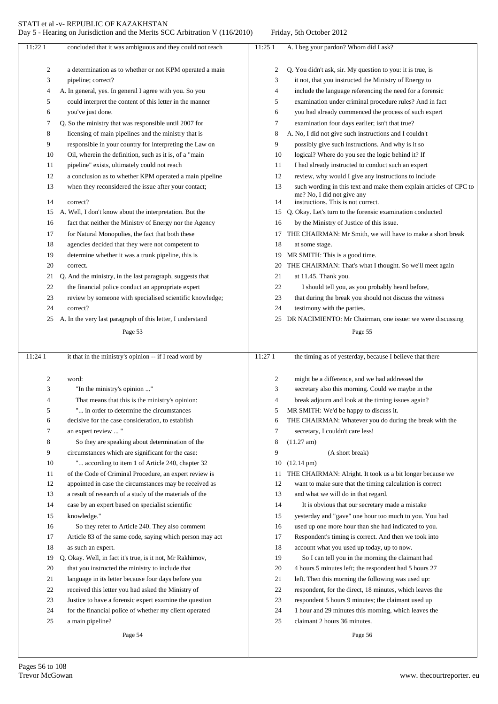| 11:22 1          | concluded that it was ambiguous and they could not reach                       | 11:25 1        | A. I beg your pardon? Whom did I ask?                                                                                                  |
|------------------|--------------------------------------------------------------------------------|----------------|----------------------------------------------------------------------------------------------------------------------------------------|
| $\overline{2}$   | a determination as to whether or not KPM operated a main                       | 2              | Q. You didn't ask, sir. My question to you: it is true, is                                                                             |
| 3                | pipeline; correct?                                                             | 3              | it not, that you instructed the Ministry of Energy to                                                                                  |
| 4                | A. In general, yes. In general I agree with you. So you                        | 4              | include the language referencing the need for a forensic                                                                               |
| 5                | could interpret the content of this letter in the manner                       | 5              | examination under criminal procedure rules? And in fact                                                                                |
| 6                | you've just done.                                                              | 6              | you had already commenced the process of such expert                                                                                   |
| 7                | Q. So the ministry that was responsible until 2007 for                         | $\tau$         | examination four days earlier; isn't that true?                                                                                        |
| 8                | licensing of main pipelines and the ministry that is                           | 8              | A. No, I did not give such instructions and I couldn't                                                                                 |
| 9                | responsible in your country for interpreting the Law on                        | 9              | possibly give such instructions. And why is it so                                                                                      |
| 10               | Oil, wherein the definition, such as it is, of a "main                         | 10             | logical? Where do you see the logic behind it? If                                                                                      |
| 11               | pipeline" exists, ultimately could not reach                                   | 11             | I had already instructed to conduct such an expert                                                                                     |
| 12               | a conclusion as to whether KPM operated a main pipeline                        | 12             | review, why would I give any instructions to include                                                                                   |
| 13<br>14         | when they reconsidered the issue after your contact;<br>correct?               | 13<br>14       | such wording in this text and make them explain articles of CPC to<br>me? No, I did not give any<br>instructions. This is not correct. |
| 15               | A. Well, I don't know about the interpretation. But the                        | 15             | Q. Okay. Let's turn to the forensic examination conducted                                                                              |
| 16               | fact that neither the Ministry of Energy nor the Agency                        | 16             | by the Ministry of Justice of this issue.                                                                                              |
| 17               | for Natural Monopolies, the fact that both these                               | 17             | THE CHAIRMAN: Mr Smith, we will have to make a short break                                                                             |
| 18               | agencies decided that they were not competent to                               | 18             | at some stage.                                                                                                                         |
| 19               | determine whether it was a trunk pipeline, this is                             | 19             | MR SMITH: This is a good time.                                                                                                         |
| 20               | correct.                                                                       | 20             | THE CHAIRMAN: That's what I thought. So we'll meet again                                                                               |
| 21               | Q. And the ministry, in the last paragraph, suggests that                      | 21             | at 11.45. Thank you.                                                                                                                   |
| 22               | the financial police conduct an appropriate expert                             | 22             | I should tell you, as you probably heard before,                                                                                       |
| 23               | review by someone with specialised scientific knowledge;                       | 23             | that during the break you should not discuss the witness                                                                               |
| 24               | correct?                                                                       | 24             | testimony with the parties.                                                                                                            |
| 25               | A. In the very last paragraph of this letter, I understand                     | 25             | DR NACIMIENTO: Mr Chairman, one issue: we were discussing                                                                              |
|                  | Page 53                                                                        |                | Page 55                                                                                                                                |
|                  |                                                                                |                |                                                                                                                                        |
| 11:24 1          | it that in the ministry's opinion -- if I read word by                         | 11:27 1        | the timing as of yesterday, because I believe that there                                                                               |
| $\boldsymbol{2}$ | word:                                                                          | 2              | might be a difference, and we had addressed the                                                                                        |
| 3                | "In the ministry's opinion "                                                   | $\mathfrak{Z}$ | secretary also this morning. Could we maybe in the                                                                                     |
| 4                | That means that this is the ministry's opinion:                                | $\overline{4}$ | break adjourn and look at the timing issues again?                                                                                     |
| 5                | " in order to determine the circumstances"                                     | 5              | MR SMITH: We'd be happy to discuss it.                                                                                                 |
| 6                | decisive for the case consideration, to establish                              | 6              | THE CHAIRMAN: Whatever you do during the break with the                                                                                |
| 7                | an expert review  "                                                            | 7              | secretary, I couldn't care less!                                                                                                       |
| 8                | So they are speaking about determination of the                                | 8              | $(11.27 \text{ am})$                                                                                                                   |
| 9                | circumstances which are significant for the case:                              | 9              | (A short break)                                                                                                                        |
| 10               | " according to item 1 of Article 240, chapter 32                               | 10             | $(12.14 \text{ pm})$                                                                                                                   |
| 11               | of the Code of Criminal Procedure, an expert review is                         | 11             | THE CHAIRMAN: Alright. It took us a bit longer because we                                                                              |
| 12               | appointed in case the circumstances may be received as                         | 12             | want to make sure that the timing calculation is correct                                                                               |
| 13               | a result of research of a study of the materials of the                        | 13             | and what we will do in that regard.                                                                                                    |
| 14               | case by an expert based on specialist scientific                               | 14             | It is obvious that our secretary made a mistake                                                                                        |
| 15               | knowledge."                                                                    | 15             | yesterday and "gave" one hour too much to you. You had                                                                                 |
| 16<br>17         | So they refer to Article 240. They also comment                                | 16<br>17       | used up one more hour than she had indicated to you.                                                                                   |
| 18               | Article 83 of the same code, saying which person may act<br>as such an expert. | 18             | Respondent's timing is correct. And then we took into<br>account what you used up today, up to now.                                    |
| 19               | Q. Okay. Well, in fact it's true, is it not, Mr Rakhimov,                      | 19             | So I can tell you in the morning the claimant had                                                                                      |
| 20               | that you instructed the ministry to include that                               | 20             | 4 hours 5 minutes left; the respondent had 5 hours 27                                                                                  |
| 21               | language in its letter because four days before you                            | 21             | left. Then this morning the following was used up:                                                                                     |
| 22               | received this letter you had asked the Ministry of                             | 22             | respondent, for the direct, 18 minutes, which leaves the                                                                               |
| 23               | Justice to have a forensic expert examine the question                         | 23             | respondent 5 hours 9 minutes; the claimant used up                                                                                     |
| 24               | for the financial police of whether my client operated                         | 24             | 1 hour and 29 minutes this morning, which leaves the                                                                                   |
| 25               | a main pipeline?                                                               | 25             | claimant 2 hours 36 minutes.                                                                                                           |
|                  | Page 54                                                                        |                | Page 56                                                                                                                                |
|                  |                                                                                |                |                                                                                                                                        |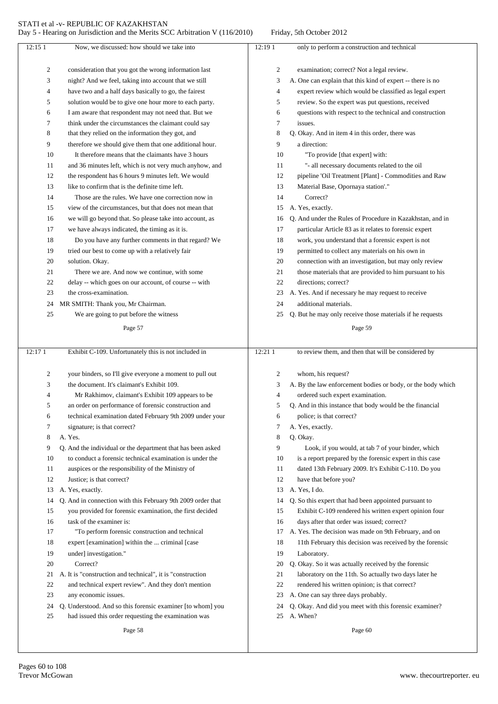| 12:15 1 | Now, we discussed: how should we take into                  | 12:19 1 | only to perform a construction and technical                |
|---------|-------------------------------------------------------------|---------|-------------------------------------------------------------|
| 2       | consideration that you got the wrong information last       | 2       | examination; correct? Not a legal review.                   |
| 3       | night? And we feel, taking into account that we still       | 3       | A. One can explain that this kind of expert -- there is no  |
| 4       | have two and a half days basically to go, the fairest       | 4       | expert review which would be classified as legal expert     |
| 5       | solution would be to give one hour more to each party.      | 5       | review. So the expert was put questions, received           |
| 6       | I am aware that respondent may not need that. But we        | 6       | questions with respect to the technical and construction    |
| 7       | think under the circumstances the claimant could say        | 7       | issues.                                                     |
| 8       | that they relied on the information they got, and           | 8       | Q. Okay. And in item 4 in this order, there was             |
|         |                                                             |         |                                                             |
| 9       | therefore we should give them that one additional hour.     | 9       | a direction:                                                |
| 10      | It therefore means that the claimants have 3 hours          | 10      | "To provide [that expert] with:                             |
| 11      | and 36 minutes left, which is not very much anyhow, and     | 11      | "- all necessary documents related to the oil               |
| 12      | the respondent has 6 hours 9 minutes left. We would         | 12      | pipeline 'Oil Treatment [Plant] - Commodities and Raw       |
| 13      | like to confirm that is the definite time left.             | 13      | Material Base, Opornaya station'."                          |
| 14      | Those are the rules. We have one correction now in          | 14      | Correct?                                                    |
| 15      | view of the circumstances, but that does not mean that      | 15      | A. Yes, exactly.                                            |
| 16      | we will go beyond that. So please take into account, as     | 16      | Q. And under the Rules of Procedure in Kazakhstan, and in   |
| 17      | we have always indicated, the timing as it is.              | 17      | particular Article 83 as it relates to forensic expert      |
| 18      | Do you have any further comments in that regard? We         | 18      | work, you understand that a forensic expert is not          |
| 19      | tried our best to come up with a relatively fair            | 19      | permitted to collect any materials on his own in            |
| 20      | solution. Okay.                                             | 20      | connection with an investigation, but may only review       |
| 21      | There we are. And now we continue, with some                | 21      | those materials that are provided to him pursuant to his    |
| 22      | delay -- which goes on our account, of course -- with       | 22      | directions; correct?                                        |
| 23      | the cross-examination.                                      | 23      | A. Yes. And if necessary he may request to receive          |
| 24      | MR SMITH: Thank you, Mr Chairman.                           | 24      | additional materials.                                       |
| 25      | We are going to put before the witness                      | 25      | Q. But he may only receive those materials if he requests   |
|         |                                                             |         |                                                             |
|         | Page 57                                                     |         | Page 59                                                     |
|         |                                                             |         |                                                             |
| 12:17 1 | Exhibit C-109. Unfortunately this is not included in        | 12:21 1 | to review them, and then that will be considered by         |
|         |                                                             |         |                                                             |
| 2       | your binders, so I'll give everyone a moment to pull out    | 2       | whom, his request?                                          |
| 3       | the document. It's claimant's Exhibit 109.                  | 3       | A. By the law enforcement bodies or body, or the body which |
| 4       | Mr Rakhimov, claimant's Exhibit 109 appears to be           | 4       | ordered such expert examination.                            |
| 5       | an order on performance of forensic construction and        | 5       | Q. And in this instance that body would be the financial    |
| 6       | technical examination dated February 9th 2009 under your    | 6       | police; is that correct?                                    |
| 7       | signature; is that correct?                                 | 7       | A. Yes, exactly.                                            |
| 8       | A. Yes.                                                     | 8       | Q. Okay.                                                    |
| 9       | Q. And the individual or the department that has been asked | 9       | Look, if you would, at tab 7 of your binder, which          |
| 10      | to conduct a forensic technical examination is under the    | 10      | is a report prepared by the forensic expert in this case    |
| 11      | auspices or the responsibility of the Ministry of           | 11      | dated 13th February 2009. It's Exhibit C-110. Do you        |
| 12      | Justice; is that correct?                                   | 12      | have that before you?                                       |
| 13      | A. Yes, exactly.                                            | 13      | A. Yes, I do.                                               |
| 14      | Q. And in connection with this February 9th 2009 order that | 14      | Q. So this expert that had been appointed pursuant to       |
| 15      | you provided for forensic examination, the first decided    | 15      | Exhibit C-109 rendered his written expert opinion four      |
| 16      | task of the examiner is:                                    | 16      | days after that order was issued; correct?                  |
| 17      | "To perform forensic construction and technical             | 17      | A. Yes. The decision was made on 9th February, and on       |
| 18      | expert [examination] within the  criminal [case             | 18      | 11th February this decision was received by the forensic    |
| 19      | under] investigation."                                      | 19      | Laboratory.                                                 |
| 20      | Correct?                                                    | 20      | Q. Okay. So it was actually received by the forensic        |
| 21      | A. It is "construction and technical", it is "construction  | 21      | laboratory on the 11th. So actually two days later he       |
| 22      | and technical expert review". And they don't mention        | 22      | rendered his written opinion; is that correct?              |
| 23      | any economic issues.                                        | 23      | A. One can say three days probably.                         |
| 24      | Q. Understood. And so this forensic examiner [to whom] you  | 24      | Q. Okay. And did you meet with this forensic examiner?      |
| 25      | had issued this order requesting the examination was        | 25      | A. When?                                                    |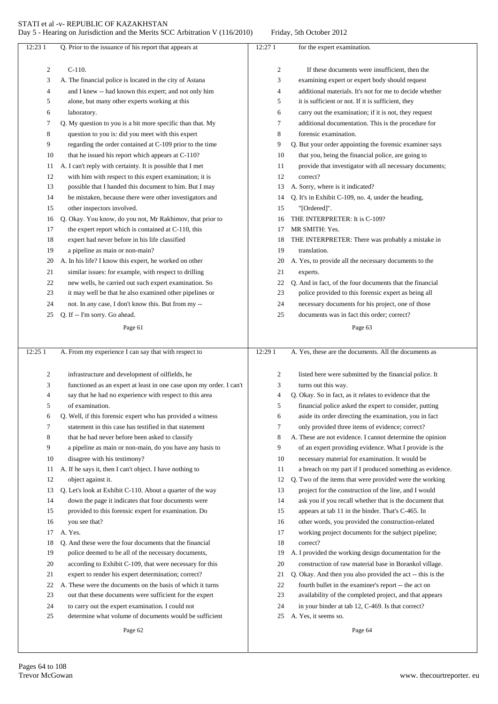| 12:23 1        | Q. Prior to the issuance of his report that appears at                                                     | 12:27 1        | for the expert examination.                                               |
|----------------|------------------------------------------------------------------------------------------------------------|----------------|---------------------------------------------------------------------------|
|                |                                                                                                            |                |                                                                           |
| 2              | $C-110.$                                                                                                   | $\mathbf{2}$   | If these documents were insufficient, then the                            |
| 3              | A. The financial police is located in the city of Astana                                                   | 3              | examining expert or expert body should request                            |
| 4              | and I knew -- had known this expert; and not only him                                                      | 4              | additional materials. It's not for me to decide whether                   |
| 5              | alone, but many other experts working at this                                                              | 5              | it is sufficient or not. If it is sufficient, they                        |
| 6              | laboratory.                                                                                                | 6              | carry out the examination; if it is not, they request                     |
| 7              | Q. My question to you is a bit more specific than that. My                                                 | 7              | additional documentation. This is the procedure for                       |
| 8              | question to you is: did you meet with this expert                                                          | 8              | forensic examination.                                                     |
| 9              | regarding the order contained at C-109 prior to the time                                                   | 9              | Q. But your order appointing the forensic examiner says                   |
| 10             | that he issued his report which appears at C-110?                                                          | 10             | that you, being the financial police, are going to                        |
| 11             | A. I can't reply with certainty. It is possible that I met                                                 | 11             | provide that investigator with all necessary documents;                   |
| 12             | with him with respect to this expert examination; it is                                                    | 12             | correct?                                                                  |
| 13             | possible that I handed this document to him. But I may                                                     | 13             | A. Sorry, where is it indicated?                                          |
| 14             | be mistaken, because there were other investigators and                                                    | 14             | Q. It's in Exhibit C-109, no. 4, under the heading,                       |
| 15             | other inspectors involved.                                                                                 | 15             | "[Ordered]".                                                              |
| 16             | Q. Okay. You know, do you not, Mr Rakhimov, that prior to                                                  | 16             | THE INTERPRETER: It is C-109?                                             |
| 17             | the expert report which is contained at C-110, this                                                        | 17             | MR SMITH: Yes.                                                            |
| 18             | expert had never before in his life classified                                                             | 18             | THE INTERPRETER: There was probably a mistake in                          |
| 19             | a pipeline as main or non-main?                                                                            | 19             | translation.                                                              |
| 20             | A. In his life? I know this expert, he worked on other                                                     | 20             | A. Yes, to provide all the necessary documents to the                     |
| 21             | similar issues: for example, with respect to drilling                                                      | 21             | experts.                                                                  |
| 22             | new wells, he carried out such expert examination. So                                                      | 22             | Q. And in fact, of the four documents that the financial                  |
| 23             | it may well be that he also examined other pipelines or                                                    | 23             | police provided to this forensic expert as being all                      |
| 24             | not. In any case, I don't know this. But from my --                                                        | 24             | necessary documents for his project, one of those                         |
| 25             | Q. If -- I'm sorry. Go ahead.                                                                              | 25             | documents was in fact this order; correct?                                |
|                | Page 61                                                                                                    |                | Page 63                                                                   |
|                |                                                                                                            |                |                                                                           |
|                |                                                                                                            |                |                                                                           |
| 12:25 1        | A. From my experience I can say that with respect to                                                       | 12:29 1        | A. Yes, these are the documents. All the documents as                     |
|                |                                                                                                            |                |                                                                           |
| $\overline{2}$ | infrastructure and development of oilfields, he                                                            | 2              | listed here were submitted by the financial police. It                    |
| 3              | functioned as an expert at least in one case upon my order. I can't                                        | 3              | turns out this way.                                                       |
| 4              | say that he had no experience with respect to this area                                                    | $\overline{4}$ | Q. Okay. So in fact, as it relates to evidence that the                   |
| 5              | of examination.                                                                                            | 5              | financial police asked the expert to consider, putting                    |
| 6              | Q. Well, if this forensic expert who has provided a witness                                                | 6              | aside its order directing the examination, you in fact                    |
| 7              | statement in this case has testified in that statement                                                     | 7              | only provided three items of evidence; correct?                           |
| 8              | that he had never before been asked to classify                                                            | 8              | A. These are not evidence. I cannot determine the opinion                 |
| 9              | a pipeline as main or non-main, do you have any basis to                                                   | 9              | of an expert providing evidence. What I provide is the                    |
| 10             | disagree with his testimony?                                                                               | 10             | necessary material for examination. It would be                           |
| 11             | A. If he says it, then I can't object. I have nothing to                                                   | 11             | a breach on my part if I produced something as evidence.                  |
| 12             | object against it.                                                                                         | 12             | Q. Two of the items that were provided were the working                   |
| 13             | Q. Let's look at Exhibit C-110. About a quarter of the way                                                 | 13             | project for the construction of the line, and I would                     |
| 14             | down the page it indicates that four documents were                                                        | 14             | ask you if you recall whether that is the document that                   |
| 15             | provided to this forensic expert for examination. Do                                                       | 15             | appears at tab 11 in the binder. That's C-465. In                         |
| 16             | you see that?                                                                                              | 16             | other words, you provided the construction-related                        |
| 17             | A. Yes.                                                                                                    | 17             | working project documents for the subject pipeline;                       |
| 18             | Q. And these were the four documents that the financial                                                    | 18             | correct?                                                                  |
| 19             | police deemed to be all of the necessary documents,                                                        | 19             | A. I provided the working design documentation for the                    |
| 20             | according to Exhibit C-109, that were necessary for this                                                   | 20             | construction of raw material base in Borankol village.                    |
| 21             | expert to render his expert determination; correct?                                                        | 21             | Q. Okay. And then you also provided the act -- this is the                |
| 22<br>23       | A. These were the documents on the basis of which it turns                                                 | 22<br>23       | fourth bullet in the examiner's report -- the act on                      |
| 24             | out that these documents were sufficient for the expert                                                    | 24             | availability of the completed project, and that appears                   |
| 25             | to carry out the expert examination. I could not<br>determine what volume of documents would be sufficient | 25             | in your binder at tab 12, C-469. Is that correct?<br>A. Yes, it seems so. |
|                | Page 62                                                                                                    |                | Page 64                                                                   |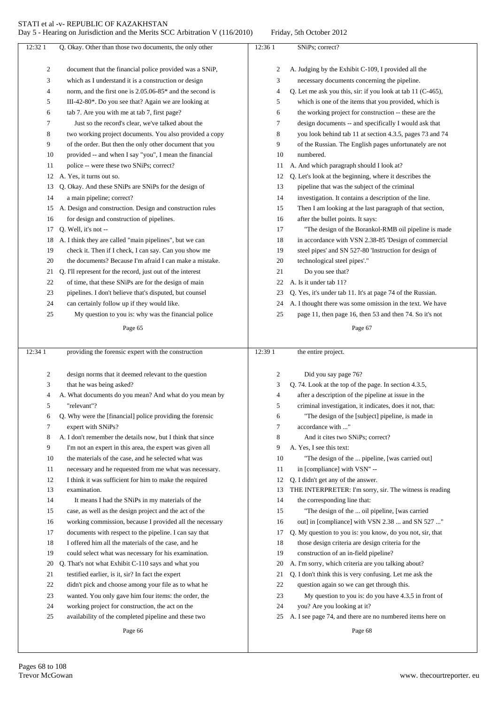| 12:32 1        | Q. Okay. Other than those two documents, the only other                | 12:36 1        | SNiPs; correct?                                                                               |
|----------------|------------------------------------------------------------------------|----------------|-----------------------------------------------------------------------------------------------|
| $\overline{2}$ | document that the financial police provided was a SNiP,                | 2              | A. Judging by the Exhibit C-109, I provided all the                                           |
| 3              | which as I understand it is a construction or design                   | 3              | necessary documents concerning the pipeline.                                                  |
| 4              | norm, and the first one is 2.05.06-85* and the second is               | 4              | Q. Let me ask you this, sir: if you look at tab 11 (C-465),                                   |
| 5              | III-42-80*. Do you see that? Again we are looking at                   | 5              | which is one of the items that you provided, which is                                         |
| 6              | tab 7. Are you with me at tab 7, first page?                           | 6              | the working project for construction -- these are the                                         |
| 7              | Just so the record's clear, we've talked about the                     | 7              | design documents -- and specifically I would ask that                                         |
| 8              | two working project documents. You also provided a copy                | 8              | you look behind tab 11 at section 4.3.5, pages 73 and 74                                      |
| 9              | of the order. But then the only other document that you                | 9              | of the Russian. The English pages unfortunately are not                                       |
| 10             | provided -- and when I say "you", I mean the financial                 | 10             | numbered.                                                                                     |
| 11             | police -- were these two SNiPs; correct?                               | 11             | A. And which paragraph should I look at?                                                      |
| 12             | A. Yes, it turns out so.                                               | 12             | Q. Let's look at the beginning, where it describes the                                        |
| 13             | Q. Okay. And these SNiPs are SNiPs for the design of                   | 13             | pipeline that was the subject of the criminal                                                 |
| 14             | a main pipeline; correct?                                              | 14             | investigation. It contains a description of the line.                                         |
| 15             | A. Design and construction. Design and construction rules              | 15             | Then I am looking at the last paragraph of that section,                                      |
| 16             | for design and construction of pipelines.                              | 16             | after the bullet points. It says:                                                             |
| 17             | Q. Well, it's not --                                                   | 17             | "The design of the Borankol-RMB oil pipeline is made                                          |
| 18             | A. I think they are called "main pipelines", but we can                | 18             | in accordance with VSN 2.38-85 'Design of commercial                                          |
| 19             | check it. Then if I check, I can say. Can you show me                  | 19             | steel pipes' and SN 527-80 'Instruction for design of                                         |
| 20             | the documents? Because I'm afraid I can make a mistake.                | 20             | technological steel pipes'."                                                                  |
| 21             | Q. I'll represent for the record, just out of the interest             | 21             | Do you see that?                                                                              |
| 22             | of time, that these SNiPs are for the design of main                   | 22             | A. Is it under tab 11?                                                                        |
| 23             | pipelines. I don't believe that's disputed, but counsel                | 23             | Q. Yes, it's under tab 11. It's at page 74 of the Russian.                                    |
| 24             | can certainly follow up if they would like.                            | 24             | A. I thought there was some omission in the text. We have                                     |
| 25             | My question to you is: why was the financial police                    | 25             | page 11, then page 16, then 53 and then 74. So it's not                                       |
|                | Page 65                                                                |                | Page 67                                                                                       |
|                |                                                                        |                |                                                                                               |
| 12:34 1        | providing the forensic expert with the construction                    | 12:39 1        | the entire project.                                                                           |
|                |                                                                        |                |                                                                                               |
| $\overline{2}$ | design norms that it deemed relevant to the question                   | 2              | Did you say page 76?                                                                          |
| 3              | that he was being asked?                                               | 3              | Q. 74. Look at the top of the page. In section 4.3.5,                                         |
| $\overline{4}$ | A. What documents do you mean? And what do you mean by                 | $\overline{4}$ | after a description of the pipeline at issue in the                                           |
| 5              | "relevant"?                                                            | 5              | criminal investigation, it indicates, does it not, that:                                      |
| 6              | Q. Why were the [financial] police providing the forensic              | 6              | "The design of the [subject] pipeline, is made in                                             |
| 7              | expert with SNiPs?                                                     | $\tau$         | accordance with "                                                                             |
| 8              | A. I don't remember the details now, but I think that since            | 8              | And it cites two SNiPs; correct?                                                              |
| 9              | I'm not an expert in this area, the expert was given all               | 9              | A. Yes, I see this text:                                                                      |
| 10             | the materials of the case, and he selected what was                    | 10             | "The design of the  pipeline, [was carried out]                                               |
| 11             | necessary and he requested from me what was necessary.                 | 11             | in [compliance] with VSN" --                                                                  |
| 12<br>13       | I think it was sufficient for him to make the required<br>examination. | 12<br>13       | Q. I didn't get any of the answer.<br>THE INTERPRETER: I'm sorry, sir. The witness is reading |
| 14             | It means I had the SNiPs in my materials of the                        | 14             | the corresponding line that:                                                                  |
| 15             | case, as well as the design project and the act of the                 | 15             | "The design of the  oil pipeline, [was carried                                                |
| 16             | working commission, because I provided all the necessary               | 16             | out] in [compliance] with VSN 2.38  and SN 527 "                                              |
| 17             | documents with respect to the pipeline. I can say that                 | 17             | Q. My question to you is: you know, do you not, sir, that                                     |
| 18             | I offered him all the materials of the case, and he                    | 18             | those design criteria are design criteria for the                                             |
| 19             | could select what was necessary for his examination.                   | 19             | construction of an in-field pipeline?                                                         |
| 20             | Q. That's not what Exhibit C-110 says and what you                     | 20             | A. I'm sorry, which criteria are you talking about?                                           |
| 21             | testified earlier, is it, sir? In fact the expert                      | 21             | Q. I don't think this is very confusing. Let me ask the                                       |
| 22             | didn't pick and choose among your file as to what he                   | 22             | question again so we can get through this.                                                    |
| 23             | wanted. You only gave him four items: the order, the                   | 23             | My question to you is: do you have 4.3.5 in front of                                          |
| 24             | working project for construction, the act on the                       | 24             | you? Are you looking at it?                                                                   |
| 25             | availability of the completed pipeline and these two                   | 25             | A. I see page 74, and there are no numbered items here on                                     |
|                | Page 66                                                                |                | Page 68                                                                                       |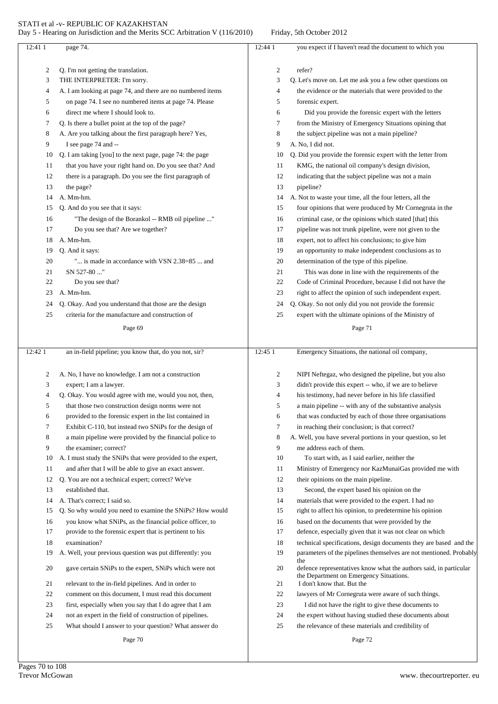| 12:41 1  | page 74.                                                    | 12:44 1  | you expect if I haven't read the document to which you                                                                                                                             |
|----------|-------------------------------------------------------------|----------|------------------------------------------------------------------------------------------------------------------------------------------------------------------------------------|
|          |                                                             |          |                                                                                                                                                                                    |
| 2        | Q. I'm not getting the translation.                         | 2        | refer?                                                                                                                                                                             |
| 3        | THE INTERPRETER: I'm sorry.                                 | 3        | Q. Let's move on. Let me ask you a few other questions on                                                                                                                          |
| 4        | A. I am looking at page 74, and there are no numbered items | 4        | the evidence or the materials that were provided to the                                                                                                                            |
| 5        | on page 74. I see no numbered items at page 74. Please      | 5        | forensic expert.                                                                                                                                                                   |
| 6        | direct me where I should look to.                           | 6        | Did you provide the forensic expert with the letters                                                                                                                               |
| 7        | Q. Is there a bullet point at the top of the page?          | 7        | from the Ministry of Emergency Situations opining that                                                                                                                             |
| 8        | A. Are you talking about the first paragraph here? Yes,     | 8        | the subject pipeline was not a main pipeline?                                                                                                                                      |
| 9        | I see page 74 and --                                        | 9        | A. No, I did not.                                                                                                                                                                  |
| 10       | Q. I am taking [you] to the next page, page 74: the page    | 10       | Q. Did you provide the forensic expert with the letter from                                                                                                                        |
| 11       | that you have your right hand on. Do you see that? And      | 11       | KMG, the national oil company's design division,                                                                                                                                   |
| 12       | there is a paragraph. Do you see the first paragraph of     | 12       | indicating that the subject pipeline was not a main                                                                                                                                |
| 13       | the page?                                                   | 13       | pipeline?                                                                                                                                                                          |
| 14       | A. Mm-hm.                                                   | 14       | A. Not to waste your time, all the four letters, all the                                                                                                                           |
| 15       | Q. And do you see that it says:                             | 15       | four opinions that were produced by Mr Cornegruta in the                                                                                                                           |
| 16       | "The design of the Borankol -- RMB oil pipeline "           | 16       | criminal case, or the opinions which stated [that] this                                                                                                                            |
| 17       | Do you see that? Are we together?                           | 17       | pipeline was not trunk pipeline, were not given to the                                                                                                                             |
| 18       | A. Mm-hm.                                                   | 18       | expert, not to affect his conclusions; to give him                                                                                                                                 |
| 19       | O. And it says:                                             | 19       | an opportunity to make independent conclusions as to                                                                                                                               |
| 20       | " is made in accordance with VSN 2.38=85  and               | 20       | determination of the type of this pipeline.                                                                                                                                        |
| 21       | SN 527-80 "                                                 | 21       | This was done in line with the requirements of the                                                                                                                                 |
| 22       | Do you see that?                                            | 22       | Code of Criminal Procedure, because I did not have the                                                                                                                             |
|          |                                                             |          |                                                                                                                                                                                    |
| 23       | A. Mm-hm.                                                   | 23       | right to affect the opinion of such independent expert.                                                                                                                            |
| 24       | Q. Okay. And you understand that those are the design       | 24       | Q. Okay. So not only did you not provide the forensic                                                                                                                              |
| 25       | criteria for the manufacture and construction of            | 25       | expert with the ultimate opinions of the Ministry of                                                                                                                               |
|          | Page 69                                                     |          | Page 71                                                                                                                                                                            |
|          |                                                             |          |                                                                                                                                                                                    |
|          |                                                             |          |                                                                                                                                                                                    |
| 12:42 1  | an in-field pipeline; you know that, do you not, sir?       | 12:45 1  | Emergency Situations, the national oil company,                                                                                                                                    |
|          |                                                             |          |                                                                                                                                                                                    |
| 2        | A. No, I have no knowledge. I am not a construction         | 2        | NIPI Neftegaz, who designed the pipeline, but you also                                                                                                                             |
| 3        | expert; I am a lawyer.                                      | 3        | didn't provide this expert -- who, if we are to believe                                                                                                                            |
| 4        | Q. Okay. You would agree with me, would you not, then,      | 4        | his testimony, had never before in his life classified                                                                                                                             |
| 5        | that those two construction design norms were not           | 5        | a main pipeline -- with any of the substantive analysis                                                                                                                            |
| 6        | provided to the forensic expert in the list contained in    | 6        | that was conducted by each of those three organisations                                                                                                                            |
| 7        | Exhibit C-110, but instead two SNiPs for the design of      | 7        | in reaching their conclusion; is that correct?                                                                                                                                     |
| 8        | a main pipeline were provided by the financial police to    | 8        | A. Well, you have several portions in your question, so let                                                                                                                        |
| 9        | the examiner; correct?                                      | 9        | me address each of them.                                                                                                                                                           |
| 10       | A. I must study the SNiPs that were provided to the expert, | 10       | To start with, as I said earlier, neither the                                                                                                                                      |
| 11       | and after that I will be able to give an exact answer.      | 11       | Ministry of Emergency nor KazMunaiGas provided me with                                                                                                                             |
| 12       | Q. You are not a technical expert; correct? We've           | 12       | their opinions on the main pipeline.                                                                                                                                               |
| 13       | established that.                                           | 13       | Second, the expert based his opinion on the                                                                                                                                        |
| 14       | A. That's correct; I said so.                               | 14       |                                                                                                                                                                                    |
| 15       | Q. So why would you need to examine the SNiPs? How would    | 15       | materials that were provided to the expert. I had no<br>right to affect his opinion, to predetermine his opinion                                                                   |
|          |                                                             |          |                                                                                                                                                                                    |
| 16<br>17 | you know what SNiPs, as the financial police officer, to    | 16<br>17 | based on the documents that were provided by the                                                                                                                                   |
|          | provide to the forensic expert that is pertinent to his     |          | defence, especially given that it was not clear on which                                                                                                                           |
| 18       | examination?                                                | 18       | technical specifications, design documents they are based and the                                                                                                                  |
| 19       | A. Well, your previous question was put differently: you    | 19       | the                                                                                                                                                                                |
| 20       | gave certain SNiPs to the expert, SNiPs which were not      | 20       | parameters of the pipelines themselves are not mentioned. Probably<br>defence representatives know what the authors said, in particular<br>the Department on Emergency Situations. |
| 21       | relevant to the in-field pipelines. And in order to         | 21       | I don't know that. But the                                                                                                                                                         |
| $22\,$   | comment on this document, I must read this document         | 22       | lawyers of Mr Cornegruta were aware of such things.                                                                                                                                |
| 23       | first, especially when you say that I do agree that I am    | 23       | I did not have the right to give these documents to                                                                                                                                |
| 24       | not an expert in the field of construction of pipelines.    | 24       | the expert without having studied these documents about                                                                                                                            |
| 25       | What should I answer to your question? What answer do       | 25       | the relevance of these materials and credibility of                                                                                                                                |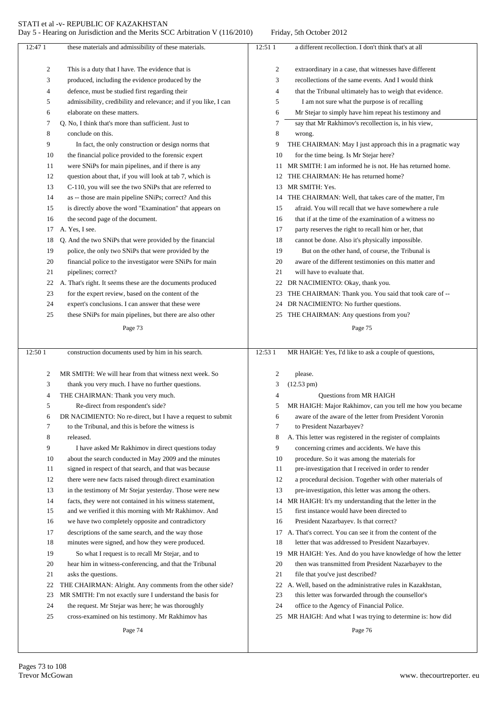| 12:47 1        | these materials and admissibility of these materials.            | 12:51 1 | a different recollection. I don't think that's at all       |
|----------------|------------------------------------------------------------------|---------|-------------------------------------------------------------|
| $\overline{c}$ | This is a duty that I have. The evidence that is                 | 2       | extraordinary in a case, that witnesses have different      |
| 3              | produced, including the evidence produced by the                 | 3       | recollections of the same events. And I would think         |
| 4              | defence, must be studied first regarding their                   | 4       | that the Tribunal ultimately has to weigh that evidence.    |
| 5              | admissibility, credibility and relevance; and if you like, I can | 5       | I am not sure what the purpose is of recalling              |
| 6              | elaborate on these matters.                                      | 6       | Mr Stejar to simply have him repeat his testimony and       |
| 7              | Q. No, I think that's more than sufficient. Just to              | 7       | say that Mr Rakhimov's recollection is, in his view,        |
| 8              | conclude on this.                                                | 8       | wrong.                                                      |
| 9              | In fact, the only construction or design norms that              | 9       | THE CHAIRMAN: May I just approach this in a pragmatic way   |
| 10             | the financial police provided to the forensic expert             | 10      | for the time being. Is Mr Stejar here?                      |
| 11             | were SNiPs for main pipelines, and if there is any               | 11      | MR SMITH: I am informed he is not. He has returned home.    |
| 12             | question about that, if you will look at tab 7, which is         | 12      | THE CHAIRMAN: He has returned home?                         |
| 13             | C-110, you will see the two SNiPs that are referred to           | 13      | MR SMITH: Yes.                                              |
| 14             | as -- those are main pipeline SNiPs; correct? And this           |         | 14 THE CHAIRMAN: Well, that takes care of the matter, I'm   |
| 15             | is directly above the word "Examination" that appears on         | 15      | afraid. You will recall that we have somewhere a rule       |
| 16             | the second page of the document.                                 | 16      | that if at the time of the examination of a witness no      |
| 17             | A. Yes, I see.                                                   | 17      |                                                             |
|                |                                                                  |         | party reserves the right to recall him or her, that         |
| 18             | Q. And the two SNiPs that were provided by the financial         | 18      | cannot be done. Also it's physically impossible.            |
| 19             | police, the only two SNiPs that were provided by the             | 19      | But on the other hand, of course, the Tribunal is           |
| 20             | financial police to the investigator were SNiPs for main         | 20      | aware of the different testimonies on this matter and       |
| 21             | pipelines; correct?                                              | 21      | will have to evaluate that.                                 |
| 22             | A. That's right. It seems these are the documents produced       |         | 22 DR NACIMIENTO: Okay, thank you.                          |
| 23             | for the expert review, based on the content of the               | 23      | THE CHAIRMAN: Thank you. You said that took care of --      |
| 24             | expert's conclusions. I can answer that these were               | 24      | DR NACIMIENTO: No further questions.                        |
| 25             | these SNiPs for main pipelines, but there are also other         |         | 25 THE CHAIRMAN: Any questions from you?                    |
|                | Page 73                                                          |         | Page 75                                                     |
|                |                                                                  |         |                                                             |
| 12:50 1        | construction documents used by him in his search.                | 12:53 1 | MR HAIGH: Yes, I'd like to ask a couple of questions,       |
| 2              | MR SMITH: We will hear from that witness next week. So           | 2       | please.                                                     |
| 3              | thank you very much. I have no further questions.                | 3       | $(12.53 \text{ pm})$                                        |
| $\overline{4}$ | THE CHAIRMAN: Thank you very much.                               | 4       | Questions from MR HAIGH                                     |
| 5              | Re-direct from respondent's side?                                | 5       | MR HAIGH: Major Rakhimov, can you tell me how you became    |
| 6              | DR NACIMIENTO: No re-direct, but I have a request to submit      | 6       | aware of the aware of the letter from President Voronin     |
| 7              | to the Tribunal, and this is before the witness is               | 7       | to President Nazarbayev?                                    |
| 8              | released.                                                        | 8       | A. This letter was registered in the register of complaints |
| 9              | I have asked Mr Rakhimov in direct questions today               | 9       | concerning crimes and accidents. We have this               |
| 10             | about the search conducted in May 2009 and the minutes           | 10      | procedure. So it was among the materials for                |
| 11             | signed in respect of that search, and that was because           | 11      | pre-investigation that I received in order to render        |
| 12             | there were new facts raised through direct examination           | 12      | a procedural decision. Together with other materials of     |
| 13             | in the testimony of Mr Stejar yesterday. Those were new          | 13      | pre-investigation, this letter was among the others.        |
| 14             | facts, they were not contained in his witness statement,         |         | 14 MR HAIGH: It's my understanding that the letter in the   |
| 15             | and we verified it this morning with Mr Rakhimov. And            | 15      | first instance would have been directed to                  |
| 16             | we have two completely opposite and contradictory                | 16      | President Nazarbayev. Is that correct?                      |
| 17             | descriptions of the same search, and the way those               | 17      | A. That's correct. You can see it from the content of the   |
| 18             | minutes were signed, and how they were produced.                 | 18      | letter that was addressed to President Nazarbayev.          |
| 19             | So what I request is to recall Mr Stejar, and to                 | 19      | MR HAIGH: Yes. And do you have knowledge of how the letter  |
| 20             | hear him in witness-conferencing, and that the Tribunal          | 20      | then was transmitted from President Nazarbayev to the       |
| 21             | asks the questions.                                              | 21      | file that you've just described?                            |
| 22             | THE CHAIRMAN: Alright. Any comments from the other side?         | 22      | A. Well, based on the administrative rules in Kazakhstan,   |
| 23             | MR SMITH: I'm not exactly sure I understand the basis for        | 23      | this letter was forwarded through the counsellor's          |
| 24             |                                                                  |         |                                                             |
|                | the request. Mr Stejar was here; he was thoroughly               | 24      | office to the Agency of Financial Police.                   |
| 25             | cross-examined on his testimony. Mr Rakhimov has                 |         | 25 MR HAIGH: And what I was trying to determine is: how did |
|                | Page 74                                                          |         | Page 76                                                     |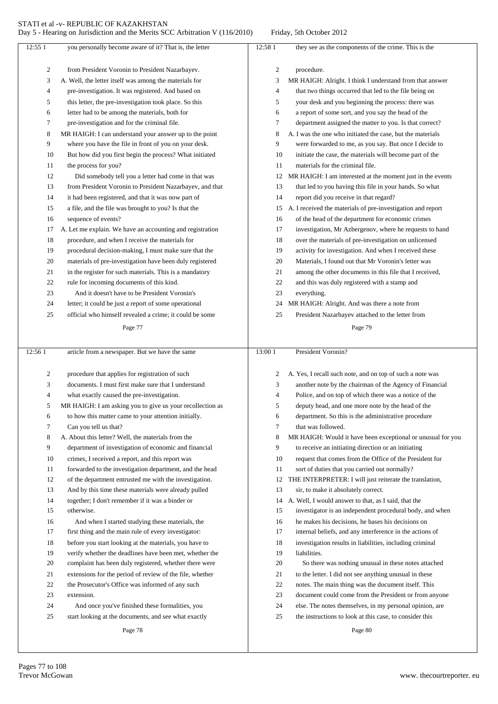| 12:55 1          | you personally become aware of it? That is, the letter          | they see as the components of the crime. This is the<br>12:58 1                                                         |
|------------------|-----------------------------------------------------------------|-------------------------------------------------------------------------------------------------------------------------|
| $\overline{2}$   | from President Voronin to President Nazarbayev.                 | $\overline{c}$<br>procedure.                                                                                            |
|                  |                                                                 |                                                                                                                         |
| 3                | A. Well, the letter itself was among the materials for          | MR HAIGH: Alright. I think I understand from that answer<br>3<br>that two things occurred that led to the file being on |
| $\overline{4}$   | pre-investigation. It was registered. And based on              | 4                                                                                                                       |
| 5                | this letter, the pre-investigation took place. So this          | your desk and you beginning the process: there was<br>5                                                                 |
| 6                | letter had to be among the materials, both for                  | a report of some sort, and you say the head of the<br>6                                                                 |
| 7                | pre-investigation and for the criminal file.                    | 7<br>department assigned the matter to you. Is that correct?                                                            |
| 8                | MR HAIGH: I can understand your answer up to the point          | 8<br>A. I was the one who initiated the case, but the materials                                                         |
| 9                | where you have the file in front of you on your desk.           | 9<br>were forwarded to me, as you say. But once I decide to                                                             |
| 10               | But how did you first begin the process? What initiated         | 10<br>initiate the case, the materials will become part of the                                                          |
| 11               | the process for you?                                            | materials for the criminal file.<br>11                                                                                  |
| 12               | Did somebody tell you a letter had come in that was             | MR HAIGH: I am interested at the moment just in the events<br>12                                                        |
| 13               | from President Voronin to President Nazarbayev, and that        | 13<br>that led to you having this file in your hands. So what                                                           |
| 14               | it had been registered, and that it was now part of             | 14<br>report did you receive in that regard?                                                                            |
| 15               | a file, and the file was brought to you? Is that the            | A. I received the materials of pre-investigation and report<br>15                                                       |
| 16               | sequence of events?                                             | of the head of the department for economic crimes<br>16                                                                 |
| 17               | A. Let me explain. We have an accounting and registration       | investigation, Mr Azbergenov, where he requests to hand<br>17                                                           |
| 18               | procedure, and when I receive the materials for                 | $18\,$<br>over the materials of pre-investigation on unlicensed                                                         |
| 19               | procedural decision-making, I must make sure that the           | 19<br>activity for investigation. And when I received these                                                             |
| 20               | materials of pre-investigation have been duly registered        | 20<br>Materials, I found out that Mr Voronin's letter was                                                               |
| 21               | in the register for such materials. This is a mandatory         | 21<br>among the other documents in this file that I received,                                                           |
| 22               | rule for incoming documents of this kind.                       | 22<br>and this was duly registered with a stamp and                                                                     |
| 23               | And it doesn't have to be President Voronin's                   | 23<br>everything.                                                                                                       |
| 24               | letter; it could be just a report of some operational           | MR HAIGH: Alright. And was there a note from<br>24                                                                      |
| 25               | official who himself revealed a crime; it could be some         | President Nazarbayev attached to the letter from<br>25                                                                  |
|                  |                                                                 |                                                                                                                         |
|                  | Page 77                                                         | Page 79                                                                                                                 |
|                  |                                                                 |                                                                                                                         |
|                  |                                                                 |                                                                                                                         |
| 12:56 1          | article from a newspaper. But we have the same                  | 13:00 1<br>President Voronin?                                                                                           |
| $\overline{c}$   | procedure that applies for registration of such                 | A. Yes, I recall such note, and on top of such a note was<br>2                                                          |
| 3                | documents. I must first make sure that I understand             | 3<br>another note by the chairman of the Agency of Financial                                                            |
| $\overline{4}$   | what exactly caused the pre-investigation.                      | $\overline{4}$<br>Police, and on top of which there was a notice of the                                                 |
| 5                | MR HAIGH: I am asking you to give us your recollection as       | 5                                                                                                                       |
| 6                |                                                                 | deputy head, and one more note by the head of the<br>6                                                                  |
| 7                | to how this matter came to your attention initially.            | department. So this is the administrative procedure<br>$\tau$<br>that was followed.                                     |
|                  | Can you tell us that?                                           | 8                                                                                                                       |
| $\,$ 8 $\,$<br>9 | A. About this letter? Well, the materials from the              | MR HAIGH: Would it have been exceptional or unusual for you<br>9                                                        |
|                  | department of investigation of economic and financial           | to receive an initiating direction or an initiating                                                                     |
| 10               | crimes, I received a report, and this report was                | request that comes from the Office of the President for<br>10                                                           |
| 11               | forwarded to the investigation department, and the head         | 11<br>sort of duties that you carried out normally?                                                                     |
| 12               | of the department entrusted me with the investigation.          | THE INTERPRETER: I will just reiterate the translation,<br>12                                                           |
| 13               | And by this time these materials were already pulled            | 13<br>sir, to make it absolutely correct.                                                                               |
| 14               | together; I don't remember if it was a binder or                | A. Well, I would answer to that, as I said, that the<br>14                                                              |
| 15               | otherwise.                                                      | investigator is an independent procedural body, and when<br>15                                                          |
| 16               | And when I started studying these materials, the                | 16<br>he makes his decisions, he bases his decisions on                                                                 |
| 17               | first thing and the main rule of every investigator:            | 17<br>internal beliefs, and any interference in the actions of                                                          |
| 18               | before you start looking at the materials, you have to          | 18<br>investigation results in liabilities, including criminal                                                          |
| 19               | verify whether the deadlines have been met, whether the         | 19<br>liabilities.                                                                                                      |
| 20               | complaint has been duly registered, whether there were          | 20<br>So there was nothing unusual in these notes attached                                                              |
| 21               | extensions for the period of review of the file, whether        | 21<br>to the letter. I did not see anything unusual in these                                                            |
| 22               | the Prosecutor's Office was informed of any such                | $22\,$<br>notes. The main thing was the document itself. This                                                           |
| 23               | extension.                                                      | 23<br>document could come from the President or from anyone                                                             |
| 24               | And once you've finished these formalities, you                 | 24<br>else. The notes themselves, in my personal opinion, are                                                           |
| 25               | start looking at the documents, and see what exactly<br>Page 78 | the instructions to look at this case, to consider this<br>25<br>Page 80                                                |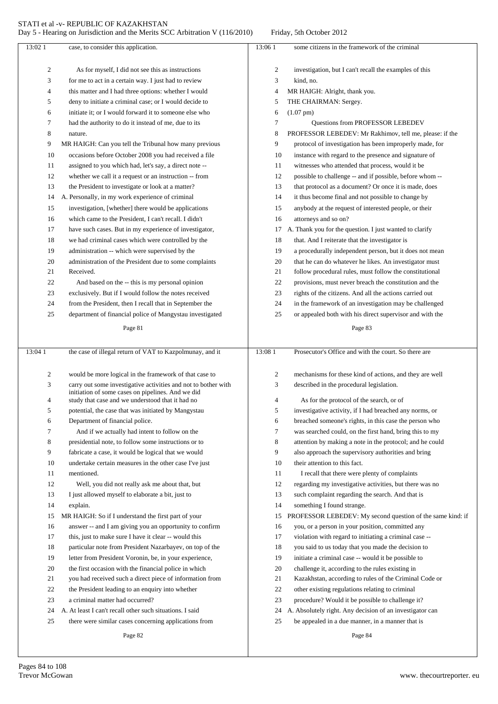# STATI et al -v- REPUBLIC OF KAZAKHSTAN<br>Day 5 - Hearing on Jurisdiction and the Merits SC

Day 5 - Hearing on Jurisdiction and the Merits SCC Arbitration V (116/2010) Friday, 5th October 2012

| 13:02 1        | case, to consider this application.                                                                   | 13:06 1<br>some citizens in the framework of the criminal       |
|----------------|-------------------------------------------------------------------------------------------------------|-----------------------------------------------------------------|
| $\overline{c}$ |                                                                                                       |                                                                 |
|                | As for myself, I did not see this as instructions                                                     | 2<br>investigation, but I can't recall the examples of this     |
| 3              | for me to act in a certain way. I just had to review                                                  | 3<br>kind, no.                                                  |
| $\overline{4}$ | this matter and I had three options: whether I would                                                  | 4<br>MR HAIGH: Alright, thank you.                              |
| 5              | deny to initiate a criminal case; or I would decide to                                                | 5<br>THE CHAIRMAN: Sergey.                                      |
| 6              | initiate it; or I would forward it to someone else who                                                | 6<br>$(1.07 \text{ pm})$                                        |
| $\tau$         | had the authority to do it instead of me, due to its                                                  | 7<br>Questions from PROFESSOR LEBEDEV                           |
| 8              | nature.                                                                                               | 8<br>PROFESSOR LEBEDEV: Mr Rakhimov, tell me, please: if the    |
| 9              | MR HAIGH: Can you tell the Tribunal how many previous                                                 | 9<br>protocol of investigation has been improperly made, for    |
| 10             | occasions before October 2008 you had received a file                                                 | 10<br>instance with regard to the presence and signature of     |
| 11             | assigned to you which had, let's say, a direct note --                                                | 11<br>witnesses who attended that process, would it be          |
| 12             | whether we call it a request or an instruction -- from                                                | 12<br>possible to challenge -- and if possible, before whom --  |
| 13             | the President to investigate or look at a matter?                                                     | 13<br>that protocol as a document? Or once it is made, does     |
| 14             | A. Personally, in my work experience of criminal                                                      | 14<br>it thus become final and not possible to change by        |
| 15             | investigation, [whether] there would be applications                                                  | 15<br>anybody at the request of interested people, or their     |
| 16             | which came to the President, I can't recall. I didn't                                                 | 16<br>attorneys and so on?                                      |
| 17             | have such cases. But in my experience of investigator,                                                | A. Thank you for the question. I just wanted to clarify<br>17   |
| 18             | we had criminal cases which were controlled by the                                                    | 18<br>that. And I reiterate that the investigator is            |
| 19             | administration -- which were supervised by the                                                        | 19<br>a procedurally independent person, but it does not mean   |
| 20             | administration of the President due to some complaints                                                | that he can do whatever he likes. An investigator must<br>20    |
| 21             | Received.                                                                                             | 21<br>follow procedural rules, must follow the constitutional   |
| 22             | And based on the -- this is my personal opinion                                                       | 22<br>provisions, must never breach the constitution and the    |
| 23             | exclusively. But if I would follow the notes received                                                 | 23<br>rights of the citizens. And all the actions carried out   |
| 24             | from the President, then I recall that in September the                                               | 24<br>in the framework of an investigation may be challenged    |
| 25             | department of financial police of Mangystau investigated                                              | 25<br>or appealed both with his direct supervisor and with the  |
|                | Page 81                                                                                               | Page 83                                                         |
| 13:04 1        | the case of illegal return of VAT to Kazpolmunay, and it                                              | 13:08 1<br>Prosecutor's Office and with the court. So there are |
|                |                                                                                                       |                                                                 |
| $\overline{c}$ | would be more logical in the framework of that case to                                                | 2<br>mechanisms for these kind of actions, and they are well    |
| 3              | carry out some investigative activities and not to bother with                                        | 3<br>described in the procedural legislation.                   |
| $\overline{4}$ | initiation of some cases on pipelines. And we did<br>study that case and we understood that it had no | 4<br>As for the protocol of the search, or of                   |
| 5              | potential, the case that was initiated by Mangystau                                                   | 5<br>investigative activity, if I had breached any norms, or    |
| 6              | Department of financial police.                                                                       | 6<br>breached someone's rights, in this case the person who     |
| 7              | And if we actually had intent to follow on the                                                        | 7<br>was searched could, on the first hand, bring this to my    |
| 8              | presidential note, to follow some instructions or to                                                  | 8<br>attention by making a note in the protocol; and he could   |
| 9              | fabricate a case, it would be logical that we would                                                   | 9<br>also approach the supervisory authorities and bring        |
| 10             | undertake certain measures in the other case I've just                                                | their attention to this fact.<br>10                             |
| 11             | mentioned.                                                                                            | I recall that there were plenty of complaints<br>11             |
| 12             | Well, you did not really ask me about that, but                                                       | 12<br>regarding my investigative activities, but there was no   |
| 13             | I just allowed myself to elaborate a bit, just to                                                     | 13<br>such complaint regarding the search. And that is          |
| 14             | explain.                                                                                              | something I found strange.<br>14                                |
| 15             | MR HAIGH: So if I understand the first part of your                                                   | 15 PROFESSOR LEBEDEV: My second question of the same kind: if   |
|                |                                                                                                       |                                                                 |

- 16 answer -- and I am giving you an opportunity to confirm 16 you, or a person in your position, committed any
- 17 this, just to make sure I have it clear -- would this 17 violation with regard to initiating a criminal case --
- 18 particular note from President Nazarbayev, on top of the 18 you said to us today that you made the decision to
- 19 letter from President Voronin, be, in your experience, 19 initiate a criminal case -- would it be possible to
- 20 the first occasion with the financial police in which 20 challenge it, according to the rules existing in
- 21 you had received such a direct piece of information from 21 Kazakhstan, according to rules of the Criminal Code or
- 22 the President leading to an enquiry into whether 22 other existing regulations relating to criminal
- 23 a criminal matter had occurred? 23 procedure? Would it be possible to challenge it?
- 24 A. At least I can't recall other such situations. I said 24 A. Absolutely right. Any decision of an investigator can
- 25 there were similar cases concerning applications from 25 be appealed in a due manner, in a manner that is

Page 82 **Page 84** Page 84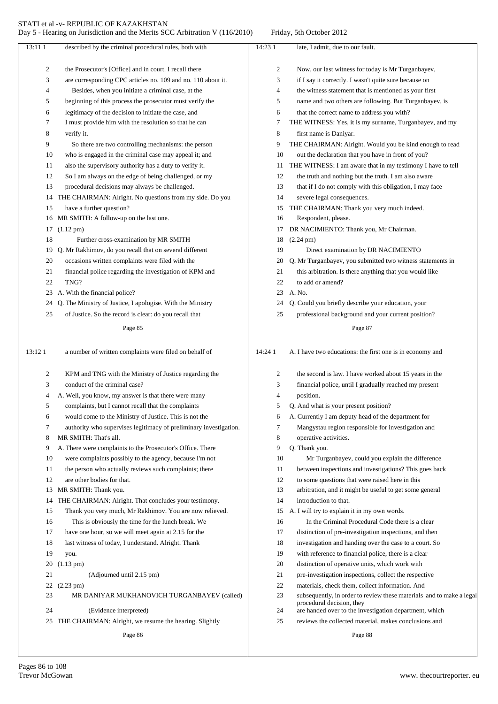| 13:11 1 | described by the criminal procedural rules, both with                | 14:23 1 | late, I admit, due to our fault.                                                                  |
|---------|----------------------------------------------------------------------|---------|---------------------------------------------------------------------------------------------------|
| 2       | the Prosecutor's [Office] and in court. I recall there               | 2       | Now, our last witness for today is Mr Turganbayev,                                                |
| 3       | are corresponding CPC articles no. 109 and no. 110 about it.         | 3       | if I say it correctly. I wasn't quite sure because on                                             |
| 4       | Besides, when you initiate a criminal case, at the                   | 4       | the witness statement that is mentioned as your first                                             |
| 5       | beginning of this process the prosecutor must verify the             | 5       | name and two others are following. But Turganbayev, is                                            |
| 6       | legitimacy of the decision to initiate the case, and                 | 6       | that the correct name to address you with?                                                        |
| 7       | I must provide him with the resolution so that he can                | 7       | THE WITNESS: Yes, it is my surname, Turganbayev, and my                                           |
| 8       | verify it.                                                           | 8       | first name is Daniyar.                                                                            |
| 9       | So there are two controlling mechanisms: the person                  | 9       | THE CHAIRMAN: Alright. Would you be kind enough to read                                           |
| 10      | who is engaged in the criminal case may appeal it; and               | 10      | out the declaration that you have in front of you?                                                |
|         |                                                                      |         |                                                                                                   |
| 11      | also the supervisory authority has a duty to verify it.              | 11      | THE WITNESS: I am aware that in my testimony I have to tell                                       |
| 12      | So I am always on the edge of being challenged, or my                | 12      | the truth and nothing but the truth. I am also aware                                              |
| 13      | procedural decisions may always be challenged.                       | 13      | that if I do not comply with this obligation, I may face                                          |
|         | 14 THE CHAIRMAN: Alright. No questions from my side. Do you          | 14      | severe legal consequences.                                                                        |
| 15      | have a further question?                                             | 15      | THE CHAIRMAN: Thank you very much indeed.                                                         |
|         | 16 MR SMITH: A follow-up on the last one.                            | 16      | Respondent, please.                                                                               |
| 17      | $(1.12 \text{ pm})$                                                  | 17      | DR NACIMIENTO: Thank you, Mr Chairman.                                                            |
| 18      | Further cross-examination by MR SMITH                                | 18      | $(2.24 \text{ pm})$                                                                               |
| 19      | Q. Mr Rakhimov, do you recall that on several different              | 19      | Direct examination by DR NACIMIENTO                                                               |
| 20      | occasions written complaints were filed with the                     | 20      | Q. Mr Turganbayev, you submitted two witness statements in                                        |
| 21      | financial police regarding the investigation of KPM and              | 21      | this arbitration. Is there anything that you would like                                           |
| 22      | TNG?                                                                 | 22      | to add or amend?                                                                                  |
| 23      | A. With the financial police?                                        | 23      | A. No.                                                                                            |
| 24      | Q. The Ministry of Justice, I apologise. With the Ministry           | 24      | Q. Could you briefly describe your education, your                                                |
| 25      | of Justice. So the record is clear: do you recall that               | 25      | professional background and your current position?                                                |
|         | Page 85                                                              |         | Page 87                                                                                           |
|         |                                                                      |         |                                                                                                   |
| 13:12 1 | a number of written complaints were filed on behalf of               | 14:24 1 | A. I have two educations: the first one is in economy and                                         |
|         |                                                                      |         |                                                                                                   |
| 2       | KPM and TNG with the Ministry of Justice regarding the               | 2       | the second is law. I have worked about 15 years in the                                            |
| 3       | conduct of the criminal case?                                        | 3       | financial police, until I gradually reached my present                                            |
| 4       | A. Well, you know, my answer is that there were many                 | 4       | position.                                                                                         |
| 5       | complaints, but I cannot recall that the complaints                  | 5       | Q. And what is your present position?                                                             |
| 6       | would come to the Ministry of Justice. This is not the               | 6       | A. Currently I am deputy head of the department for                                               |
| 7       | authority who supervises legitimacy of preliminary investigation.    | 7       | Mangystau region responsible for investigation and                                                |
| 8       | MR SMITH: That's all.                                                | 8       | operative activities.                                                                             |
| 9       | A. There were complaints to the Prosecutor's Office. There           | 9       | Q. Thank you.                                                                                     |
| 10      | were complaints possibly to the agency, because I'm not              | 10      |                                                                                                   |
| 11      |                                                                      |         | Mr Turganbayev, could you explain the difference                                                  |
|         | the person who actually reviews such complaints; there               | 11      | between inspections and investigations? This goes back                                            |
| 12      | are other bodies for that.                                           | 12      | to some questions that were raised here in this                                                   |
|         | 13 MR SMITH: Thank you.                                              | 13      | arbitration, and it might be useful to get some general                                           |
|         | 14 THE CHAIRMAN: Alright. That concludes your testimony.             | 14      | introduction to that.                                                                             |
| 15      | Thank you very much, Mr Rakhimov. You are now relieved.              | 15      | A. I will try to explain it in my own words.                                                      |
| 16      | This is obviously the time for the lunch break. We                   | 16      | In the Criminal Procedural Code there is a clear                                                  |
| 17      | have one hour, so we will meet again at 2.15 for the                 | 17      | distinction of pre-investigation inspections, and then                                            |
| 18      | last witness of today, I understand. Alright. Thank                  | 18      | investigation and handing over the case to a court. So                                            |
| 19      | you.                                                                 | 19      | with reference to financial police, there is a clear                                              |
| 20      | $(1.13 \text{ pm})$                                                  | 20      | distinction of operative units, which work with                                                   |
| 21      | (Adjourned until 2.15 pm)                                            | 21      | pre-investigation inspections, collect the respective                                             |
|         | 22 (2.23 pm)                                                         | 22      | materials, check them, collect information. And                                                   |
| 23      | MR DANIYAR MUKHANOVICH TURGANBAYEV (called)                          | 23      |                                                                                                   |
|         |                                                                      |         | subsequently, in order to review these materials and to make a legal<br>procedural decision, they |
| 24      | (Evidence interpreted)                                               | 24      | are handed over to the investigation department, which                                            |
|         | 25 THE CHAIRMAN: Alright, we resume the hearing. Slightly<br>Page 86 | 25      | reviews the collected material, makes conclusions and<br>Page 88                                  |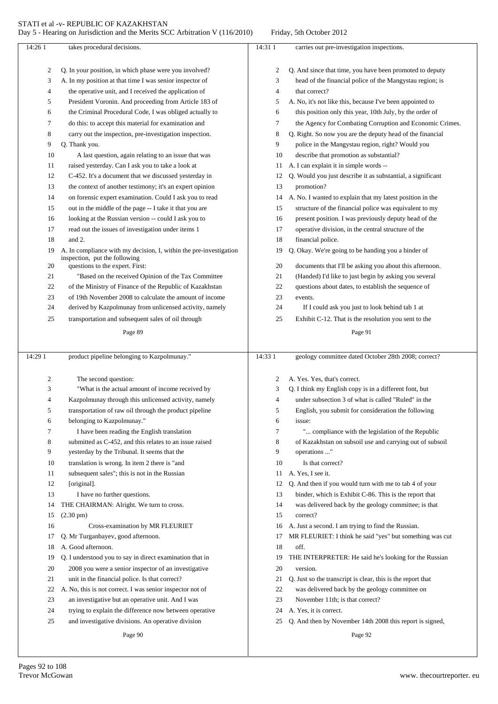| 14:261           | takes procedural decisions.                                                                         | 14:31 1 | carries out pre-investigation inspections.                  |
|------------------|-----------------------------------------------------------------------------------------------------|---------|-------------------------------------------------------------|
|                  |                                                                                                     |         |                                                             |
| 2                | Q. In your position, in which phase were you involved?                                              | 2       | Q. And since that time, you have been promoted to deputy    |
| 3                | A. In my position at that time I was senior inspector of                                            | 3       | head of the financial police of the Mangystau region; is    |
| 4                | the operative unit, and I received the application of                                               | 4       | that correct?                                               |
| 5                | President Voronin. And proceeding from Article 183 of                                               | 5       | A. No, it's not like this, because I've been appointed to   |
| 6                | the Criminal Procedural Code, I was obliged actually to                                             | 6       | this position only this year, 10th July, by the order of    |
| 7                | do this: to accept this material for examination and                                                | 7       | the Agency for Combating Corruption and Economic Crimes.    |
| 8                | carry out the inspection, pre-investigation inspection.                                             | 8       | Q. Right. So now you are the deputy head of the financial   |
| 9                | Q. Thank you.                                                                                       | 9       | police in the Mangystau region, right? Would you            |
| 10               | A last question, again relating to an issue that was                                                | 10      | describe that promotion as substantial?                     |
| 11               | raised yesterday. Can I ask you to take a look at                                                   | 11      | A. I can explain it in simple words --                      |
| 12               | C-452. It's a document that we discussed yesterday in                                               | 12      | Q. Would you just describe it as substantial, a significant |
| 13               | the context of another testimony; it's an expert opinion                                            | 13      | promotion?                                                  |
| 14               | on forensic expert examination. Could I ask you to read                                             | 14      | A. No. I wanted to explain that my latest position in the   |
| 15               | out in the middle of the page -- I take it that you are                                             | 15      | structure of the financial police was equivalent to my      |
| 16               | looking at the Russian version -- could I ask you to                                                | 16      | present position. I was previously deputy head of the       |
| 17               | read out the issues of investigation under items 1                                                  | 17      | operative division, in the central structure of the         |
| 18               | and 2.                                                                                              | 18      | financial police.                                           |
| 19               | A. In compliance with my decision, I, within the pre-investigation<br>inspection, put the following | 19      | Q. Okay. We're going to be handing you a binder of          |
| 20               | questions to the expert. First:                                                                     | 20      | documents that I'll be asking you about this afternoon.     |
| 21               | "Based on the received Opinion of the Tax Committee                                                 | 21      | (Handed) I'd like to just begin by asking you several       |
| 22               | of the Ministry of Finance of the Republic of Kazakhstan                                            | 22      | questions about dates, to establish the sequence of         |
| 23               | of 19th November 2008 to calculate the amount of income                                             | 23      | events.                                                     |
| 24               | derived by Kazpolmunay from unlicensed activity, namely                                             | 24      | If I could ask you just to look behind tab 1 at             |
| 25               | transportation and subsequent sales of oil through                                                  | 25      | Exhibit C-12. That is the resolution you sent to the        |
|                  | Page 89                                                                                             |         | Page 91                                                     |
|                  |                                                                                                     |         |                                                             |
| 14:29 1          | product pipeline belonging to Kazpolmunay."                                                         | 14:33 1 | geology committee dated October 28th 2008; correct?         |
| $\boldsymbol{2}$ | The second question:                                                                                | 2       | A. Yes. Yes, that's correct.                                |
| 3                | "What is the actual amount of income received by                                                    | 3       | Q. I think my English copy is in a different font, but      |
| 4                | Kazpolmunay through this unlicensed activity, namely                                                | 4       | under subsection 3 of what is called "Ruled" in the         |
| 5                | transportation of raw oil through the product pipeline                                              | 5       | English, you submit for consideration the following         |
| 6                | belonging to Kazpolmunay."                                                                          | 6       | issue:                                                      |
| 7                | I have been reading the English translation                                                         | 7       | " compliance with the legislation of the Republic           |
| 8                | submitted as C-452, and this relates to an issue raised                                             | 8       | of Kazakhstan on subsoil use and carrying out of subsoil    |
| 9                | yesterday by the Tribunal. It seems that the                                                        | 9       | operations "                                                |
| $10\,$           | translation is wrong. In item 2 there is "and                                                       | 10      | Is that correct?                                            |
| 11               | subsequent sales"; this is not in the Russian                                                       | 11      | A. Yes, I see it.                                           |
| 12               | [original].                                                                                         | 12      | Q. And then if you would turn with me to tab 4 of your      |
| 13               | I have no further questions.                                                                        | 13      | binder, which is Exhibit C-86. This is the report that      |
| 14               | THE CHAIRMAN: Alright. We turn to cross.                                                            | 14      | was delivered back by the geology committee; is that        |
| 15               | $(2.30 \text{ pm})$                                                                                 | 15      | correct?                                                    |
| 16               | Cross-examination by MR FLEURIET                                                                    | 16      | A. Just a second. I am trying to find the Russian.          |
| 17               | Q. Mr Turganbayev, good afternoon.                                                                  | 17      | MR FLEURIET: I think he said "yes" but something was cut    |
| 18               | A. Good afternoon.                                                                                  | 18      | off.                                                        |
| 19               | Q. I understood you to say in direct examination that in                                            | 19      | THE INTERPRETER: He said he's looking for the Russian       |
| 20               | 2008 you were a senior inspector of an investigative                                                | 20      | version.                                                    |
| 21               | unit in the financial police. Is that correct?                                                      | 21      | Q. Just so the transcript is clear, this is the report that |
| 22               | A. No, this is not correct. I was senior inspector not of                                           | 22      | was delivered back by the geology committee on              |
| 23               | an investigative but an operative unit. And I was                                                   | 23      | November 11th; is that correct?                             |
| 24               | trying to explain the difference now between operative                                              | 24      | A. Yes, it is correct.                                      |
| 25               | and investigative divisions. An operative division                                                  | 25      | Q. And then by November 14th 2008 this report is signed,    |
|                  |                                                                                                     |         |                                                             |
|                  | Page 90                                                                                             |         | Page 92                                                     |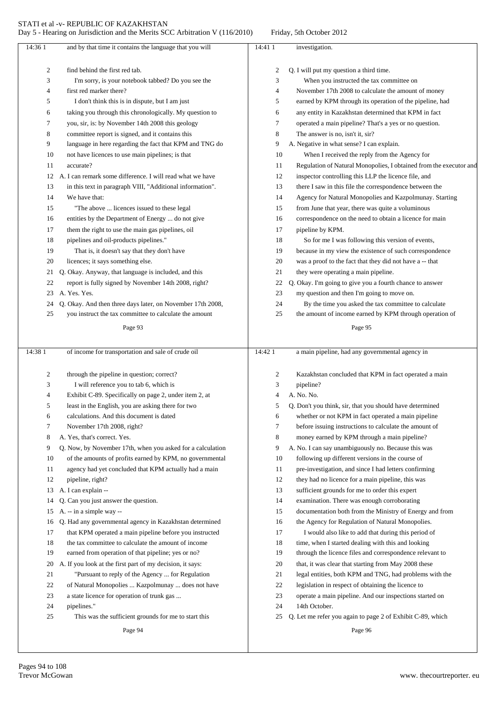|                | on surplacement and the metric beef intertation $\ell$ (110/2010) |                                                                |                                                                                                              |
|----------------|-------------------------------------------------------------------|----------------------------------------------------------------|--------------------------------------------------------------------------------------------------------------|
| 14:36 1        | and by that time it contains the language that you will           | 14:41 1<br>investigation.                                      |                                                                                                              |
| $\overline{c}$ | find behind the first red tab.                                    | Q. I will put my question a third time.<br>$\overline{c}$      |                                                                                                              |
| 3              | I'm sorry, is your notebook tabbed? Do you see the                | When you instructed the tax committee on<br>3                  |                                                                                                              |
| 4              | first red marker there?                                           | $\overline{4}$                                                 | November 17th 2008 to calculate the amount of money                                                          |
| 5              | I don't think this is in dispute, but I am just                   | 5                                                              | earned by KPM through its operation of the pipeline, had                                                     |
| 6              | taking you through this chronologically. My question to           | 6                                                              | any entity in Kazakhstan determined that KPM in fact                                                         |
| 7              | you, sir, is: by November 14th 2008 this geology                  | 7<br>operated a main pipeline? That's a yes or no question.    |                                                                                                              |
| 8              | committee report is signed, and it contains this                  | 8<br>The answer is no, isn't it, sir?                          |                                                                                                              |
| 9              | language in here regarding the fact that KPM and TNG do           | 9<br>A. Negative in what sense? I can explain.                 |                                                                                                              |
| 10             | not have licences to use main pipelines; is that                  | 10<br>When I received the reply from the Agency for            |                                                                                                              |
| 11             | accurate?                                                         | 11                                                             | Regulation of Natural Monopolies, I obtained from the executor and                                           |
| 12             | A. I can remark some difference. I will read what we have         | 12<br>inspector controlling this LLP the licence file, and     |                                                                                                              |
| 13             | in this text in paragraph VIII, "Additional information".         | 13                                                             | there I saw in this file the correspondence between the                                                      |
| 14             | We have that:                                                     | 14                                                             | Agency for Natural Monopolies and Kazpolmunay. Starting                                                      |
| 15             | "The above  licences issued to these legal                        | 15<br>from June that year, there was quite a voluminous        |                                                                                                              |
| 16             | entities by the Department of Energy  do not give                 | 16                                                             | correspondence on the need to obtain a licence for main                                                      |
| 17             | them the right to use the main gas pipelines, oil                 | 17<br>pipeline by KPM.                                         |                                                                                                              |
| 18             | pipelines and oil-products pipelines."                            | 18                                                             |                                                                                                              |
| 19             | That is, it doesn't say that they don't have                      | 19                                                             | So for me I was following this version of events,<br>because in my view the existence of such correspondence |
| 20             | licences; it says something else.                                 | 20<br>was a proof to the fact that they did not have a -- that |                                                                                                              |
|                |                                                                   |                                                                |                                                                                                              |
| 21             | Q. Okay. Anyway, that language is included, and this              | 21<br>they were operating a main pipeline.                     |                                                                                                              |
| 22             | report is fully signed by November 14th 2008, right?              | 22<br>Q. Okay. I'm going to give you a fourth chance to answer |                                                                                                              |
| 23             | A. Yes. Yes.                                                      | 23<br>my question and then I'm going to move on.               |                                                                                                              |
| 24             | Okay. And then three days later, on November 17th 2008,<br>Q.     | 24                                                             | By the time you asked the tax committee to calculate                                                         |
| 25             | you instruct the tax committee to calculate the amount            | 25                                                             | the amount of income earned by KPM through operation of                                                      |
|                | Page 93                                                           | Page 95                                                        |                                                                                                              |
| 14:38 1        | of income for transportation and sale of crude oil                | a main pipeline, had any governmental agency in<br>14:42 1     |                                                                                                              |
| 2              | through the pipeline in question; correct?                        | $\overline{c}$                                                 | Kazakhstan concluded that KPM in fact operated a main                                                        |
| 3              | I will reference you to tab 6, which is                           | 3<br>pipeline?                                                 |                                                                                                              |
| 4              | Exhibit C-89. Specifically on page 2, under item 2, at            | A. No. No.<br>4                                                |                                                                                                              |
| 5              | least in the English, you are asking there for two                | Q. Don't you think, sir, that you should have determined<br>5  |                                                                                                              |
| 6              | calculations. And this document is dated                          | whether or not KPM in fact operated a main pipeline<br>6       |                                                                                                              |
| 7              | November 17th 2008, right?                                        | 7<br>before issuing instructions to calculate the amount of    |                                                                                                              |
| 8              | A. Yes, that's correct. Yes.                                      | 8<br>money earned by KPM through a main pipeline?              |                                                                                                              |
| 9              | Q. Now, by November 17th, when you asked for a calculation        | 9<br>A. No. I can say unambiguously no. Because this was       |                                                                                                              |
| 10             | of the amounts of profits earned by KPM, no governmental          | following up different versions in the course of<br>10         |                                                                                                              |
| 11             | agency had yet concluded that KPM actually had a main             | pre-investigation, and since I had letters confirming<br>11    |                                                                                                              |
| 12             | pipeline, right?                                                  | 12<br>they had no licence for a main pipeline, this was        |                                                                                                              |
| 13             | A. I can explain --                                               | 13<br>sufficient grounds for me to order this expert           |                                                                                                              |
| 14             | Can you just answer the question.<br>Q.                           | 14<br>examination. There was enough corroborating              |                                                                                                              |
| 15             | -- in a simple way --<br>A.                                       | 15                                                             | documentation both from the Ministry of Energy and from                                                      |
| 16             | Q. Had any governmental agency in Kazakhstan determined           | 16<br>the Agency for Regulation of Natural Monopolies.         |                                                                                                              |
| 17             | that KPM operated a main pipeline before you instructed           | 17                                                             | I would also like to add that during this period of                                                          |
| 18             | the tax committee to calculate the amount of income               | 18<br>time, when I started dealing with this and looking       |                                                                                                              |
| 19             | earned from operation of that pipeline; yes or no?                | 19                                                             | through the licence files and correspondence relevant to                                                     |
| 20             | A. If you look at the first part of my decision, it says:         | 20<br>that, it was clear that starting from May 2008 these     |                                                                                                              |
| 21             | "Pursuant to reply of the Agency  for Regulation                  | 21                                                             | legal entities, both KPM and TNG, had problems with the                                                      |
| $22\,$         | of Natural Monopolies  Kazpolmunay  does not have                 | 22<br>legislation in respect of obtaining the licence to       |                                                                                                              |
|                |                                                                   |                                                                |                                                                                                              |
| 23             | a state licence for operation of trunk gas<br>pipelines."         | $23\,$<br>24<br>14th October.                                  | operate a main pipeline. And our inspections started on                                                      |
| 24<br>25       | This was the sufficient grounds for me to start this              | Q. Let me refer you again to page 2 of Exhibit C-89, which     |                                                                                                              |
|                |                                                                   | 25                                                             |                                                                                                              |
|                | Page 94                                                           | Page 96                                                        |                                                                                                              |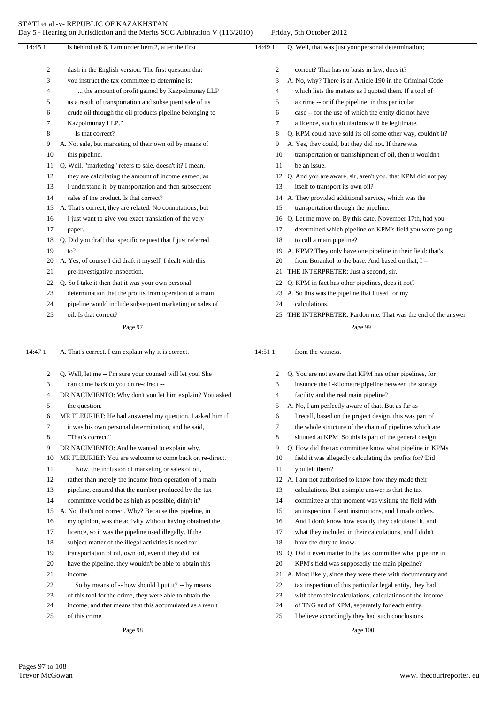Day 5 - Hearing on Jurisdiction and the Merits SCC Arbitration V (116/2010) Friday, 5th October 2012

| 14:45 1        | is behind tab 6. I am under item 2, after the first      | 14:49 1 | Q. Well, that was just your personal determination;         |
|----------------|----------------------------------------------------------|---------|-------------------------------------------------------------|
|                |                                                          |         |                                                             |
| $\overline{2}$ | dash in the English version. The first question that     | 2       | correct? That has no basis in law, does it?                 |
| 3              | you instruct the tax committee to determine is:          | 3       | A. No, why? There is an Article 190 in the Criminal Code    |
| 4              | " the amount of profit gained by Kazpolmunay LLP         | 4       | which lists the matters as I quoted them. If a tool of      |
| 5              | as a result of transportation and subsequent sale of its | 5       | a crime -- or if the pipeline, in this particular           |
| 6              | crude oil through the oil products pipeline belonging to | 6       | case -- for the use of which the entity did not have        |
|                | Kazpolmunay LLP."                                        | 7       | a licence, such calculations will be legitimate.            |
| 8              | Is that correct?                                         | 8       | O. KPM could have sold its oil some other way, couldn't it? |
| 9              | A. Not sale, but marketing of their own oil by means of  | 9       | A. Yes, they could, but they did not. If there was          |
| 10             | this pipeline.                                           | 10      | transportation or transshipment of oil, then it wouldn't    |

- 11 Q. Well, "marketing" refers to sale, doesn't it? I mean, 11 be an issue.
- 12 they are calculating the amount of income earned, as 12 Q. And you are aware, sir, aren't you, that KPM did not pay
- 13 I understand it, by transportation and then subsequent 14 sales of the product. Is that correct?
- 15 A. That's correct, they are related. No connotations, but
- 16 I just want to give you exact translation of the very
- 
- 18 Q. Did you draft that specific request that I just referred
- 
- 20 A. Yes, of course I did draft it myself. I dealt with this
- 21 pre-investigative inspection.
- 22 Q. So I take it then that it was your own personal
- 23 determination that the profits from operation of a main
- 24 pipeline would include subsequent marketing or sales of
- 

14:47 1 A. That's correct. I can explain why it is correct. 2 Q. Well, let me -- I'm sure your counsel will let you. She 3 can come back to you on re-direct --4 DR NACIMIENTO: Why don't you let him explain? You asked 5 the question.  $\begin{array}{ccc} 5 & A. \text{No, I am perfectly aware of that. But as far as } \end{array}$ 6 MR FLEURIET: He had answered my question. I asked him if 7 it was his own personal determination, and he said, 8 "That's correct." and the state of the general design.  $\begin{array}{ccc} 8 & \text{situated at KPM. So this is part of the general design.} \end{array}$ 9 DR NACIMIENTO: And he wanted to explain why. 10 MR FLEURIET: You are welcome to come back on re-direct. 11 Now, the inclusion of marketing or sales of oil, 12 rather than merely the income from operation of a main 13 pipeline, ensured that the number produced by the tax 14 committee would be as high as possible, didn't it? 15 A. No, that's not correct. Why? Because this pipeline, in 16 my opinion, was the activity without having obtained the 17 licence, so it was the pipeline used illegally. If the

- 18 subject-matter of the illegal activities is used for
- 19 transportation of oil, own oil, even if they did not
- 20 have the pipeline, they wouldn't be able to obtain this
- 22 So by means of -- how should I put it? -- by means
- 23 of this tool for the crime, they were able to obtain the
- 24 income, and that means that this accumulated as a result
- 

| $\overline{\phantom{0}}$ | they are calculating the allount of income carlied, a       |         | <i>T</i> that you are aware, <i>sir,</i> aren't you, that is in and not pay |
|--------------------------|-------------------------------------------------------------|---------|-----------------------------------------------------------------------------|
| 13                       | I understand it, by transportation and then subsequent      | 13      | itself to transport its own oil?                                            |
| 14                       | sales of the product. Is that correct?                      |         | 14 A. They provided additional service, which was the                       |
| 15                       | A. That's correct, they are related. No connotations, but   | 15      | transportation through the pipeline.                                        |
| 16                       | I just want to give you exact translation of the very       | 16      | Q. Let me move on. By this date, November 17th, had you                     |
| 17                       | paper.                                                      | 17      | determined which pipeline on KPM's field you were going                     |
| 18                       | Q. Did you draft that specific request that I just referred | 18      | to call a main pipeline?                                                    |
| 19                       | to?                                                         | 19      | A. KPM? They only have one pipeline in their field: that's                  |
| 20                       | A. Yes, of course I did draft it myself. I dealt with this  | 20      | from Borankol to the base. And based on that, I --                          |
| 21                       | pre-investigative inspection.                               | 21      | THE INTERPRETER: Just a second, sir.                                        |
| 22                       | Q. So I take it then that it was your own personal          | 22      | Q. KPM in fact has other pipelines, does it not?                            |
| 23                       | determination that the profits from operation of a main     | 23      | A. So this was the pipeline that I used for my                              |
| 24                       | pipeline would include subsequent marketing or sales of     | 24      | calculations.                                                               |
| 25                       | oil. Is that correct?                                       | 25      | THE INTERPRETER: Pardon me. That was the end of the answer                  |
|                          | Page 97                                                     |         | Page 99                                                                     |
|                          |                                                             |         |                                                                             |
|                          | A. That's correct. I can explain why it is correct.         | 14:51 1 | from the witness.                                                           |
|                          |                                                             |         |                                                                             |
| $\boldsymbol{2}$         | Q. Well, let me -- I'm sure your counsel will let you. She  | 2       | Q. You are not aware that KPM has other pipelines, for                      |
| 3                        | can come back to you on re-direct --                        | 3       | instance the 1-kilometre pipeline between the storage                       |
| 4                        | DR NACIMIENTO: Why don't you let him explain? You asked     | 4       | facility and the real main pipeline?                                        |
| 5                        | the question.                                               | 5       | A. No, I am perfectly aware of that. But as far as                          |
| 6                        | MR FLEURIET: He had answered my question. I asked him if    | 6       | I recall, based on the project design, this was part of                     |
| 7                        | it was his own personal determination, and he said,         | 7       | the whole structure of the chain of pipelines which are                     |
| 8                        | "That's correct."                                           | 8       | situated at KPM. So this is part of the general design.                     |
| 9                        | DR NACIMIENTO: And he wanted to explain why.                | 9       | Q. How did the tax committee know what pipeline in KPMs                     |
| 10                       | MR FLEURIET: You are welcome to come back on re-direct.     | 10      | field it was allegedly calculating the profits for? Did                     |
| 11                       | Now, the inclusion of marketing or sales of oil,            | 11      | you tell them?                                                              |
| 12                       | rather than merely the income from operation of a main      | 12      | A. I am not authorised to know how they made their                          |
| 13                       | pipeline, ensured that the number produced by the tax       | 13      | calculations. But a simple answer is that the tax                           |
| 14                       | committee would be as high as possible, didn't it?          | 14      | committee at that moment was visiting the field with                        |
| 15                       | A. No, that's not correct. Why? Because this pipeline, in   | 15      | an inspection. I sent instructions, and I made orders.                      |
| 16                       | my opinion, was the activity without having obtained the    | 16      | And I don't know how exactly they calculated it, and                        |
| 17                       | licence, so it was the pipeline used illegally. If the      | 17      | what they included in their calculations, and I didn't                      |
| 18                       | subject-matter of the illegal activities is used for        | 18      | have the duty to know.                                                      |
| 19                       | transportation of oil, own oil, even if they did not        |         | 19 Q. Did it even matter to the tax committee what pipeline in              |
| 20                       | have the pipeline, they wouldn't be able to obtain this     | 20      | KPM's field was supposedly the main pipeline?                               |
| 21                       | income.                                                     | 21      | A. Most likely, since they were there with documentary and                  |
| 22                       | So by means of -- how should I put it? -- by means          | $22\,$  | tax inspection of this particular legal entity, they had                    |
| 23                       | of this tool for the crime, they were able to obtain the    | 23      | with them their calculations, calculations of the income                    |
| 24                       | income, and that means that this accumulated as a result    | 24      | of TNG and of KPM, separately for each entity.                              |
| 25                       | of this crime.                                              | 25      | I believe accordingly they had such conclusions.                            |
|                          | Page 98                                                     |         | Page 100                                                                    |
|                          |                                                             |         |                                                                             |
|                          |                                                             |         |                                                                             |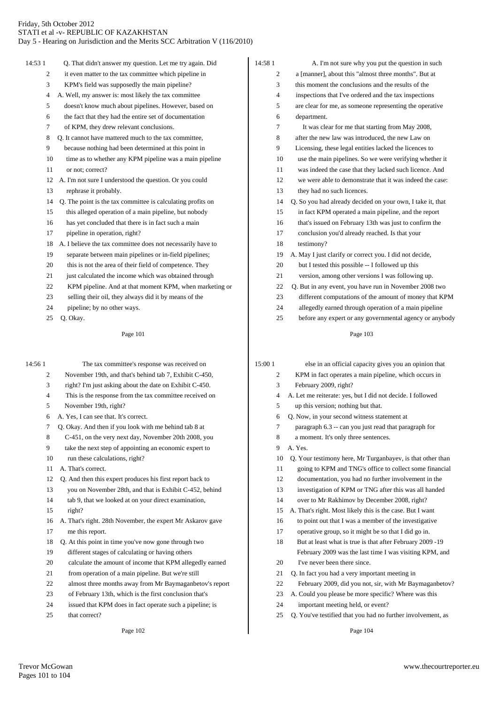14:53 1 Q. That didn't answer my question. Let me try again. Did

- it even matter to the tax committee which pipeline in
- KPM's field was supposedly the main pipeline?
- A. Well, my answer is: most likely the tax committee
- doesn't know much about pipelines. However, based on
- the fact that they had the entire set of documentation
- of KPM, they drew relevant conclusions.
- Q. It cannot have mattered much to the tax committee,
- because nothing had been determined at this point in
- time as to whether any KPM pipeline was a main pipeline
- 11 or not; correct?
- A. I'm not sure I understood the question. Or you could
- rephrase it probably.
- Q. The point is the tax committee is calculating profits on
- this alleged operation of a main pipeline, but nobody
- has yet concluded that there is in fact such a main
- pipeline in operation, right?
- A. I believe the tax committee does not necessarily have to
- separate between main pipelines or in-field pipelines;
- 20 this is not the area of their field of competence. They
- 21 just calculated the income which was obtained through
- KPM pipeline. And at that moment KPM, when marketing or
- selling their oil, they always did it by means of the
- 24 pipeline; by no other ways.
- Q. Okay.

#### Page 101

- 14:56 1 The tax committee's response was received on November 19th, and that's behind tab 7, Exhibit C-450,
	- right? I'm just asking about the date on Exhibit C-450.
	- This is the response from the tax committee received on
	- November 19th, right?
	- A. Yes, I can see that. It's correct.
	- Q. Okay. And then if you look with me behind tab 8 at
	- C-451, on the very next day, November 20th 2008, you
	- take the next step of appointing an economic expert to
	- run these calculations, right?
	- A. That's correct.
	- Q. And then this expert produces his first report back to
	- you on November 28th, and that is Exhibit C-452, behind
	- tab 9, that we looked at on your direct examination,
	- right?
	- A. That's right. 28th November, the expert Mr Askarov gave
	- me this report.
	- Q. At this point in time you've now gone through two
	- different stages of calculating or having others
	- calculate the amount of income that KPM allegedly earned
	- from operation of a main pipeline. But we're still
	- almost three months away from Mr Baymaganbetov's report
	- of February 13th, which is the first conclusion that's
	- issued that KPM does in fact operate such a pipeline; is
	- that correct?

Page 102

- 14:58 1 A. I'm not sure why you put the question in such a [manner], about this "almost three months". But at this moment the conclusions and the results of the inspections that I've ordered and the tax inspections are clear for me, as someone representing the operative department. It was clear for me that starting from May 2008, after the new law was introduced, the new Law on Licensing, these legal entities lacked the licences to use the main pipelines. So we were verifying whether it was indeed the case that they lacked such licence. And we were able to demonstrate that it was indeed the case: they had no such licences. Q. So you had already decided on your own, I take it, that in fact KPM operated a main pipeline, and the report that's issued on February 13th was just to confirm the conclusion you'd already reached. Is that your testimony? A. May I just clarify or correct you. I did not decide, but I tested this possible -- I followed up this version, among other versions I was following up.
	- Q. But in any event, you have run in November 2008 two
	- different computations of the amount of money that KPM
	- allegedly earned through operation of a main pipeline
	- before any expert or any governmental agency or anybody

Page 103

| 15:00 1       | else in an official capacity gives you an opinion that     |
|---------------|------------------------------------------------------------|
| 2             | KPM in fact operates a main pipeline, which occurs in      |
| 3             | February 2009, right?                                      |
| 4             | A. Let me reiterate: yes, but I did not decide. I followed |
| 5             | up this version; nothing but that.                         |
| 6             | Q. Now, in your second witness statement at                |
| 7             | paragraph 6.3 -- can you just read that paragraph for      |
| 8             | a moment. It's only three sentences.                       |
| 9             | A. Yes.                                                    |
| 10            | Q. Your testimony here, Mr Turganbayev, is that other than |
| 11            | going to KPM and TNG's office to collect some financial    |
| 12            | documentation, you had no further involvement in the       |
| 13            | investigation of KPM or TNG after this was all handed      |
| 14            | over to Mr Rakhimov by December 2008, right?               |
| 15            | A. That's right. Most likely this is the case. But I want  |
| 16            | to point out that I was a member of the investigative      |
| 17            | operative group, so it might be so that I did go in.       |
| 18            | But at least what is true is that after February 2009 -19  |
|               | February 2009 was the last time I was visiting KPM, and    |
| 20            | I've never been there since.                               |
| 21            | Q. In fact you had a very important meeting in             |
| 22            | February 2009, did you not, sir, with Mr Baymaganbetov?    |
| 23            | A. Could you please be more specific? Where was this       |
| 24            | important meeting held, or event?                          |
| $\sim$ $\sim$ | $\alpha$ are interested in the state of the state $\alpha$ |

25 Q. You've testified that you had no further involvement, as

Page 104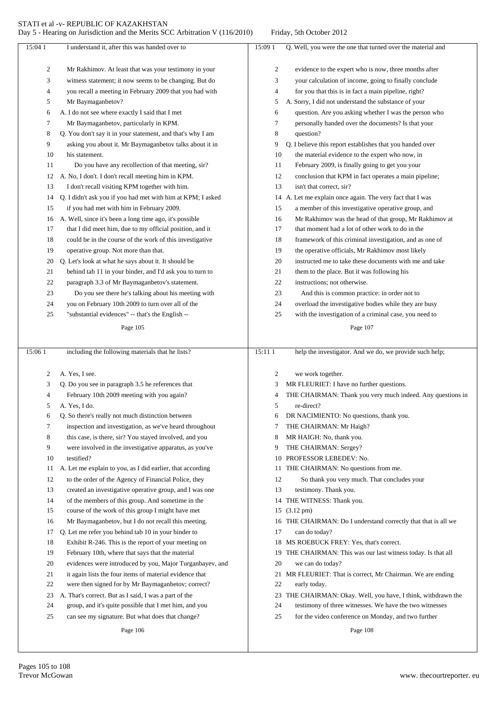| 15:04 1      | I understand it, after this was handed over to              | Q. Well, you were the one that turned over the material and<br>15:09 1 |
|--------------|-------------------------------------------------------------|------------------------------------------------------------------------|
| 2            | Mr Rakhimov. At least that was your testimony in your       | 2<br>evidence to the expert who is now, three months after             |
| 3            | witness statement; it now seems to be changing. But do      | 3<br>your calculation of income, going to finally conclude             |
| 4            | you recall a meeting in February 2009 that you had with     | for you that this is in fact a main pipeline, right?<br>4              |
| 5            | Mr Baymaganbetov?                                           | 5<br>A. Sorry, I did not understand the substance of your              |
| 6            | A. I do not see where exactly I said that I met             | 6<br>question. Are you asking whether I was the person who             |
| 7            | Mr Baymaganbetov, particularly in KPM.                      | 7<br>personally handed over the documents? Is that your                |
| 8            | Q. You don't say it in your statement, and that's why I am  | 8<br>question?                                                         |
| 9            | asking you about it. Mr Baymaganbetov talks about it in     | Q. I believe this report establishes that you handed over<br>9         |
| 10           | his statement.                                              | the material evidence to the expert who now, in<br>10                  |
| 11           | Do you have any recollection of that meeting, sir?          | 11<br>February 2009, is finally going to get you your                  |
| 12           | A. No, I don't. I don't recall meeting him in KPM.          | 12<br>conclusion that KPM in fact operates a main pipeline;            |
| 13           | I don't recall visiting KPM together with him.              | 13<br>isn't that correct, sir?                                         |
| 14           | Q. I didn't ask you if you had met with him at KPM; I asked | 14 A. Let me explain once again. The very fact that I was              |
| 15           | if you had met with him in February 2009.                   | 15<br>a member of this investigative operative group, and              |
| 16           | A. Well, since it's been a long time ago, it's possible     | 16<br>Mr Rakhimov was the head of that group, Mr Rakhimov at           |
| 17           | that I did meet him, due to my official position, and it    | 17<br>that moment had a lot of other work to do in the                 |
| 18           | could be in the course of the work of this investigative    | 18<br>framework of this criminal investigation, and as one of          |
| 19           | operative group. Not more than that.                        | 19<br>the operative officials, Mr Rakhimov most likely                 |
| 20           | Q. Let's look at what he says about it. It should be        | 20<br>instructed me to take these documents with me and take           |
| 21           | behind tab 11 in your binder, and I'd ask you to turn to    | 21<br>them to the place. But it was following his                      |
| 22           | paragraph 3.3 of Mr Baymaganbetov's statement.              | 22<br>instructions; not otherwise.                                     |
| 23           | Do you see there he's talking about his meeting with        | 23<br>And this is common practice: in order not to                     |
| 24           | you on February 10th 2009 to turn over all of the           | 24<br>overload the investigative bodies while they are busy            |
| 25           | "substantial evidences" -- that's the English --            | 25<br>with the investigation of a criminal case, you need to           |
|              | Page 105                                                    | Page 107                                                               |
|              |                                                             |                                                                        |
|              |                                                             |                                                                        |
|              | including the following materials that he lists?            | 15:11 1<br>help the investigator. And we do, we provide such help;     |
| 2            | A. Yes, I see.                                              | 2<br>we work together.                                                 |
| 3            | Q. Do you see in paragraph 3.5 he references that           | MR FLEURIET: I have no further questions.<br>3                         |
| 4            | February 10th 2009 meeting with you again?                  | THE CHAIRMAN: Thank you very much indeed. Any questions in<br>4        |
| 5            | A. Yes, I do.                                               | 5<br>re-direct?                                                        |
| 15:06 1<br>6 | Q. So there's really not much distinction between           | DR NACIMIENTO: No questions, thank you.<br>6                           |
| 7            | inspection and investigation, as we've heard throughout     | THE CHAIRMAN: Mr Haigh?<br>7                                           |
| 8            | this case, is there, sir? You stayed involved, and you      | MR HAIGH: No, thank you.<br>8                                          |
| 9            | were involved in the investigative apparatus, as you've     | THE CHAIRMAN: Sergey?<br>9                                             |
| 10           | testified?                                                  | 10 PROFESSOR LEBEDEV: No.                                              |
| 11           | A. Let me explain to you, as I did earlier, that according  | 11 THE CHAIRMAN: No questions from me.                                 |
| 12           | to the order of the Agency of Financial Police, they        | So thank you very much. That concludes your<br>12                      |
| 13           | created an investigative operative group, and I was one     | 13<br>testimony. Thank you.                                            |
| 14           | of the members of this group. And sometime in the           | 14 THE WITNESS: Thank you.                                             |
| 15           | course of the work of this group I might have met           | 15 (3.12 pm)                                                           |
| 16           | Mr Baymaganbetov, but I do not recall this meeting.         | 16 THE CHAIRMAN: Do I understand correctly that that is all we         |
| 17           | Q. Let me refer you behind tab 10 in your binder to         | 17<br>can do today?                                                    |
| 18           | Exhibit R-246. This is the report of your meeting on        | 18 MS ROEBUCK FREY: Yes, that's correct.                               |
| 19           | February 10th, where that says that the material            | THE CHAIRMAN: This was our last witness today. Is that all<br>19       |
| 20           | evidences were introduced by you, Major Turganbayev, and    | 20<br>we can do today?                                                 |
| 21           | it again lists the four items of material evidence that     | 21 MR FLEURIET: That is correct, Mr Chairman. We are ending            |
| 22           | were then signed for by Mr Baymaganbetov; correct?          | 22<br>early today.                                                     |
| 23           | A. That's correct. But as I said, I was a part of the       | 23 THE CHAIRMAN: Okay. Well, you have, I think, withdrawn the          |
| 24           | group, and it's quite possible that I met him, and you      | 24<br>testimony of three witnesses. We have the two witnesses          |
| 25           | can see my signature. But what does that change?            | 25<br>for the video conference on Monday, and two further              |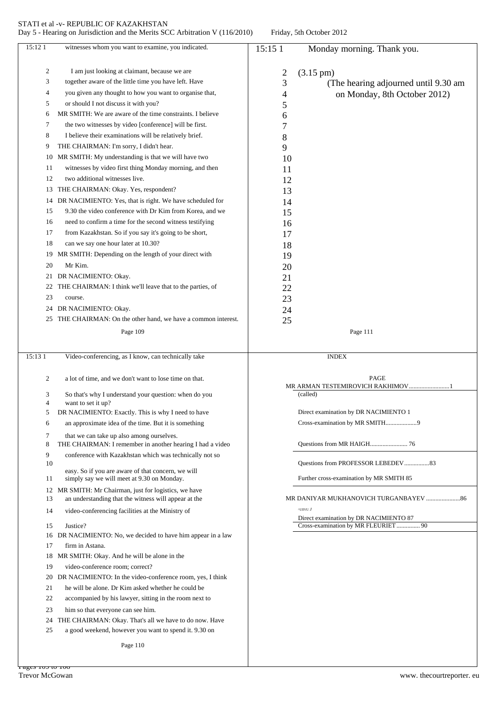| 15:121  | witnesses whom you want to examine, you indicated.                                                         | 15:15 1             | Monday morning. Thank you.                                 |
|---------|------------------------------------------------------------------------------------------------------------|---------------------|------------------------------------------------------------|
|         |                                                                                                            |                     |                                                            |
| 2       | I am just looking at claimant, because we are                                                              |                     |                                                            |
| 3       | together aware of the little time you have left. Have                                                      | $\overline{c}$<br>3 | $(3.15 \text{ pm})$                                        |
| 4       | you given any thought to how you want to organise that,                                                    |                     | (The hearing adjourned until 9.30 am                       |
| 5       | or should I not discuss it with you?                                                                       | 4                   | on Monday, 8th October 2012)                               |
|         | MR SMITH: We are aware of the time constraints. I believe                                                  | 5                   |                                                            |
| 6       |                                                                                                            | 6                   |                                                            |
| 7       | the two witnesses by video [conference] will be first.                                                     | 7                   |                                                            |
| 8       | I believe their examinations will be relatively brief.                                                     | $8\,$               |                                                            |
| 9       | THE CHAIRMAN: I'm sorry, I didn't hear.                                                                    | 9                   |                                                            |
| 10      | MR SMITH: My understanding is that we will have two                                                        | 10                  |                                                            |
| 11      | witnesses by video first thing Monday morning, and then                                                    | 11                  |                                                            |
| 12      | two additional witnesses live.                                                                             | 12                  |                                                            |
| 13      | THE CHAIRMAN: Okay. Yes, respondent?                                                                       | 13                  |                                                            |
|         | 14 DR NACIMIENTO: Yes, that is right. We have scheduled for                                                | 14                  |                                                            |
| 15      | 9.30 the video conference with Dr Kim from Korea, and we                                                   | 15                  |                                                            |
| 16      | need to confirm a time for the second witness testifying                                                   | 16                  |                                                            |
| 17      | from Kazakhstan. So if you say it's going to be short,                                                     | 17                  |                                                            |
| 18      | can we say one hour later at 10.30?                                                                        | 18                  |                                                            |
| 19      | MR SMITH: Depending on the length of your direct with                                                      | 19                  |                                                            |
| 20      | Mr Kim.                                                                                                    | 20                  |                                                            |
| 21      | DR NACIMIENTO: Okay.                                                                                       | 21                  |                                                            |
| 22      | THE CHAIRMAN: I think we'll leave that to the parties, of                                                  | 22                  |                                                            |
| 23      | course.                                                                                                    | 23                  |                                                            |
| 24      | DR NACIMIENTO: Okay.                                                                                       | 24                  |                                                            |
| 25      | THE CHAIRMAN: On the other hand, we have a common interest.                                                | 25                  |                                                            |
|         |                                                                                                            |                     |                                                            |
|         | Page 109                                                                                                   |                     | Page 111                                                   |
|         |                                                                                                            |                     |                                                            |
| 15:13 1 | Video-conferencing, as I know, can technically take                                                        |                     | <b>INDEX</b>                                               |
|         |                                                                                                            |                     |                                                            |
| 2       | a lot of time, and we don't want to lose time on that.                                                     |                     | PAGE                                                       |
| 3       | So that's why I understand your question: when do you                                                      |                     | MR ARMAN TESTEMIROVICH RAKHIMOV1<br>(called)               |
| 4       | want to set it up?                                                                                         |                     |                                                            |
| 5       | DR NACIMIENTO: Exactly. This is why I need to have                                                         |                     | Direct examination by DR NACIMIENTO 1                      |
| 6       | an approximate idea of the time. But it is something                                                       |                     | Cross-examination by MR SMITH9                             |
| 7       | that we can take up also among ourselves.                                                                  |                     |                                                            |
| 8       | THE CHAIRMAN: I remember in another hearing I had a video                                                  |                     |                                                            |
| 9       | conference with Kazakhstan which was technically not so                                                    |                     |                                                            |
| 10      |                                                                                                            |                     |                                                            |
|         | easy. So if you are aware of that concern, we will                                                         |                     |                                                            |
| 11      | simply say we will meet at 9.30 on Monday.                                                                 |                     | Further cross-examination by MR SMITH 85                   |
| 12      | MR SMITH: Mr Chairman, just for logistics, we have<br>an understanding that the witness will appear at the |                     | MR DANIYAR MUKHANOVICH TURGANBAYEV  86                     |
| 13      |                                                                                                            |                     |                                                            |
| 14      | video-conferencing facilities at the Ministry of                                                           |                     | $\sim$ UllVU $J$<br>Direct examination by DR NACIMIENTO 87 |
| 15      | Justice?                                                                                                   |                     | Cross-examination by MR FLEURIET 90                        |
|         | 16 DR NACIMIENTO: No, we decided to have him appear in a law                                               |                     |                                                            |
| 17      | firm in Astana.                                                                                            |                     |                                                            |
|         | 18 MR SMITH: Okay. And he will be alone in the                                                             |                     |                                                            |
| 19      | video-conference room; correct?                                                                            |                     |                                                            |
|         |                                                                                                            |                     |                                                            |

- 20 DR NACIMIENTO: In the video-conference room, yes, I think
- 21 he will be alone. Dr Kim asked whether he could be
- 22 accompanied by his lawyer, sitting in the room next to
- 23 him so that everyone can see him.
- 24 THE CHAIRMAN: Okay. That's all we have to do now. Have
- 25 a good weekend, however you want to spend it. 9.30 on

Page 110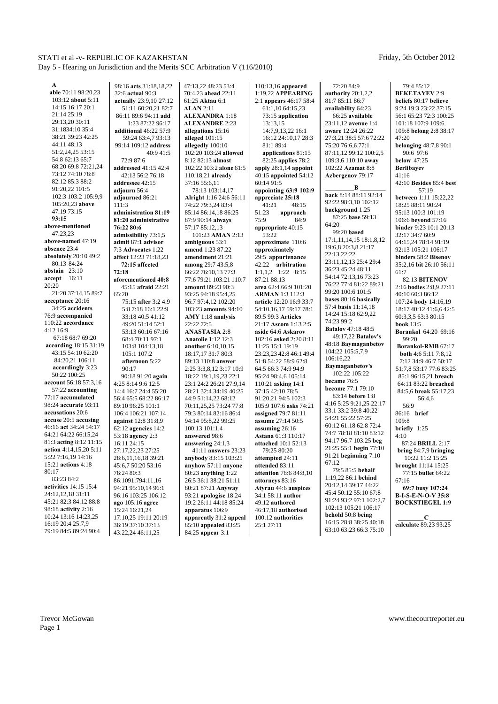able 70:11 98:20.23  $103.12$  shout 5.11 14:15 16:17 20:1  $21.1425.19$ 29:13,20 30:11 31:1834:10 35:4  $38.21$  39.23 42.25  $44.1148.13$ 51:2,24,25 53:15 54:8 62:13 65:7 68:20 69:8 72:21.24 73:12 74:10 78:8  $82.1285388.2$  $91.2022101.5$ 102:3 103:2 105:9.9 105:20,23 above  $47.1973.15$ 93:15 above-mentioned  $47.23.23$ above-named 47:19 absence 23:4 absolutely 20:10 49:2  $80.13.84.24$ abstain  $23:10$  $accept$  16:11  $20.20$ 21:20 37:14.15 89:7 acceptance 20:16 34:25 accidents 76.9 accompanied 110:22 accordance 4:12 16:9 67:18 68:7 69:20 according 18:15 31:19 43:15 54:10 62:20  $84.2021106.11$ accordingly 3:23 50:22 100:25 account 56:18 57:3,16 57:22 accounting 77:17 accumulated  $98.24$  accurate  $93.11$ accusations 20:6 accuse 20:5 accusing 46:16 act 34:24 54:17 64:21 64:22 66:15,24 81:3 acting 8:12 11:15 action 4:14,15,20 5:11  $5.227.161914.16$ 15:21 actions 4:18  $80:17$ 83:23 84:2 activities  $14.15$   $15.4$  $24.12$  12 18 31.11 45:21 82:3 84:12 88:8 98:18 activity 2:16 10:24 13:16 14:23,25 16:19 20:4 25:7.9 79:19 84:5 89:24 90:4

98:16 acts 31:18,18,22 32:6 actual 90:3 actually 23:9,10 27:12 51:11 60:20.21 82:7 86:11 89:6 94:11 add  $1.2387.2296.17$ additional 46:22 57:9 59:24 63:4,7 93:13 99:14 109:12 address  $40.941.5$  $72.9876$ addressed  $41.1542.4$ 42:13 56:2 76:18 addressee 42:15 adjourn 56:4 adjourned 86:21  $111.3$ administration 81:19 81:20 administrative 76:22 80:6 admissibility 73:1,5 admit 87:1 advisor  $7.3$  Advocates  $1.22$ affect 12:23 71:18.23 72:15 affected  $72:18$ aforementioned 40:8 45:15 afraid 22:21  $65.20$  $75.15$  after  $3.24.9$ 5:8 7:18 16:1 22:9 33:18 40:5 41:12 49:20 51:14 52:1 53:13 60:16 67:16  $68.470.1197.1$  $103.8104:13.18$ 105:1 107:2 afternoon 5:22 90:17 90:18 91:20 again 4:25 8:14 9:6 12:5  $14.4$  16.7 24.4 55.20 56:4 65:5 68:22 86:17 89:10 96:25 101:1 106:4 106:21 107:14 against 12:8 31:8.9 62:12 agencies 14:2 53:18 agency 2:3 16:11 24:15 27:17.22.23 27:25 28:6.11.16.18 39:21  $45.6750.2053.16$  $76.2480.3$ 86:1091:794:11.16 94:21 95:10,14 96:1 96:16 103:25 106:12 ago 105:16 agree  $15.24$   $16.21$   $24$  $17:10.25$  19 $\cdot$ 11.20 $\cdot$ 19 36:19 37:10 37:13 43:22,24 46:11,25

47:13.22 48:23 53:4 70:4,23 ahead 22:11 61:25 Aktau 6:1  $ALAN 2:11$ **ALEXANDRA** 1:18 **ALEXANDRE 2.23** allegations 15:16 alleged 101:15 allegedly 100:10 102:20 103:24 allowed 8:12 82:13 almost  $102.22103.2$  alone 61.5 110:18.21 already 37:16 55:6,11 78:13 103:14,17 Alright 1:16 24:6 56:11  $74.22.79.32483.4$ 85:14 86:14.18 86:25 87.9 90.14 always 57:17 85:12,13 101:23 AMAN 2:13 ambiguous 53:1 amend  $1.2387.22$ amendment 21:21 among 29:7 43:5,8 66:22 76:10,13 77:3 77:6 79:21 103:21 110:7 amount 89:23 90:3  $93.2594.1895.425$  $96.797.412102.20$ 103:23 amounts 94:10 AMY 1:18 analysis 22:22 72:5 **ANASTASIA 2:8** Anatolie  $1:12$   $12:3$ another 6:10 10 15 18:17,17 31:7 80:3 89:13 110:8 answer 2:25 3:3,8,12 3:17 10:9 18:22 19:1.19.23 22:1 23:1.24:2.26:21.27:9.14 28.21.32.4.34.19.40.25  $44.951.142268.12$ 70:11,25,25 73:24 77:8 79:3 80:14 82:16 86:4  $94.1495.82299.25$  $100.13101.14$ answered 98:6 answering 24:1,3 41:11 answers 23:23 anybody 83:15 103:25  $anv$ how 57:11 anvone  $80.23$  anything 1:22 26:5 36:1 38:21 51:11 80:21 87:21 Anyway 93:21 apologise 18:24 19:2 26:11 44:18 85:24 apparatus 106:9 apparently 31:2 appeal 85:10 appealed 83:25 84:25 appear 3:1

110:13,16 appeared 1:19,22 APPEARING 2:1 appears 46:17 58:4  $61:1.1064:15.23$ 73:15 application  $13.13.15$ 14:7.9.13.22 16:1 16:12 24:10,17 28:3  $81 \cdot 189 \cdot 4$ annlications  $81.15$  $82:25$  applies  $78:2$ apply  $28:1,14$  appoint 40:15 appointed 54:12 60:14 91:5 appointing 63:9 102:9 appreciate 25:18  $48.15$  $41.21$ 51:23 approach  $75.0$  $84.9$ appropriate 40:15  $53.22$ approximate 110:6 approximately 29:5 appurtenance  $42:22$  arbitration<br>1:1,1,2 1:22 8:15 87:21 88:13 area 62:4 66:9 101:20 **ARMAN** 1-3 112-3 article 12:20 16:9 33:7 54:10,16,17 59:17 78:1 89:5 99:3 Articles 21:17 Ascom 1:13 2:5 aside 64:6 Askarov  $102.16$  asked  $2.208.11$  $11.251511919$ 23:23.23 42:8 46:1 49:4 51:8 54:22 58:9 62:8 64:5 66:3 74:9 94:9 95:24 98:4.6 105:14 110:21 asking 14:1  $37.1542.1078.5$  $91 \cdot 202194 \cdot 51023$ 105:9 107:6 asks 74:21 assigned 79:7 81:11 **assume**  $27.14.50.5$ assuming  $26:16$ Astana 61:3 110:17 attached 10:1 52:13 79:25 80:20 attempted 24:11 attended 83.11 attention 78.6 84.8 10 attorneys 83:16 Atyrau 44:6 auspices 34:1 58:11 author 49:12 authored  $46:17.18$  authorised 100:12 authorities  $25:127:11$ 

72:20 84:9 authority 20:1,2,2 81:7 85:11 86:7 availability 64:23 66:25 available 23.11.12 avenue 1.4 aware 12:24 26:22 27:3,21 38:5 57:6 72:22 75:20 76:6,6 77:1 87:11.12 99:12 100:2.5 109:3,6 110:10 away  $102.22$  Azamat 8.8 Azbergenov 79:17  $\bf{B}$ back 8:14 88:11 92:14 92:22 98:3.10 102:12 hackground 1.25 87:25 hase 59:13  $64:20$ 99:20 based 17:1,11,14,15 18:1,8,12  $19.6820.3821.17$  $22.1322.22$ 23:11 12:13:25:4:29:4 36:23 45:24 48:11 54:14 72:13,16 73:23 76:22 77:4 81:22 89:21  $99.20100.6101.5$ bases 80:16 basically 57:4 basis 11:14,18 14:24 15:18 62:9,22 74:23 99:2 **Batalov** 47:18 48:5 49:17.22 Batalov's 48:18 Baymaganbetov 104:22 105:5.7.9 106:16,22 Baymaganbetov's  $102.22105.22$ hecame 76.5 **become**  $77.179.10$ 83:14 before 1:8 4:16 5:25 9:21,25 22:17 33:1 33:2 39:8 40:22 54:21 55:22 57:25  $60.1261.1862.872.4$ 74:7 78:18 81:10 83:12 94:17 96:7 103:25 beg 21:25 55:1 begin 77:10 91:21 beginning  $7:10$ 67:12 79.5 85.5 hehalf 1:19.22 86:1 behind 20:12,14 39:17 44:22 45:4 50:12 55:10 67:8 91:24 93:2 97:1 102:2,7 102:13 105:21 106:17 behold 50:8 being 16:15 28:8 38:25 40:18 63:10 63:23 66:3 75:10

79:4 85:12 **BEKETAYEV 2:9** beliefs 80:17 believe 9:24 19:3 23:22 37:15 56:1 65:23 72:3 100:25  $101.18$  107.9 109.6 109:8 belong 2:8 38:17 47:20 belonging 48:7,8 90:1  $90:6$   $97:6$ below  $47:25$ Rerlibayev  $41.16$ 42:10 Besides 85:4 best  $57.19$ between 1:11 15:22,22 18.25 88.11 90.24 95:13 100:3 101:19 106:6 beyond 57:16 binder 9:23 10:1 20:13 32:17 34:7 60:9 64:15,24 78:14 91:19  $92.13105.21106.17$ binders 58:2 Bisenov 35:2,16 bit 26:10 56:11  $61.7$ **82:13 BITENOV** 2:16 bodies 2:8.9 27:11  $40.106038612$ 107:24 hody 14:16.19 18:17 40:12 41:6,6 42:5 60:3,3,5 63:3 80:15 **book** 13:5 **Borankol** 64:20 69:16  $99.20$ Borankol-RMB 67.17 both 4:6 5:11 7:8,12 7:12 34:9 46:7 50:17 51:7,8 53:17 77:6 83:25 85:1 96:15.21 breach 64.11 83.22 hreached 84.5 6 hreak 55.17 23  $56.46$ 56:9 86:16 brief  $109.8$ briefly 1:25  $4:10$ 87:24 BRILL 2:17 bring 84:7,9 bringing 10:22 11:2 15:25 **hrought** 11:14 15:25 77:15 bullet 64:22  $67:16$ 69:7 busy 107:24 **B-I-S-E-N-O-V 35:8 BOCKSTIEGEL 1:9**  $\mathcal{C}$ 

calculate  $89:2393:25$ 

**Trevor McGowan** Page 1

www.thecourtreporter.eu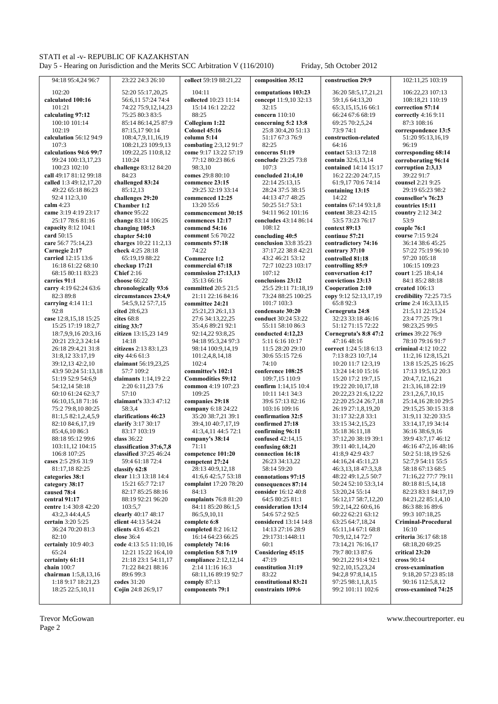94:18 95:4,24 96:7  $102.20$ calculated 100.16 101:21 calculating 97:12 100:10 101:14  $102.19$ calculation 56:12 94:9  $107.3$ calculations 94:6 99:7 99:24 100:13,17,23  $100.23$   $102.10$ call 49.17 81.12 99.18 called 1:3 49:12,17,20  $49.2265188623$ 92:4 112:3,10 calm  $4.23$ came 3:19 4:19 23:17 25:17 78:6 81:16 capacity 8:12 104:1 card  $50:15$ care 56:7 75:14.23 Carnegie 2:17 carried 12:15 13:6 16:18 61:22 68:10  $68.1580.1183.23$  $carries$  91.1 carry 4:19 62:24 63:6 82:3 89:8 carrying 4:14 11:1  $Q2.8$ case 12:8,15,18 15:25 15:25 17:19 18:2.7 18:7.9.9.16 20:3.16 20:21 23:2.3 24:14  $26.1829421318$  $31.81233.1710$ 39:12.13 42:2.10 43:9 50:24 51:13.18 51:19 52:9 54:6.9  $54.12$  14  $58.18$  $60.1061.2462.37$ 66:10,15,18 71:16  $75.279.81080.25$ 81:1,5 82:1,2,4,5,9  $82.10$   $84.6$  17 19  $85.4610863$ 88:18 95:12 99:6  $103.11$   $12$   $104.15$ 106:8 107:25 cases  $2.5296319$ 81:17.18 82:25 categories 38:1 category 38:17  $caused 78.4$ central 91:17 centre 1:4 30:8 42:20 43:2,3 44:4,4,5 certain  $3.20525$ 36:24 70:20 81:3  $82.10$ certainly 10:9 40:3 65:24 certainty 61:11 chain  $100.7$ chairman 1:5,8,13,16 1:18 9:17 18:21,23 18:25 22:5,10,11

23:22 24:3 26:10  $52:2055:172025$ 56.6 11 57.24 74.4 74:22 75:9,12,14,23 75:25 80:3 83:5 85:14 86:14.25 87:9  $87.151790.14$ 108:4.7.9.11.16.19 108:21,23 109:9,13 109:22,25 110:8,12 110:24 challenge 83:12 84:20 84:23 challenged 83:24  $85.1213$ challenges 29:20  $$ chance 95:22 change 83:14 106:25 changing 105:3 chanter  $54.10$ charges 10:22 11:2,13 check 4:25 28:18 65:19.19 88:22 checkup 17:21 Chief  $2.16$ choose  $66.22$ chronologically 93:6 circumstances 23:4,9 54:5,9,12 57:7,15  $c$ ited  $28.623$  $c$ ites  $68.8$ citing 33:7 citizen 13:15.23 14:9  $14.18$  $citizens$   $2.13$   $83.1$   $23$ city  $44.661.3$ claimant 56:19.23.25 57:7 109:2 claimants 1:14.19 2:2 2:20 6:11.23 7:6  $57.10$ claimant's 33:3 47:12  $58.34$ clarifications 46:23 clarify 3:17.30:17  $83.17103.19$ class 36:22 classification 37:6.7.8 classified  $37.2546.24$  $59.461.1872.4$ classify 62:8 clear 11:3 13:18 14:4 15:21 65:7 72:17  $82.1785.2588.16$ 88:19 92:21 96:20 103:5,7 clearly 40:17 48:17 client 44.13 54.24 clients 43:6 45:21 close 36:4 code 4:13 5:5 11:10,16 12:21 15:22 16:4,10  $21.1823.154.1117$  $71.2284.2188.16$  $89.699.3$ codes 31:20 Coiin 24:8 26:9.17

collect 59:19 88:21.22  $104.11$ collected  $10.23$   $11.14$ 15:14 16:1 22:22  $88.25$ Collegium 1:22  $C$ olonel 45:16 column 5:14 combating 2:3,12 91:7 come 9:17 13:22 57:19 77:12 80:23 86:6  $98.310$ comes 29:8 80:10 commence 23:15 29.25.32.19.33.14 commenced 12:25  $13.20556$ commencement 30:15 commences 12:17 commend 54:16 comment 5:6 70:22  $comments$  57.18  $74.22$ Commerce 1:2 commercial 67:18 commission 27.13.13  $35.1366.16$ committed 20:5 21:5 21:11 22:16 84:16 committee 24:21  $25.212326.113$  $27.634.132225$ 35:4,6 89:21 92:1 92:14.22 93:8.25 94:18 95:3.24 97:3 98:14 100:9 14 19 101:2.4.8.14.18  $102.4$ committee's 102:1 **Commodifies 59:12** common 4:19 107:23  $109.25$ companies 29:18 company 6:18 24:22 35:20 38:7,21 39:1 39:4 10:40:7 17:19  $41.341144.5721$ company's 38:14  $71.11$ competence 101:20 competent 27:24 28:13 40:9.12.18 41:6,6 42:5,7 53:18 complaint 17:20 78:20  $84.13$ complaints 76:8 81:20 84:11 85:20 86:1,5 86:5,9,10,11 complete 6.8 completed 8:2 16:12 16:14 64:23 66:25 completely 74:16 completion 5:8 7:19 compliance 2:12.12.14  $2.14$  11.16 16.3 68:11,16 89:19 92:7 comply  $87:13$ components 79:1

composition 35:12 computations 103.23 concept 11:9,10 32:13  $32:15$ concern 110:10 concerning  $5:2$  13:8  $25.830.42051.13$  $51.17673769$  $82.25$ concerns 51:19 conclude 23:25 73:8  $107.3$  $concluded 21:4 10$ 22:14 25:13,15 28:24 37:5 38:15 44:13 47:7 48:25  $50.2551.7531$ 94:11 96:2 101:16 concludes 43:14 86:14  $108.12$ concluding 40:5 conclusion  $33.835.23$ 37:17.22 38:8 42:21 43:2 46:21 53:12  $72.7102.23103.17$  $107.12$ conclusions 23:12 25:5 29:11 71:18,19 73:24 88:25 100:25  $101.7103.3$ condensate 30:20 conduct 30:24 53:22 55:11 58:10 86:3 conducted 4:12,23 5:11 6:16 10:17  $11.528.2029.10$  $30.655.1572.6$  $74.10$ conference 108:25 109:7.15 110:9 confirm 1:14 15 10:4  $10.11$   $14.1$   $24.2$  $39.657.1382.16$  $103.16109.16$ confirmation 32:5 confirmed 27:18 confirming 96:11 confused  $42:14.15$ confusing 68:21 connection 16:18  $26.2334.1322$  $58.1459.20$ connotations 97:15 consequences 87:14 consider  $16:1240:8$ 64:5 80:25 81:1 consideration 13:14 54:6 57:2 92:5 considered  $13:14$   $14:8$  $14.132716289$ 29:1731:1448:11  $60:1$ Considering 45:15  $47.19$ constitution 31.10  $83.22$ constitutional 83:21 constraints 109:6

Friday, 5th October 2012

construction 29:9 36.20 58.5 17 21 21 59:1.6 64:13.20 65:3,15,15,16 66:1 66:24 67:6 68:19 69:25 70:2.5.24  $73.9741$ construction-related  $64.16$ contact 53:13 72:18 contain 32:6,13,14 contained 14:14 15:17  $16.222.2024.715$ 61:9,17 70:6 74:14 containing 13:15 14:22 contains  $67.1493.18$ content 38:23 42:15 53:5 73:23 76:17  $context$  89.13  $confinne$  57.21 contradictory 74:16 contrary  $37:10$ controlled 81:18 controlling 85:9 conversation 4:17 convictions 23:13 Cooperation 2:10 copy 9:12 52:13,17,19  $65:892:3$ Cornegruta 24:8  $32.2333.1846.16$ 51:12 71:15 72:22 Cornegruta's 8:8 47:2  $47:1648:16$ correct  $1.24$  5.18 6.13  $7.138.2310.714$  $10:20$   $11:7$   $12:3$   $19$ 13:24 14:10 15:16 15:20 17:2 19:7.15  $19.2220.101718$ 20.22.23.21:6.12.22 22:20 25:24 26:7,18 26:19 27:1 8:19 20 31:17 32:2,8 33:1  $33.1534.21523$  $35.1836.1118$ 37:12.20 38:19 39:1 39:11 40:1.14.20 41:8.9 42:9 43:7  $44.162445.1123$ 46:3.13.18 47:3.3.8 48:22 49:1,2,5 50:7 50:24 52:10 53:3,14  $53.202455.14$ 56:12,17 58:7,12,20 59:2,14,22 60:6,16 60:22 62:21 63:12 63.25.64.7.18.24 65:11.14 67:1 68:8 70:9,12,14 72:7 73:14,21 76:16,17 79:7 80:13 87:6  $90.21.22.91.4.92.1$  $92.210152324$ 94:2,8 97:8,14,15 97:25 98:1,1,8,15 99:2 101:11 102:6

102:11,25 103:19  $106:22.23.107:13$ 108:18.21.110:19 correction 57:14 correctly 4:16 9:11 87:3 108:16 correspondence 13:5 51:20 95:13,16,19  $96.19$ corresponding 68:14 corroborating 96:14 corruption  $2:3,13$ 39:22 91:7 counsel 2:21 9:25 29:19 65:23 98:2 counsellor's 76:23 countries 15:11 country 2:12 34:2 53:9 couple 76:1 course 7:15 9:24  $36.143864525$ 57:22 75:19 96:10 97:20 105:18 106:15 109:23 court 1:25 18:4 14  $84.185.288.18$ created 106:13 credibility 72:25 73:5 crime 2:4 16:3,13,15  $21.51122.1524$  $23.477.2579.1$ 98:23.25 99:5 crimes 39:22 76:9 78:10 79:16 91:7 criminal  $4:12,10:22$  $11 \cdot 2$  16 12:8 15 21 13:8 15:25.25 16:25 17:13 19:5.12 20:3 20:4.7.12.16.21  $21.3161822.19$  $23 \cdot 1$  2.6.7 10.15 25:14,16 28:10 29:5 29:15.25 30:15 31:8 31:9,11 32:20 33:5 33.14 17 19 34.14  $36.16386916$ 39:9 43:7.17 46:12 46:16 47:2.16 48:16 50:2 51:18.19 52:6  $52.7954.1155.5$ 58:18 67:13 68:5 71:16,22 77:7 79:11 80:18 81:5,14,18 82:23 83:1 84:17.19 84:21,22 85:1,4,10 86:3 88:16 89:6 99:3 107:18,25 Criminal-Procedural  $16.10$ criteria 36:17 68:18 68:18,20 69:25 critical 23:20 cross  $90.14$ cross-examination 9:18,20 57:23 85:18 90:16 112:5,8,12 cross-examined 74:25

**Trevor McGowan** Page 2

www.thecourtreporter. eu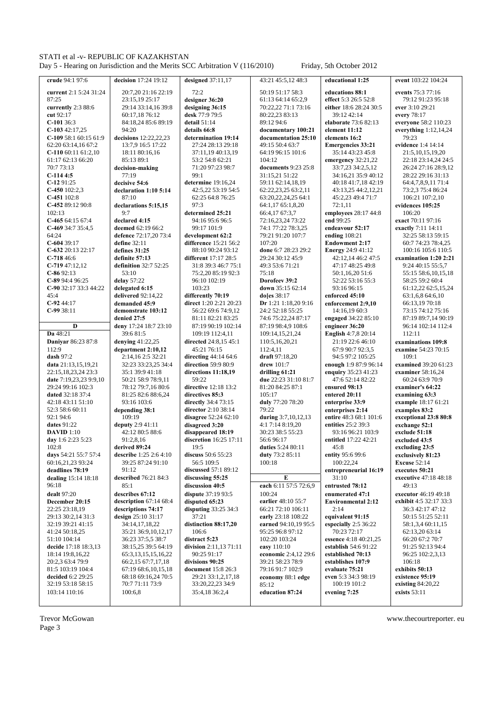Friday, 5th October 2012

| crude 94:1 97:6                      | decision 17:24 19:12                    | designed $37:11,17$                      | 43:21 45:5,12 48:3                            | educational 1:25                         | event 103:22 104:24                       |
|--------------------------------------|-----------------------------------------|------------------------------------------|-----------------------------------------------|------------------------------------------|-------------------------------------------|
| current 2:1 5:24 31:24               | 20:7,20 21:16 22:19                     | 72:2                                     | 50:19 51:17 58:3                              | educations 88:1                          | events 75:3 77:16                         |
| 87:25                                | 23:15,19 25:17                          | designer 36:20                           | 61:13 64:14 65:2,9                            | effect 5:3 26:5 52:8                     | 79:12 91:23 95:18                         |
| currently $2:388:6$                  | 29:14 33:14,16 39:8                     | designing 36:15                          | 70:22,22 71:1 73:16                           | either 18:6 28:24 30:5                   | ever 3:10 29:21                           |
| cut 92:17                            | 60:17,1876:12                           | desk 77:9 79:5                           | 80:22,23 83:13                                | 39:12 42:14                              | every 78:17                               |
| $C-10136:3$                          | 84:18,24 85:6 89:19                     | detail 51:14                             | 89:12 94:6                                    | elaborate 73:6 82:13                     | everyone 58:2 110:23                      |
| $C-103$ 42:17,25                     | 94:20                                   | details 66:8                             | documentary 100:21                            | element 11:12                            | everything $1:12,14,24$                   |
| C-109 58:1 60:15 61:9                | decisions 12:22,22,23                   | determination 19:14                      | documentation 25:10                           | elements 16:2                            | 79:23                                     |
| 62:20 63:14,16 67:2                  | 13:7,9 16:5 17:22                       | 27:24 28:13 29:18                        | 49:15 50:4 63:7                               | <b>Emergencies 33:21</b>                 | evidence 1:4 14:14                        |
| $C-110$ 60:11 61:2,10                | 18:11 80:16,16                          | 37:11,19 40:13,19                        | 64:19 96:15 101:6                             | 35:14 43:23 45:8                         | 21:5, 10, 15, 19, 20                      |
| 61:17 62:13 66:20                    | 85:13 89:1                              | 53:2 54:8 62:21                          | 104:12                                        | emergency 32:21,22                       | 22:18 23:14,24 24:5                       |
| 70:7 73:13                           | decision-making                         | 71:20 97:23 98:7                         | documents 9:23 25:8                           | 33:7,23 34:2,5,12                        | 26:24 27:16 28:9,12                       |
| $C-1144:5$                           | 77:19                                   | 99:1                                     | 31:15,21 51:22                                | 34:16,21 35:9 40:12                      | 28:22 29:16 31:13                         |
| $C-1291:25$<br>$C-450$ 102:2,3       | decisive 54:6<br>declaration 1:10 5:14  | determine 19:16,24<br>42:5,22 53:19 54:5 | 59:11 62:14,18,19                             | 40:18 41:7,18 42:19                      | 64:4,7,8,9,11 71:4<br>73:2,3 75:4 86:24   |
| $C-451$ 102:8                        | 87:10                                   | 62:25 64:8 76:25                         | 62:22,23,25 63:2,11<br>63:20, 22, 24, 25 64:1 | 43:13,25 44:2,12,21<br>45:2,23 49:4 71:7 | 106:21 107:2,10                           |
| C-452 89:12 90:8                     | declarations 5:15,15                    | 97:3                                     | 64:1,17 65:1,8,20                             | 72:1,11                                  | evidences 105:25                          |
| 102:13                               | 9:7                                     | determined 25:21                         | 66:4,17 67:3,7                                | employees 28:17 44:8                     | 106:20                                    |
| C-465 64:15 67:4                     | declared 4:15                           | 94:16 95:6 96:5                          | 72:16,23,24 73:22                             | end 99:25                                | exact 70:11 97:16                         |
| C-469 34:7 35:4,5                    | deemed 62:19 66:2                       | 99:17 101:9                              | 74:1 77:22 78:3,25                            | endeavour 52:17                          | exactly 7:11 14:11                        |
| 64:24                                | defence 72:17,20 73:4                   | development 62:2                         | 79:21 91:20 107:7                             | ending $108:21$                          | 32:25 58:13 59:15                         |
| C-604 39:17                          | define $32:11$                          | difference 15:21 56:2                    | 107:20                                        | <b>Endowment 2:17</b>                    | 60:7 74:23 78:4,25                        |
| C-632 20:13 22:17                    | defines 31:25                           | 88:10 90:24 93:12                        | done 6:7 28:23 29:2                           | <b>Energy</b> 24:9 41:12                 | 100:16 105:6 110:5                        |
| $C-71846:6$                          | definite 57:13                          | different 17:17 28:5                     | 29:24 30:12 45:9                              | 42:12,14 46:2 47:5                       | examination 1:20 2:21                     |
| $C-71947:12,12$                      | definition 32:7 52:25                   | 31:8 39:3 46:7 75:1                      | 49:3 53:6 71:21                               | 47:17 48:25 49:8                         | 9:24 40:15 55:5,7                         |
| $C-8692:13$                          | 53:10                                   | 75:2,20 85:19 92:3                       | 75:18                                         | 50:1,16,20 51:6                          | 55:15 58:6,10,15,18                       |
| C-89 94:4 96:25                      | delay 57:22                             | 96:10 102:19                             | Dorofeev 39:2                                 | 52:22 53:16 55:3                         | 58:25 59:2 60:4                           |
| C-90 32:17 33:3 44:22                | delegated 6:15                          | 103:23                                   | down 35:15 62:14                              | 93:16 96:15                              | 61:12,22 62:5,15,24                       |
| 45:4                                 | delivered 92:14,22                      | differently 70:19                        | doles 38:17                                   | enforced 45:10                           | 63:1,6,8 64:6,10                          |
| $C-9244:17$                          | demanded 45:9                           | direct 1:20 2:21 20:23                   | Dr 1:21 1:18,20 9:16                          | enforcement 2:9,10                       | 66:13,19 70:18                            |
| $C-9938:11$                          | demonstrate 103:12                      | 56:22 69:6 74:9,12                       | 24:2 52:18 55:25                              | 14:16,19 60:3                            | 73:15 74:12 75:16                         |
|                                      | denied 27:5                             | 81:11 82:21 83:25                        | 74:6 75:22,24 87:17                           | engaged 34:22 85:10                      | 87:19 89:7,14 90:19                       |
| D<br>Da 48:21                        | deny 17:24 18:7 23:10<br>39:6 81:5      | 87:19 90:19 102:14                       | 87:19 98:4,9 108:6                            | engineer 36:20                           | 96:14 102:14 112:4<br>112:11              |
| Daniyar 86:23 87:8                   |                                         | 109:19 112:4,11                          | 109:14,15,21,24                               | <b>English</b> 4:7,8 20:14               |                                           |
| 112:9                                | denying $41:22,25$                      | directed 24:8,15 45:1<br>45:21 76:15     | 110:5,16,20,21<br>112:4,11                    | 21:19 22:6 46:10<br>67:9 90:7 92:3.5     | examinations 109:8<br>examine 54:23 70:15 |
| dash 97:2                            | department 2:10,12<br>2:14,16 2:5 32:21 | directing $44:1464:6$                    | draft 97:18,20                                | 94:5 97:2 105:25                         | 109:1                                     |
| data 21:13,15,19,21                  | 32:23 33:23,25 34:4                     | direction 59:9 80:9                      | drew 101:7                                    | enough 1:9 87:9 96:14                    | examined 39:20 61:23                      |
| 22:15,18,23,24 23:3                  | 35:1 39:9 41:18                         | directions 11:18,19                      | drilling 61:21                                | enquiry 35:23 41:23                      | examiner 58:16,24                         |
| date 7:19,23,23 9:9,10               | 50:21 58:9 78:9,11                      | 59:22                                    | due 22:23 31:10 81:7                          | 47:6 52:14 82:22                         | 60:24 63:9 70:9                           |
| 29:24 99:16 102:3                    | 78:12 79:7,16 80:6                      | directive 12:18 13:2                     | 81:20 84:25 87:1                              | ensured 98:13                            | examiner's 64:22                          |
| <b>dated</b> 32:18 37:4              | 81:25 82:6 88:6,24                      | directives 85:3                          | 105:17                                        | entered 20:11                            | examining 63:3                            |
| 42:18 43:11 51:10                    | 93:16 103:6                             | <b>directly</b> 34:4 73:15               | duly 77:20 78:20                              | enterprise 33:9                          | example 18:17 61:21                       |
| 52:3 58:6 60:11                      | depending 38:1                          | director 2:10 38:14                      | 79:22                                         | enterprises 2:14                         | examples 83:2                             |
| 92:1 94:6                            | 109:19                                  | disagree 52:24 62:10                     | during 3:7,10,12,13                           | entire 48:3 68:1 101:6                   | exceptional 23:8 80:8                     |
| dates 91:22                          | deputy 2:9 41:11                        | disagreed 3:20                           | 4:1 7:14 8:19,20                              | entities 25:2 39:3                       | exchange 52:1                             |
| <b>DAVID</b> 1:10                    | 42:12 80:5 88:6                         | disappeared 18:19                        | 30:23 38:5 55:23                              | 93:16 96:21 103:9                        | exclude 51:18                             |
| day 1:6 2:23 5:23                    | 91:2,8,16                               | discretion 16:25 17:11                   | 56:696:17                                     | entitled 17:22 42:21                     | excluded 43:5                             |
| 102:8                                | derived 89:24                           | 19:5                                     | duties 5:24 80:11                             | 45:8                                     | excluding 23:5                            |
| days 54:21 55:7 57:4                 | describe 1:25 2:6 4:10                  | discuss 50:6 55:23                       | duty 73:2 85:11                               | entity 95:6 99:6                         | exclusively 81:23                         |
| 60:16,21,23 93:24<br>deadlines 78:19 | 39:25 87:24 91:10<br>91:12              | 56:5 109:5<br>discussed 57:1 89:12       | 100:18                                        | 100:22,24<br>entrepreneurial 16:19       | <b>Excuse 52:14</b><br>executes 50:21     |
| dealing 15:14 18:18                  | described 76:21 84:3                    | discussing 55:25                         | E                                             | 31:10                                    | executive 47:18 48:18                     |
| 96:18                                | 85:1                                    | discussion 40:5                          | each 6:11 57:5 72:6,9                         | entrusted 78:12                          | 49:13                                     |
| dealt 97:20                          | describes 67:12                         | dispute 37:19 93:5                       | 100:24                                        | enumerated 47:1                          | executor 46:19 49:18                      |
| December 20:15                       | description 67:14 68:4                  | disputed 65:23                           | earlier 48:10 55:7                            | <b>Environmental 2:12</b>                | exhibit 4:5 32:17 33:3                    |
| 22:25 23:18,19                       | descriptions 74:17                      | disputing $33:253:4:3$                   | 66:21 72:10 106:11                            | 2:14                                     | 36:3 42:17 47:12                          |
| 29:13 30:2,14 31:3                   | design 25:10 31:17                      | 37:21                                    | early 23:18 108:22                            | equivalent 91:15                         | 50:15 51:25 52:11                         |
| 32:19 39:21 41:15                    | 34:14,17,18,22                          | distinction 88:17,20                     | earned 94:10,19 95:5                          | especially 2:5 36:22                     | 58:1,3,4 60:11,15                         |
| 41:24 50:18,25                       | 35:21 36:9,10,12,17                     | 106:6                                    | 95:25 96:8 97:12                              | 70:23 72:17                              | 62:13,20 63:14                            |
| 51:10 104:14                         | 36:23 37:5,5 38:7                       | distract 5:23                            | 102:20 103:24                                 | essence 4:18 40:21,25                    | 66:20 67:2 70:7                           |
| decide 17:18 18:3,13                 | 38:15,25 39:5 64:19                     | division 2:11,13 71:11                   | easy 110:10                                   | establish 54:6 91:22                     | 91:25 92:13 94:4                          |
| 18:14 19:8,16,22                     | 65:3, 13, 15, 15, 16, 22                | 90:25 91:17                              | economic 2:4,12 29:6                          | established 70:13                        | 96:25 102:2,3,13                          |
| 20:2,3 63:4 79:9                     | 66:2,15 67:7,17,18                      | divisions 90:25                          | 39:21 58:23 78:9                              | establishes 107:9                        | 106:18                                    |
| 81:5 103:19 104:4                    | 67:19 68:6,10,15,18                     | document 15:8 26:3                       | 79:16 91:7 102:9                              | evaluate 75:21                           | exhibits 50:13                            |
| decided $6:2$ 29:25                  | 68:18 69:16,24 70:5                     | 29:21 33:1,2,17,18                       | economy 88:1 edge                             | even 5:3 34:3 98:19                      | existence 95:19                           |
| 32:19 53:18 58:15                    | 70:7 71:11 73:9                         | 33:20,22,23 34:9                         | 85:12                                         | 100:19 101:2                             | existing $84:20,22$                       |
| 103:14 110:16                        | 100:6,8                                 | 35:4,18 36:2,4                           | education 87:24                               | evening 7:25                             | exists 53:11                              |

Trevor McGowan Page 3

www.thecourtreporter. eu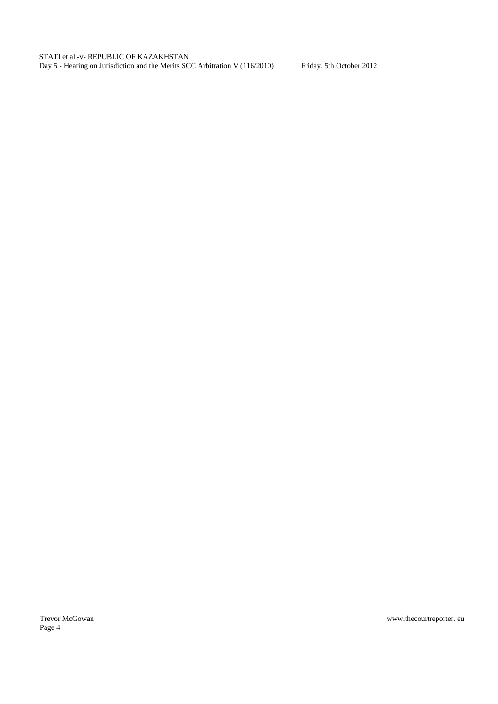Page 4

Trevor McGowan www.thecourtreporter. eu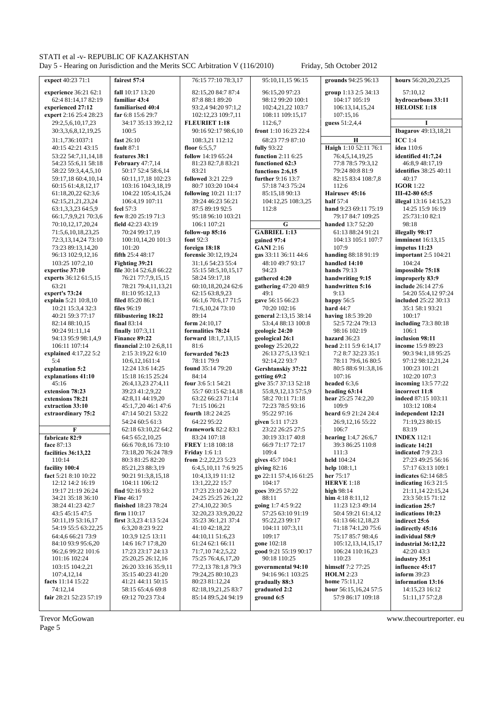Friday, 5th October 2012

| expect 40:23 71:1                         | fairest 57:4                                 | 76:15 77:10 78:3,17                      | 95:10,11,15 96:15                       | grounds 94:25 96:13                      | hours 56:20,20,23,25                          |
|-------------------------------------------|----------------------------------------------|------------------------------------------|-----------------------------------------|------------------------------------------|-----------------------------------------------|
| experience 36:21 62:1                     | fall 10:17 13:20                             | 82:15,20 84:7 87:4                       | 96:15,20 97:23                          | group 1:13 2:5 34:13                     | 57:10,12                                      |
| 62:4 81:14,17 82:19                       | familiar 43:4                                | 87:8 88:1 89:20                          | 98:12 99:20 100:1                       | 104:17 105:19                            | hydrocarbons 33:11                            |
| experienced 27:12                         | familiarised 40:4                            | 93:2,4 94:20 97:1,2                      | 102:4,21,22 103:7                       | 106:13,14,15,24                          | <b>HELOISE 1:18</b>                           |
| expert 2:16 25:4 28:23                    | far 6:8 15:6 29:7                            | 102:12,23 109:7,11                       | 108:11 109:15,17                        | 107:15,16                                |                                               |
| 29:2,5,6,10,17,23                         | 34:17 35:13 39:2,12                          | <b>FLEURIET 1:18</b>                     | 112:6.7                                 | guess 51:2,4,4                           | I                                             |
| 30:3,3,6,8,12,19,25                       | 100:5                                        | 90:16 92:17 98:6,10                      | front 1:10 16:23 22:4                   |                                          | <b>Ibagarov</b> 49:13,18,21                   |
| 31:1,736:1037:1                           | fast 26:10                                   | 108:3,21 112:12                          | 68:23 77:9 87:10                        | Н                                        | <b>ICC</b> 1:4                                |
| 40:15 42:21 43:15                         | fault $87:1$                                 | floor $6:5,5,7$                          | fully 93:22                             | Haigh 1:10 52:11 76:1                    | idea 110:6                                    |
| 53:22 54:7,11,14,18                       | features 38:1                                | follow 14:19 65:24                       | function 2:11 6:25                      | 76:4,5,14,19,25                          | identified 41:7,24                            |
| 54:23 55:6,11 58:18                       | <b>February 47:7,14</b>                      | 81:23 82:7,8 83:21                       | functioned 62:3                         | 77:8 78:5 79:3,12                        | 46:8,9 48:17,19                               |
| 58:22 59:3,4,4,5,10                       | 50:17 52:4 58:6,14<br>60:11,17,18 102:23     | 83:21<br>followed 3:21 22:9              | functions 2:6.15<br>further 9:16 13:7   | 79:24 80:8 81:9<br>82:15 83:4 108:7,8    | <b>identifies</b> 38:25 40:11<br>40:17        |
| 59:17,18 60:4,10,14<br>60:15 61:4,8,12,17 | 103:16 104:3,18,19                           | 80:7 103:20 104:4                        | 57:18 74:3 75:24                        | 112:6                                    | <b>IGOR 1:22</b>                              |
| 61:18,20,22 62:3,6                        | 104:22 105:4,15,24                           | <b>following</b> 10:21 11:17             | 85:15,18 90:13                          | Hairusev 45:16                           | III-42-80 65:5                                |
| 62:15,21,21,23,24                         | 106:4,19 107:11                              | 39:24 46:23 56:21                        | 104:12,25 108:3,25                      | half 57:4                                | <b>illegal</b> 13:16 14:15,23                 |
| 63:1,3,3,23 64:5,9                        | feel 57:3                                    | 87:5 89:19 92:5                          | 112:8                                   | hand 9:23 69:11 75:19                    | 14:25 15:9 16:19                              |
| 66:1,7,9,9,21 70:3,6                      | few 8:20 25:19 71:3                          | 95:18 96:10 103:21                       |                                         | 79:17 84:7 109:25                        | 25:731:10 82:1                                |
| 70:10,12,17,20,24                         | field 42:23 43:19                            | 106:1 107:21                             | G                                       | handed 13:7 52:20                        | 98:18                                         |
| 71:5,6,10,18,23,25                        | 70:24 99:17,19                               | follow-up $85:16$                        | <b>GABRIEL 1:13</b>                     | 61:13 88:24 91:21                        | illegally 98:17                               |
| 72:3,13,14,24 73:10                       | 100:10,14,20 101:3                           | font 92:3                                | gained 97:4                             | 104:13 105:1 107:7                       | imminent 16:13,15                             |
| 73:23 89:13,14,20                         | 101:20                                       | foreign 18:18                            | <b>GANI 2:16</b>                        | 107:9                                    | impetus 11:23                                 |
| 96:13 102:9,12,16                         | fifth 25:4 48:17                             | forensic 30:12,19,24                     | gas 33:11 36:11 44:6                    | handing 88:18 91:19                      | important 2:5 104:21                          |
| 103:25 107:2,10                           | Fighting 39:21                               | 31:1,6 54:23 55:4                        | 48:10 49:7 93:17                        | handled 14:10                            | 104:24                                        |
| expertise 37:10                           | file 30:14 52:6,8 66:22                      | 55:15 58:5,10,15,17                      | 94:23                                   | <b>hands</b> 79:13                       | impossible 75:18                              |
| experts 36:12 61:5,15                     | 76:21 77:7,9,15,15                           | 58:24 59:17,18                           | gathered 4:20                           | handwriting 9:15                         | improperly 83:9                               |
| 63:21                                     | 78:21 79:4,11,13,21                          | 60:10,18,20,24 62:6                      | gathering 47:20 48:9<br>49:1            | handwritten 5:16<br>9:13                 | include 26:14 27:6<br>54:20 55:4,12 97:24     |
| expert's 73:24<br>explain 5:21 10:8,10    | 81:10 95:12,13<br>filed 85:20 86:1           | 62:15 63:8,9,23<br>66:1,6 70:6,17 71:5   | gave 56:15 66:23                        | happy $56:5$                             | included 25:22 30:13                          |
| 10:21 15:3,4 32:3                         | files 96:19                                  | 71:6,10,24 73:10                         | 70:20 102:16                            | <b>hard</b> 44:7                         | 35:1 58:1 93:21                               |
| 40:21 59:3 77:17                          | filibustering 18:22                          | 89:14                                    | general 2:13,15 38:14                   | having 18:5 39:20                        | 100:17                                        |
| 82:14 88:10,15                            | final 83:14                                  | form 24:10,17                            | 53:4,4 88:13 100:8                      | 52:5 72:24 79:13                         | including 73:3 80:18                          |
| 90:24 91:11,14                            | finally $107:3,11$                           | formalities 78:24                        | geologic 24:20                          | 98:16 102:19                             | 106:1                                         |
| 94:13 95:9 98:1.4.9                       | Finance 89:22                                | forward 18:1,7,13,15                     | geological 26:1                         | hazard 36:23                             | inclusion 98:11                               |
| 106:11 107:14                             | <b>financial</b> 2:10 2:6,8,11               | 81:6                                     | geology 25:20,22                        | head 2:11 5:9 6:14,17                    | income 15:9 89:23                             |
| explained 4:17,22 5:2<br>5:4              | 2:15 3:19,22 6:10<br>10:6,12,1611:4          | forwarded 76:23<br>78:11 79:9            | 26:13 27:5,13 92:1<br>92:14,22 93:7     | 7:2 8:7 32:23 35:1<br>78:11 79:6,16 80:5 | 90:3 94:1,18 95:25<br>97:12 98:12,21,24       |
| explanation 5:2                           | 12:24 13:6 14:25                             | found 35:14 79:20                        | Gershtanskiy 37:22                      | 80:5 88:6 91:3,8,16                      | 100:23 101:21                                 |
| explanations 41:10                        | 15:18 16:15 25:24                            | 84:14                                    | getting 69:2                            | 107:16                                   | 102:20 107:3                                  |
| 45:16                                     | 26:4,13,23 27:4,11                           | four 3:6 5:1 54:21                       | give 35:7 37:13 52:18                   | headed $6:3,6$                           | incoming 13:5 77:22                           |
| extension 78:23                           | 39:23 41:2,9,22                              | 55:7 60:15 62:14,18<br>63:22 66:23 71:14 | 55:8,9,12,13 57:5,9<br>58:2 70:11 71:18 | heading 63:14<br>hear 25:25 74:2,20      | incorrect 11:8                                |
| extensions 78:21<br>extraction 33:10      | 42:8,11 44:19,20<br>45:1,7,20 46:1 47:6      | 71:15 106:21                             | 72:23 78:5 93:16                        | 109:9                                    | indeed 87:15 103:11<br>103:12 108:4           |
| extraordinary 75:2                        | 47:14 50:21 53:22                            | fourth 18:2 24:25                        | 95:22 97:16                             | heard 6:9 21:24 24:4                     | independent 12:21                             |
|                                           | 54:24 60:5 61:3                              | 64:22 95:22                              | given 5:11 17:23                        | 26:9,12,16 55:22                         | 71:19,23 80:15                                |
| F                                         | 62:18 63:10,22 64:2                          | framework 82:2 83:1                      | 23:22 26:25 27:5                        | 106:7                                    | 83:19                                         |
| fabricate 82:9                            | 64:5 65:2,10,25                              | 83:24 107:18                             | 30:19 33:17 40:8                        | hearing 1:4,7 26:6,7                     | <b>INDEX 112:1</b>                            |
| face 87:13                                | 66:6 70:8,16 73:10                           | <b>FREY</b> 1:18 108:18                  | 66:9 71:17 72:17                        | 39:3 86:25 110:8                         | indicate 14:21                                |
| facilities 36:13,22                       | 73:18,20 76:24 78:9                          | <b>Friday 1:6 1:1</b>                    | 109:4                                   | 111:3                                    | indicated 7:9 23:3                            |
| 110:14                                    | 80:3 81:25 82:20                             | from 2:2,22,23 5:23                      | gives 45:7 104:1                        | held 104:24                              | 27:23 49:25 56:16                             |
| facility 100:4                            | 85:21,23 88:3,19                             | 6:4,5,10,11 7:6 9:25                     | giving 82:16                            | help $108:1,1$                           | 57:17 63:13 109:1                             |
| fact 5:21 8:10 10:22<br>12:12 14:2 16:19  | 90:21 91:3,8,15,18<br>104:11 106:12          | 10:4,13,19 11:12<br>13:1,22,22 15:7      | go 22:11 57:4,16 61:25<br>104:17        | her $75:17$<br><b>HERVE</b> 1:18         | indicates 62:14 68:5<br>indicating $16:321:5$ |
| 19:17 21:19 26:24                         | find $92:1693:2$                             | 17:23 23:10 24:20                        | goes 39:25 57:22                        | high 98:14                               | 21:11,14 22:15,24                             |
| 34:21 35:18 36:10                         | <b>Fine 46:17</b>                            | 24:25 25:25 26:1,22                      | 88:11                                   | him $4:188:11,12$                        | 23:3 50:15 71:12                              |
| 38:24 41:23 42:7<br>43:5 45:15 47:5       | <b>finished</b> 18:23 78:24<br>firm $110:17$ | 27:4,10,22 30:5<br>32:20,23 33:9,20,22   | going 1:7 4:5 9:22<br>57:25 63:10 91:19 | 11:23 12:3 49:14<br>50:4 59:21 61:4,12   | indication 25:7<br>indications 10:23          |
| 50:11,19 53:16,17                         | first 3:3,23 4:13 5:24                       | 35:23 36:1,21 37:4                       | 95:22,23 99:17                          | 61:13 66:12,18,23                        | indirect 25:6                                 |
| 54:19 55:5 63:22,25                       | 6:3,20 8:23 9:22                             | 41:10 42:18,22                           | 104:11 107:3,11                         | 71:18 74:1,20 75:6                       | indirectly 45:16                              |
| 64:4,6 66:21 73:9                         | 10:3,9 12:5 13:11                            | 44:10,11 51:6,23                         | 109:17                                  | 75:17 85:7 98:4,6                        | individual 58:9                               |
| 84:10 93:9 95:6,20                        | 14:6 16:7 17:8,20                            | 61:24 62:1 66:11                         | gone 102:18                             | 105:12,13,14,15,17                       | industrial 36:12,22                           |
| 96:2,6 99:22 101:6                        | 17:23 23:17 24:13                            | 71:7,10 74:2,5,22                        | good 9:21 55:19 90:17                   | 106:24 110:16,23                         | 42:20 43:3                                    |
| 101:16 102:24                             | 25:20,25 26:12,16                            | 75:25 76:4,6,17,20                       | 90:18 110:25                            | 110:23                                   | industry 35:1                                 |
| 103:15 104:2,21                           | 26:20 33:16 35:9,11                          | 77:2,13 78:1,8 79:3                      | governmental 94:10                      | himself 7:2 77:25                        | influence 45:17                               |
| 107:4,12,14                               | 35:15 40:23 41:20                            | 79:24,25 80:10,23                        | 94:16 96:1 103:25                       | <b>HOLM</b> 2:23                         | inform $39:23$                                |
| facts 11:14 15:22                         | 41:21 44:11 50:15                            | 80:23 81:12,24                           | gradually 88:3                          | home $75:11,12$                          | information 13:16                             |
| 74:12,14                                  | 58:15 65:4,6 69:8                            | 82:18,19,21,25 83:7                      | graduated 2:2                           | hour 56:15,16,24 57:5                    | 14:15,23 16:12                                |
| fair 28:21 52:23 57:19                    | 69:12 70:23 73:4                             | 85:14 89:5,24 94:19                      | ground 6:5                              | 57:9 86:17 109:18                        | 51:11,17 57:2,8                               |

Trevor McGowan

Page 5

www.thecourtreporter. eu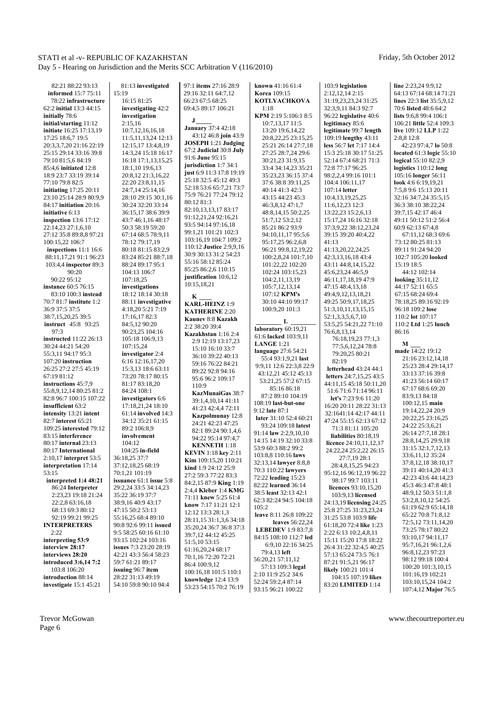| 82:21 88:22 93:13                                 | 81:13 investigated                         | 97:1 items 27:16 28:9                              | known 41:16 61:4                           | 103:9 legislation                                 | line $2:23,249::9,12$                                |
|---------------------------------------------------|--------------------------------------------|----------------------------------------------------|--------------------------------------------|---------------------------------------------------|------------------------------------------------------|
| informed 15:7 75:11                               | 15:19                                      | 29:16 32:11 64:7,12                                | Korea 109:15                               | 2:12,12,14 2:15                                   | 64:13 67:14 68:14 71:21                              |
| 78:22 infrastructure                              | 16:15 81:25                                | 66:23 67:5 68:25                                   | <b>KOTLYACHKOVA</b>                        | 31:19,23,23,24 31:25                              | lines $22:3$ list $35:5,9,12$                        |
| 62:2 initial 13:3 44:15                           | investigating 42:2                         | 69:4,5 89:17 106:21                                | 1:18                                       | 32:3,9,11 84:3 92:7                               | 70:6 listed 48:6 64:2                                |
| initially 78:6                                    | investigation                              |                                                    | KPM 2:19 5:106:1 8:5                       | 96:22 legislative 40:6                            | lists 9:6,8 99:4 106:1                               |
| initial/starting 11:12                            | 2:15,16                                    | J<br><b>January 37:4 42:18</b>                     | 10:7,13,17 11:5                            | legitimacy 85:6                                   | 106:21 little 52:4 109:3                             |
| initiate 16:25 17:13,19                           | 10:7,12,16,16,18                           | 43:12 46:8 join 43:9                               | 13:20 19:6,14,22                           | legitimate 99:7 length                            | live $109:12$ LLP $1:22$                             |
| 17:25 18:6,7 19:5                                 | 11:5, 11, 13, 24 12:13                     | JOSEPH 1:21 Judging                                | 20:8,22,25 23:15,25                        | 109:19 lengthy 43:11                              | 2:8,8 12:8                                           |
| 20:3,3,7,20 21:16 22:19<br>25:15 29:14 33:16 39:8 | 12:15,17 13:4,8,19<br>14:3,24 15:18 16:17  | $67:2$ Judicial $30:8$ July                        | 25:21 26:14 27:7,18<br>27:25 28:7,24 29:6  | less 56:7 let 7:17 14:4<br>15:3 25:18 30:17 51:25 | 42:23 97:4,7 lo 50:8<br>located $61:3$ logic $55:10$ |
| 79:10 81:5.6 84:19                                | 16:18 17:1,13,15,25                        | 91:6 June 95:15                                    | 30:21,23 31:9,15                           | 52:14 67:4 68:21 71:3                             | logical 55:10 82:2,9                                 |
| 85:4,6 initiated 12:8                             | 18:1,10 19:6,13                            | jurisdiction 1:7 34:1                              | 33:4 34:14,23 35:21                        | 72:8 77:17 96:25                                  | logistics 110:12 long                                |
| 18:9 23:7 33:19 39:14                             | 20:8,12 21:3,16,22                         | just 6:9 11:3 17:8 19:19                           | 35:23,23 36:15 37:4                        | 98:2,2,4 99:16 101:1                              | 105:16 longer 56:11                                  |
| 77:10 79:8 82:5                                   | 22:20 23:8,11,15                           | 25:18 32:5 45:12 49:3                              | 37:6 38:8 39:11,25                         | 104:4 106:11,17                                   | look 4:6 6:19,19,21                                  |
| initiating $17:2520:11$                           | 24:7,14 25:14,16                           | 52:18 53:6 65:7,21 73:7                            | 40:14 41:3 42:3                            | 107:14 letter                                     | 7:5,8 9:6 15:13 20:11                                |
| 23:10 25:14 28:9 80:9,9                           | 28:10 29:15 30:1,16                        | 75:9 76:21 77:24 79:12<br>80:12 81:3               | 43:15 44:23 45:3                           | 10:4,13,19,25,25                                  | 32:16 34:7,24 35:5,15                                |
| 84:17 initiation 20:16                            | 30:24 32:20 33:14                          | 82:10,13,13,17 83:17                               | 46:3,8,12 47:1,7                           | 11:6, 12, 23 12:3                                 | 36:3 38:10 38:22,24                                  |
| initiative 6:13                                   | 36:15,17 38:6 39:9                         | 91:12,21,24 92:16,21                               | 48:8, 14, 15 50:2, 25                      | 13:22,23 15:2,6,13                                | 39:7,15 42:17 46:4                                   |
| inspection $13:6$ 17:12<br>22:14,23 27:1,6,10     | 43:7 46:1,16 48:17<br>50:3 58:19 59:20     | 93:5 94:14 97:16,18                                | 51:7,12 53:2,12<br>85:21 86:2 93:9         | 15:17,24 16:16 32:18<br>37:3,9,22 38:12,23,24     | 49:11 50:12 51:2 56:4<br>60:9 62:13 67:4,8           |
| 27:12 35:8 89:8,8 97:21                           | 67:14 68:5 78:9,11                         | 99:1,21 101:21 102:3                               | 94:10,11,17 95:5,6                         | 39:15 39:20 40:4,22                               | 67:11,12 68:3 69:6                                   |
| 100:15,22 106:7                                   | 78:12 79:17,19                             | 103:16,19 104:7 109:2                              | 95:17,25 96:2,6,8                          | 41:13                                             | 73:12 80:25 81:13                                    |
| inspections $11:1$ 16:6                           | 80:18 81:15 83:2,9                         | 110:12 Justice 2:9,9,16                            | 96:21 99:8,12,19,22                        | 41:13,20,22,24,25                                 | 89:11 91:24 94:20                                    |
| 88:11,17,21 91:1 96:23                            | 83:24 85:21 88:7,18                        | 30:9 30:13 31:2 54:23                              | 100:2,8,24 101:7,10                        | 42:3,13,16,18 43:4                                | 102:7 105:20 looked                                  |
| 103:4,4 inspector 89:3                            | 88:24 89:17 95:1                           | 55:16 58:12 85:24<br>85:25 86:2,6 110:15           | 101:22,22 102:20                           | 43:11 44:8,14,15,22                               | 15:19 18:5                                           |
| 90:20                                             | 104:13 106:7                               | justification 10:6,12                              | 102:24 103:15,23                           | 45:6,23,24 46:5,9                                 | 44:12 102:14                                         |
| 90:22 95:12                                       | 107:18.25                                  | 10:15,18,21                                        | 104:2,11,13,19                             | 46:11,17,18,19 47:9                               | looking 35:11,12                                     |
| instance 60:5 76:15<br>83:10 100:3 instead        | investigations<br>18:12 18:14 30:18        |                                                    | 105:7,12,13,14                             | 47:15 48:4,13,18                                  | 44:17 52:11 65:5<br>67:15 68:24 69:4                 |
| 70:7 81:7 institute 1:2                           | 88:11 investigative                        | K.                                                 | 107:12 <b>KPM's</b><br>30:10 44:10 99:17   | 49:4,9,12,13,18,21<br>49:25 50:9,17,18,25         | 78:18,25 89:16 92:19                                 |
| 36:9 37:5 37:5                                    | 4:18,20 5:21 7:19                          | <b>KARL-HEINZ 1:9</b>                              | 100:9,20 101:3                             | 51:3, 10, 11, 13, 15, 15                          | 96:18 109:2 lose                                     |
| 38:7,15,20,25 39:5                                | 17:16,17 82:3                              | <b>KATHERINE 2:20</b><br>Kaunev 8:8 Kazakh         |                                            | 52:1,3,3,5,6,7,10                                 | 110:2 lot 107:17                                     |
| <b>instruct</b> 45:8 93:25                        | 84:5,12 90:20                              | 2:2 38:20 39:4                                     | L                                          | 53:5,25 54:21,22 71:10                            | 110:2 Ltd 1:25 lunch                                 |
| 97:3                                              | 90:23,25 104:16                            | Kazakhstan 1:16 2:4                                | laboratory 60:19,21                        | 76:6,8,13,14                                      | 86:16                                                |
| <b>instructed</b> 11:22 26:13                     | 105:18 106:9,13                            | 2:9 12:19 13:17,23                                 | 61:6 lacked 103:9,11<br><b>LANGE 1:21</b>  | 76:18,19,23 77:1,3                                | М                                                    |
| 30:24 44:21 54:20                                 | 107:15,24                                  | 15:10 16:10 33:7                                   | language 27:6 54:21                        | 77:5,6,12,24 78:8                                 | made 14:22 19:12                                     |
| 55:3,11 94:17 95:3<br>107:20 instruction          | investigator 2:4                           | 36:10 39:22 40:13                                  | 55:4 93:1,9,21 last                        | 79:20,25 80:21<br>82:19                           | 21:16 23:12,14,18                                    |
| 26:25 27:2 27:5 45:19                             | 6:16 12:16,17,20<br>15:3,13 18:6 63:11     | 59:16 76:22 84:21                                  | 9:9,11 12:6 22:3,8 22:9                    | letterhead 43:24 44:1                             | 25:23 28:4 29:14,17                                  |
| 67:19 81:12                                       | 73:20 78:17 80:15                          | 89:22 92:8 94:16                                   | 43:12,21 45:12 45:13                       | letters 24:7,15,25 43:5                           | 33:13 37:16 39:8                                     |
| instructions 45:7,9                               | 81:17 83:18,20                             | 95:6 96:2 109:17<br>110:9                          | 53:21,25 57:2 67:15                        | 44:11,15 45:18 50:11,20                           | 41:23 56:14 60:17                                    |
| 55:8,9,12,14 80:25 81:2                           | 84:24 108:1                                | KazMunaiGas 38:7                                   | 85:16 86:18                                | 51:6 71:6 71:14 96:11                             | 67:17 68:6 69:20                                     |
| 82:8 96:7 100:15 107:22                           | investigators 6:6                          | 39:1,4,10,14 41:11                                 | 87:2 89:10 104:19                          | let's 7:23 9:6 11:20                              | 83:9,13 84:18                                        |
| insufficient 63:2                                 | 17:18,21,24 18:10                          | 41:23 42:4,4 72:11                                 | 108:19 last-but-one<br>9:12 late 87:1      | 16:20 20:11 28:22 31:13                           | $100:12,15$ main<br>19:14,22,24 20:9                 |
| intensity 13:21 intent                            | 61:14 involved 14:3                        | Kazpolmunay 12:8                                   | later 31:10 52:4 60:21                     | 32:1641:14 42:17 44:11                            | 20:22,25 23:16,25                                    |
| 82:7 interest 65:21                               | 34:12 35:21 61:15                          | 24:21 42:23 47:25                                  | 93:24 109:18 latest                        | 47:24 55:15 62:13 67:12                           | 24:22 25:3,6,21                                      |
| 109:25 interested 79:12<br>83:15 interference     | 89:2 106:8,9<br>involvement                | 82:1 89:24 90:1,4,6                                | 91:14 law 2:2,9,10,10                      | 71:3 81:11 105:20<br>liabilities 80:18,19         | 26:14 27:7,18 28:1                                   |
| 80:17 internal 23:13                              | 104:12                                     | 94:22 95:14 97:4,7                                 | 14:15 14:19 32:10 33:8                     | licence 24:10,11,12,17                            | 28:8, 14, 25 29:9, 18                                |
| 80:17 International                               | 104:25 in-field                            | <b>KENNETH 1:18</b><br><b>KEVIN</b> 1:18 key 2:11  | 53:9 60:3 88:2 99:2                        | 24:22,24 25:2,22 26:15                            | 31:15 32:1,7,12,13                                   |
| 2:10,17 interpret 53:5                            | 36:18,25 37:7                              | Kim 109:15,20 110:21                               | 103:8,8 110:16 laws                        | 27:7,19 28:1                                      | 33:6,11,12 35:24                                     |
| interpretation 17:14                              | 37:12,18,25 68:19                          | kind 1:9 24:12 25:9                                | 32:13,14 lawyer 8:8,8                      | 28:4,8,15,25 94:23                                | 37:8,12,18 38:10,17                                  |
| 53:15                                             | 70:1,21 101:19                             | 27:2 59:3 77:22 83:3                               | 70:3 110:22 lawyers<br>72:22 leading 15:23 | 95:12,16 96:12,19 96:22                           | 39:11 40:14,20 41:3<br>42:23 43:6 44:14,23           |
| interpreted 1:4 48:21                             | issuance 61:1 issue 5:8                    | 84:2,15 87:9 King 1:19                             | 82:22 learned 36:14                        | 98:17 99:7 103:11                                 | 45:3 46:3 47:8 48:1                                  |
| 86:24 Interpreter<br>2:23,23 19:18 21:24          | 29:2,24 33:5 34:14,23                      | 2:4,4 Kleber 1:4 KMG                               | 38:5 least 32:13 42:1                      | licences 93:10,15,20                              | 48:9,12 50:3 51:1,8                                  |
| 22:2,8 63:16,18                                   | 35:22 36:19 37:7<br>38:9,16 40:9 43:17     | 71:11 knew 5:25 61:4                               | 62:3 82:24 94:5 104:18                     | 103:9,13 licensed<br>24:13,19 licensing 24:25     | 53:2,8,10,12 54:25                                   |
| 68:13 69:3 80:12                                  | 47:15 50:2 53:13                           | know 7:17 11:21 12:1                               | 105:2                                      | 25:8 27:25 31:23,23,24                            | 61:19 62:9 65:14,18                                  |
| 92:19 99:21 99:25                                 | 55:16,25 68:4 89:10                        | 12:12 13:3 28:1,3                                  | leave 8:11 26:8 109:22                     | 31:25 53:8 103:9 life                             | 65:22 70:8 71:8,12                                   |
| <b>INTERPRETERS</b>                               | 90:8 92:6 99:11 issued                     | 28:11,15 31:1,3,6 34:18<br>35:20,24 36:7 36:8 37:3 | <b>leaves</b> 56:22,24                     | 61:18,20 72:4 like 1:23                           | 72:5,12 73:11,14,20                                  |
| 2:22                                              | 9:5 58:25 60:16 61:10                      | 39:7,12 44:12 45:25                                | <b>LEBEDEV</b> 1:9 83:7,8                  | 2:22 6:13 10:2,4,8,11                             | 73:25 78:17 80:22                                    |
| interpreting 53:9                                 | 93:15 102:24 103:16                        | 51:5,10 53:15                                      | 84:15 108:10 112:7 led                     | 15:11 15:20 17:8 18:22                            | 93:10,17 94:11,17                                    |
| interview 28:17                                   | issues 7:3 23:20 28:19                     | 61:16,20,24 68:17                                  | 6:9,10 22:16 34:25<br>79:4,13 <b>left</b>  | 26:4 31:22 32:4,5 40:25                           | 95:7,16,21 96:1,2,6<br>96:8,12,23 97:23              |
| interviews 28:20                                  | 42:21 43:3 56:4 58:23                      |                                                    |                                            | 57:13 65:24 73:5 76:1                             |                                                      |
|                                                   |                                            | 70:1,16 72:20 72:21                                |                                            |                                                   |                                                      |
| introduced 3:6,14 7:2                             | 59:7 61:21 89:17                           | 86:4 100:9,12                                      | 56:20,21 57:11,12<br>57:13 109:3 legal     | 87:21 91:5,21 96:17                               | 98:12 99:18 100:4<br>100:20 101:3,10,15              |
| 103:8 106:20                                      | issuing 96:7 item                          | 100:16,18 101:5 110:1                              | 2:10 11:9 25:2 34:6                        | likely 100:21 101:4                               | 101:16,19 102:21                                     |
| introduction 88:14<br>investigate $15:145:21$     | 28:22 31:13 49:19<br>54:10 59:8 90:10 94:4 | knowledge 12:4 13:9<br>53:23 54:15 70:2 76:19      | 52:24 59:2,4 87:14<br>93:15 96:21 100:22   | 104:15 107:19 likes<br>83:20 LIMITED 1:14         | 103:10,15,24 104:2<br>107:4,12 Major 76:5            |

Trevor McGowan Page 6

www.thecourtreporter.eu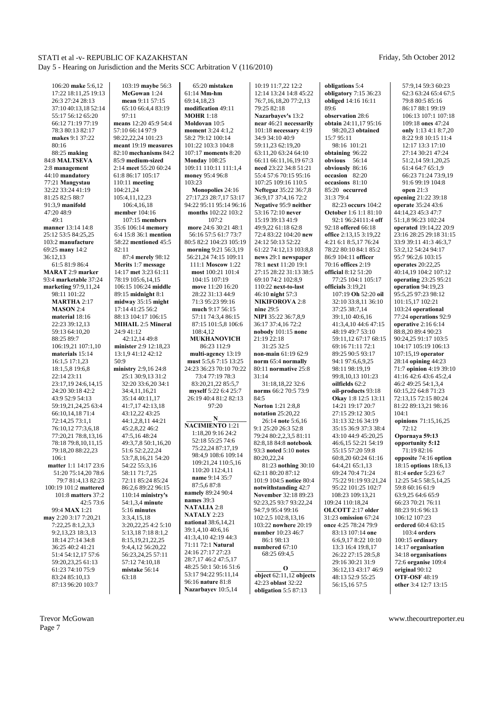106:20 make 5:6,12 17:22 18:11,25 19:13 26:3 27:24 28:13 37:10 40:13,18 52:14 55:17 56:12 65:20  $66:1271:1977:19$ 78:3 80:13 82:17 makes 9:1 37:22  $80.16$ 88.25 making 84:8 MALTSEVA 2:8 management 44:10 mandatory 77:21 Mangystau  $32.2233.2441.19$ 81:25 82:5 88:7  $91.39$  manifold  $47.2048.9$  $40 - 1$ manner 13:14 14:8 25:12 53:5 84:25,25 103:2 manufacture 69.25 many 14:2 36:12.13  $61.5810864$ **MARAT 2:9 marker** 93.4 marketable 37.24 marketing 97:9,11,24  $98.11101.22$ **MARTHA**  $2.17$ **MASON**  $2.4$ material 18:16 22:23 39:12.13 59:13 64:10.20 88.25.89.7 106:19 21 107:1.10 materials 15:14 16:1.5 17:1.23 18:1,5,8 19:6,8 22:14 23:11 23:17:19:24:6:14:15  $24.2030.1842.2$ 43:9 52:9 54:13 59:19,21,24,25 63:4 66:10,14,18 71:4  $72.14257311$ 76.10.12.77.3.6.18 77:20,21 78:8,13,16 78:18 79:8,10,11,15 79:18.20 88:22.23  $106.1$ matter 1:1 14:17 23:6  $51:2075:14.2078:6$ 79:7 81:4,13 82:23 100:19 101:2 mattered 101:8 matters 37:2 42:5 73:6 99:4 MAX 1:21 may 2:20 3:17 7:20,21 7:22,25 8:1,2,3,3 9:2,13,23 18:3,13 18:14 27:14 34:8 36:25 40:2 41:21  $51.454.1217576$  $59.20232561.13$ 61:23 74:10 75:9 83:24 85:10,13

103:19 maybe 56:3 McGowan 1:24 mean 9:11 57:15 65:10 66:4,4 83:19 97:11 means 12:20 45:9 54:4 57:10 66:14 97:9 98:22,22,24 101:23 meant 19:19 measures 82:10 mechanisms 84:2 85:9 medium-sized  $2.14$  meet 55.20.60.24  $61.886.17105.17$ 110:11 meeting 104:21,24  $105:4,11,12,23$  $106:41618$ member  $104.16$  $107.15$  members 35:6 106:14 memory 6:4 15:8 36:1 mention 58:22 mentioned 45:5  $82.11$ 87:4 merely 98:12 Merits 1.7 message 14:17 met 3:23 61:11 78.19 105.6 14 15 106:15 106:24 middle 89:15 midnight 8:1 midway 35:15 might 17:14 41:25 56:2 88:13 104:17 106:15 **MIHAIL 2:5 Mineral** 24:9 41:12  $42.12.1449.8$ minister 2:9 12:18 23 13:1,9 41:12 42:12  $50:9$ ministry 2:9,16 24:8 25:1 30:9.13 31:2  $32.2033.62034.1$  $34.4111621$ 35:14 40:11.17 41:7,17 42:13,18 43:12,22 43:25  $44.1281144.21$  $45.282246.2$ 47:5,16 48:24 49:3,7,8 50:1,16,20 51:6 52:2.22.24 53:7,8,16,21 54:20  $54.2255316$  $58.1171.725$ 72:11 85:24 85:24 86:2,6 89:22 96:15 110:14 ministry's 54:1.3.4 minute  $5.16$  minutes 3:3.4.15.18  $3:20.22.254:25:10$ 5:13,18 7:18 8:1,2 8:15,19,21,22,25 9:4.4.12.56:20.22 56.23.24.25.57.11  $57.1274.1018$ mistake 56:14 63:18

65:20 mistaken 61:14 Mm-hm 69:14.18.23 modification 49.11 **MOHR** 1:18 Moldovan 10:5 moment 3:24 4:1.2 58:2 79:12 100:14 101:22 103:3 104:8 107:17 moments 8:20 **Monday 108:25** 109.11 110:11 111:1.4 money 95:4 96:8  $103.23$ Monopolies 24:16 27:17,23 28:7,17 53:17  $94.2295.1195.1496.16$ months  $102.22103.2$  $107.2$ more 24:6 30:21 48:1 56:16 57:5 61:7 73:7 80:5 82:2 104:23 105:19 morning 9:21 56:3,19 56:21.24 74:15 109:11 111.1 Moscow 1.22 most 100:21 101:4  $104.15$   $107.19$ move 11:20 16:20  $28.2231.1344.9$  $71.395.2399.16$ much 9:17 56:15 57:11 74:3.4 86:15 87:15 101:5.8 106:6 108:4.12 **MUKHANOVICH**  $86.23112.9$ multi-agency 13:19 must 5:5,67:15 13:25 24:23 36:23 70:10 70:22 73:4 77:19 78:3  $83.2021228557$ myself 5.22.6.4.25.7 26:19 40:4 81:2 82:13 97:20 **NACIMIENTO 1:21**  $1.1820916242$ 52:18 55:25 74:6 75:22,24 87:17,19 98:4.9 108:6 109:14 109:21,24 110:5,16 110.20 112.4 11 name 9:14 35:7  $87.56878$ namely 89:24 90:4 names 39:3 **NATALIA 2:8**  $NATAI.V.223$ national 38:6,14,21 39:1,4,10 40:6,16 41:3.4.10 42:19 44:3 71:11 72:1 Natural 24:16 27:17 27:23  $28.71746.247.517$  $48.2550.150.16516$ 53:17 94:22 95:11,14 96:16 nature 81:8

Nazarbayev 10:5.14

10:19 11:7.22 12:2 12:14 13:24 14:8 45:22 76:7.16.18.20 77:2.13  $79.2582.18$ Nazarbayev's 13:2 near 46.21 necessarily 101:18 necessary 4:19 34:9 34:10 40:9 59:11,23 62:19,20 63:11.20 63:24 64:10 66:11 66:11.16.19 67:3 need 23:22.34:8.51:21  $55.457670.159516$ 107:25 109:16 110:5 Neftegaz 35:22 36:7,8 36:9,17 37:4,16 72:2 Negative 95:9 neither  $53.1672 \cdot 10$  never  $15.1939.13419$ 49:9,22 61:18 62:8 72:4 83:22 104:20 new 24:12 50:13 52:22 61.22.74.12.13.103.8.8 news 29:1 newspaper 78.1 next 11.20 19.1 27:15 28:22 31:13 38:5 69:10 74:2 102:8.9 110:22 next-to-last  $46.10$  night 57.3 NIKIFOROVA 2.8 nine 29:5 NIPI 35:22 36:7,8,9 36:17 37:4,16 72:2 nobody 101:15 none  $21.1922.18$  $31.25325$ non-main 61:19 62:9 norm 65:4 normally 80:11 normative 25:8  $31:14$  $31.181822336$ norms  $66.270.573.9$  $84.5$ **Norton** 1:21 2:8,8 notation  $25:20,22$ 26:14 note 5:6.16  $9.12520263528$ 79:24 80:2.2.3.5 81:11 82:8,18 84:8 notebook 93:3 noted 5:10 notes  $80.202224$  $81:23$  nothing  $30:10$ 62:11 80:20 87:12 101:9 104:5 notice 80:4 notwithstanding 42:7 November 32:18 89:23 92:23.25 93:7 93:22.24 94:7.9 95:4 99:16  $102.25102.81316$ 103:22 nowhere 20:19 number 10:23 46:7 86:1 98:13 numbered 67:10 68:25 69:4.5  $\Omega$  $\overline{\text{object } 62:11,12 \text{ objects}}$ 42.23 oblast 32.22 obligation 5:5 87:13

obligatory 7:15 36:23 obliged 14:16 16:11  $89.6$ observation 28:6 obtain 24:11 17 95:16 98:20.23 obtained 15:7 95:11  $98.16$   $101.21$ obtaining 96:22  $obvious$  56:14 obviously 86:16 occasion 82:20 occasions 81:10 85:20 occurred 31:3 79:4  $82.23$  occurs  $104.2$  $October 1.61.181.10$  $92.196.24111.4$  off 92:18 offered 66:18 office 2:13,15 3:19,22 4:21 6:1 8:5,17 76:24 78.22 80.10 84.1 85.2 86:9 104:11 officer  $70.16$  offices  $2.19$ official 8:12 51:20  $77.25104.1105.17$ officials 3:19,21 107:19 Oh 52:20 oil 32:10 33:8.11 36:10 37:25 38:7,14 39:1.10 40:6.16 41:3,4,10 44:6 47:15 48:19 49:7 53:10  $59.11$  12.67 $\cdot$ 17.68 $\cdot$ 15  $69.1671.1172.1$ 89:25 90:5 93:17 94:1 97:6,6,9,25 98:11 98:19,19 99:8.10.13 101:23 oilfields 62.2 oil-products 93:18 Okay 1:8 12:5 13:11 14:21 19:17 20:7 27:15 29:12 30:5  $31.1332.1634.19$ 35.15.36.9.37.3.38.4 43:10 44:9 45:20.25 46:6,15 52:21 54:19 55:15 57:20 59:8 60:8,20 60:24 61:16  $64.42165.113$ 69.24.70.4.71.24 75:22 91:19 93:21.24 95:22 101:25 102:7 108:23 109:13,21 109:24 110:18.24 OLCOTT 2:17 older 31:23 omission 67:24 once 4:25 78:24 79:9 83:13 107:14 one 6:6,9,178:22 10:10 13:3 16:4 19:8 17  $26.22.27.15.28.5.8$  $29.1630.2131.9$ 36:12.13 43:17 46:9 48:13 52:9 55:25 56:15,16 57:5

obligations 5:4

57:9.14 59:3 60:23 62:3 63:24 65:4 67:5 79:8 80:5 85:16 86.17.88.1.99.19 106:13 107:1 107:18 109:18 ones 47:24 only 1:13 4:1 8:7,20 8:22 9:8 10:15 11:4 12:17 13:3 17:10 27:14 30:21 47:24 51:2,14 59:1,20,25  $61.464.76519$ 66:23 71:24 73:9.19 91:6 99:19 104:8 open 21:3 opening 21:22 39:18 operate 35:24 43:6 44:14.23 45:3 47:7  $51.1896.23102.24$ operated 19:14,22 20:9 23:16 28:25 29:18 31:15 33:9 39:11 41:3 46:3,7 53.2.12.54.24.94.17 95:7 96:2.6 103:15 onerates  $20:22:25$ 40:14,19 104:2 107:12 operating 23:25 95:21 operation 94:19,23 95.52597.2398.12  $101.15$  17  $102.21$ 103:24 operational 77:24 operations 92:9 operative 2:16 6:14 88:8.20 89:4 90:23  $90.242591.17103.5$  $104.17$   $105.19$   $106.13$ 107:15,19 operator 28:14 opining 44:23 71:7 opinion 4:19 39:10 41:16 42:6 43:6 45:2.4  $46.249.2554134$  $60.15226487123$ 72:13.15 72:15 80:24 81:22 89:13,21 98:16  $104 - 1$ opinions 71:15,16.25  $72.12$ Opornaya 59:13 opportunity 5:12 71:19 82:16 opposite 74:16 option  $18.15$  options  $18.613$ 81:4 order 5:23 6:7 12:25 54:5 58:5,14,25 59:8 60:16 61:9 63:9,25 64:6 65:9 66:23 70:21 76:11 88:23 91:6 96:13  $106.12107.23$ ordered 60:4 63:15 103:4 orders 100:15 ordinary 14:17 organisation 34:18 organisations 72:6 organise 109:4 original 90:12 **OTF-OSF 48:19** other 3:4 12:7 13:15

**Trevor McGowan** Page 7

87:13 96:20 103:7

www.thecourtreporter.eu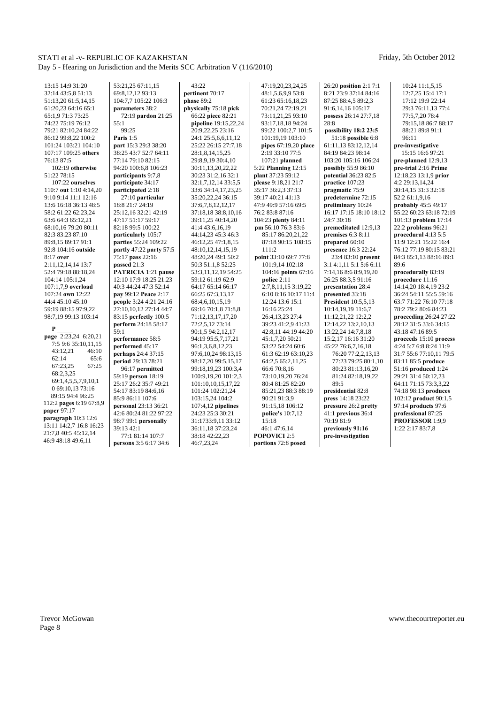13:15 14:9 31:20 32:14 43:5,8 51:13 51:13,20 61:5,14,15 61:20,23 64:16 65:1 65:1,9 71:3 73:25 74:22 75:19 76:12 79:21 82:10,24 84:22 86:12 99:8,22 100:2 101:24 103:21 104:10 107:17 109:25 **others** 76:13 87:5 102:19 **otherwise** 51:22 78:15 107:22 **ourselves** 110:7 **out** 1:10 4:14,20 9:10 9:14 11:1 12:16 13:6 16:18 36:13 48:5 58:2 61:22 62:23,24 63:6 64:3 65:12,21 68:10,16 79:20 80:11 82:3 83:23 87:10 89:8,15 89:17 91:1 92:8 104:16 **outside** 8:17 **over** 2:11,12,14,14 13:7 52:4 79:18 88:18,24 104:14 105:1,24 107:1,7,9 **overload** 107:24 **own** 12:22 44:4 45:10 45:10 59:19 88:15 97:9,22 98:7,19 99:13 103:14 **P**  $\qquad$ **page** 2:23,24 6:20,21 7:5 9:6 35:10,11,15 43:12,21 46:10 62:14 65:6<br>67:23.25 67:25 67:23,25 67:25 68:2,3,25 69:1,4,5,5,7,9,10,1 0 69:10,13 73:16 89:15 94:4 96:25 112:2 **pages** 6:19 67:8,9 **paper** 97:17 **paragraph** 10:3 12:6 13:11 14:2,7 16:8 16:23 21:7,8 40:5 45:12,14 46:9 48:18 49:6,11 53:21,25 67:11,15 69:8,12,12 93:13 104:7,7 105:22 106:3 **parameters** 38:2 72:19 **pardon** 21:25  $55.1$ 99:25 **Paris** 1:5 **part** 15:3 29:3 38:20 38:25 43:7 52:7 64:11 77:14 79:10 82:15 94:20 100:6,8 106:23 **participants** 9:7,8 **participate** 34:17 **participated** 2:18 27:10 **particular** 18:8 21:7 24:19 25:12,16 32:21 42:19 47:17 51:17 59:17 82:18 99:5 100:22 **particularly** 105:7 **parties** 55:24 109:22 **partly** 47:22 **party** 57:5 75:17 **pass** 22:16 **passed** 21:3 **PATRICIA** 1:21 **pause** 12:10 17:9 18:25 21:23 40:3 44:24 47:3 52:14 **pay** 99:12 **Peace** 2:17 **people** 3:24 4:21 24:16 27:10,10,12 27:14 44:7 83:15 **perfectly** 100:5 **perform** 24:18 58:17  $59.1$ **performance** 58:5 **performed** 45:17 **perhaps** 24:4 37:15 **period** 29:13 78:21 96:17 **permitted** 59:19 **person** 18:19 25:17 26:2 35:7 49:21 54:17 83:19 84:6,16 85:9 86:11 107:6 **personal** 23:13 36:21 42:6 80:24 81:22 97:22 98:7 99:1 **personally** 39:13 42:1 77:1 81:14 107:7 **persons** 3:5 6:17 34:6 43:22 **pertinent** 70:17 **phase** 89:2 **physically** 75:18 **pick** 66:22 **piece** 82:21 **pipeline** 19:15,22,24 20:9,22,25 23:16 24:1 25:5,6,6,11,12 25:22 26:15 27:7,18 28:1,8,14,15,25 29:8,9,19 30:4,10 30:11,13,20,22,22 30:23 31:2,16 32:1 32:1,7,12,14 33:5,5 33:6 34:14,17,23,25 35:20,22,24 36:15 37:6,7,8,12,12,17 37:18,18 38:8,10,16 39:11,25 40:14,20 41:4 43:6,16,19 44:14,23 45:3 46:3 46:12,25 47:1,8,15 48:10,12,14,15,19 48:20,24 49:1 50:2  $50.351 \cdot 1,852.25$ 53:3,11,12,19 54:25 59:12 61:19 62:9 64:17 65:14 66:17 66:25 67:3,13,17 68:4,6,10,15,19 69:16 70:1,8 71:8,8 71:12,13,17,17,20 72:2,5,12 73:14 90:1,5 94:2,12,17 94:19 95:5,7,17,21 96:1,3,6,8,12,23 97:6,10,24 98:13,15 98:17,20 99:5,15,17 99:18,19,23 100:3,4 100:9,19,20 101:2,3 101:10,10,15,17,22 101:24 102:21,24 103:15,24 104:2 107:4,12 **pipelines** 24:23 25:3 30:21 31:1733:9,11 33:12 36:11,18 37:23,24 38:18 42:22,23 46:7,23,24 47:19,20,23,24,25 48:1,5,6,9,9 53:8 61:23 65:16,18,23 70:21,24 72:19,21 73:11,21,25 93:10 93:17,18,18 94:24 99:22 100:2,7 101:5 101:19,19 103:10 **pipes** 67:19,20 **place**  $2:19$  33:10 77:5 107:21 **planned** 5:22 **Planning** 12:15 **plant** 37:23 59:12 **please** 9:18,21 21:7 35:17 36:2,3 37:13 39:17 40:21 41:13 47:9 49:9 57:16 69:5 76:2 83:8 87:16 104:23 **plenty** 84:11 **pm** 56:10 76:3 83:6 85:17 86:20,21,22 87:18 90:15 108:15  $111.2$ **point** 33:10 69:7 77:8 101:9,14 102:18 104:16 **points** 67:16 **police** 2:11  $2:7,8,11,15$  3:19,22 6:10 8:16 10:17 11:4 12:24 13:6 15:1 16:16 25:24 26:4,13,23 27:4 39:23 41:2,9 41:23 42:8,11 44:19 44:20  $45.1,7,20,50.21$ 53:22 54:24 60:6 61:3 62:19 63:10,23 64:2,5 65:2,11,25 66:6 70:8,16 73:10,19,20 76:24 80:4 81:25 82:20 85:21,23 88:3 88:19 90:21 91:3,9 91:15,18 106:12 **police's** 10:7,12  $15.18$ 46:1 47:6,14 **POPOVICI** 2:5 **portions** 72:8 **posed** 26:20 **position** 2:1 7:1 8:21 23:9 37:14 84:16 87:25 88:4,5 89:2,3 91:6,14,16 105:17 **possess** 26:14 27:7,18 28:8 **possibility 18:2 23:5**  51:18 **possible** 6:8 61:11,13 83:12,12,14 84:19 84:23 98:14 103:20 105:16 106:24 **possibly** 55:9 86:10 **potential** 36:23 82:5 **practice** 107:23 **pragmatic** 75:9 **predetermine** 72:15 **preliminary** 10:24  $16:17.17:15.18:10.18:12$ 24:7 30:18 **premeditated** 12:9,13 **premises** 6:3 8:11 **prepared** 60:10 **presence** 16:3 22:24 23:4 83:10 **present**  $3.14.1115.1566.11$ 7:14,16 8:6 8:9,19,20 26:25 88:3,5 91:16 **presentation** 28:4 **presented** 33:18 **President** 10:5,5,13 10:14,19,19 11:6,7 11:12,21,22 12:2,2 12:14,22 13:2,10,13 13:22,24 14:7,8,18 15:2,17 16:16 31:20 45:22 76:6,7,16,18 76:20 77:2,2,13,13 77:23 79:25 80:1,10 80:23 81:13,16,20 81:24 82:18,19,22 89:5 **presidential** 82:8 **press** 14:18 23:22 **pressure** 26:2 **pretty** 41:1 **previous** 36:4  $70.19.81.9$ **previously 91:16 pre-investigation** 

10:24 11:1,5,15 12:7,25 15:4 17:1 17:12 19:9 22:14 29:3 76:11,13 77:4 77:5,7,20 78:4 79:15,18 86:7 88:17 88:21 89:8 91:1 96:11 **pre-investigative**  15:15 16:6 97:21 **pre-planned** 12:9,13 **pre-trial** 2:16 **Prime** 12:18,23 13:1,9 **prior** 4:2 29:13,14,24 30:14,15 31:3 32:18 52:2 61:1,9,16 **probably** 45:5 49:17 55:22 60:23 63:18 72:19 101:13 **problem** 17:14 22:2 **problems** 96:21 **procedural** 4:13 5:5 11:9 12:21 15:22 16:4 76:12 77:19 80:15 83:21 84:3 85:1,13 88:16 89:1  $80 - 6$ **procedurally** 83:19 **procedure** 11:16 14:14,20 18:4,19 23:2 36:24 54:11 55:5 59:16 63:7 71:22 76:10 77:18 78:2 79:2 80:6 84:23 **proceeding** 26:24 27:22 28:12 31:5 33:6 34:15 43:18 47:16 89:5 **proceeds** 15:10 **process** 4:24 5:7 6:8 8:24 11:9 31:7 55:6 77:10,11 79:5 83:11 85:5 **produce** 51:16 **produced** 1:24 29:21 31:4 50:12,23 64:11 71:15 73:3,3,22 74:18 98:13 **produces** 102:12 **product** 90:1,5 97:14 **products** 97:6

**professional** 87:25 **PROFESSOR** 1:9,9 1:22 2:17 83:7,8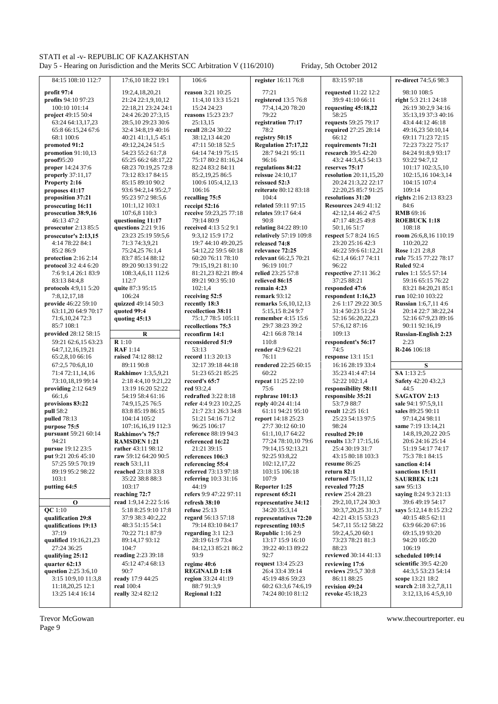| 84:15 108:10 112:7                    | 17:6,10 18:22 19:1                         | 106:6                                    | register 16:11 76:8                    | 83:15 97:18                             | re-direct 74:5,6 98:3                       |
|---------------------------------------|--------------------------------------------|------------------------------------------|----------------------------------------|-----------------------------------------|---------------------------------------------|
| profit 97:4                           | 19:2,4,18,20,21                            | reason 3:21 10:25                        | 77:21                                  | requested 11:22 12:2                    | 98:10 108:5                                 |
| profits 94:10 97:23                   | 21:24 22:1,9,10,12                         | 11:4,10 13:3 15:21                       | registered 13:5 76:8                   | 39:9 41:10 66:11                        | right 5:3 21:1 24:18                        |
| 100:10 101:14                         | 22:18,21 23:24 24:1                        | 15:24 24:23                              | 77:4,14,20 78:20                       | requesting 45:18,22                     | 26:19 30:2,9 34:16                          |
| project 49:15 50:4                    | 24:4 26:20 27:3,15                         | reasons 15:23 23:7                       | 79:22                                  | 58:25                                   | 35:13,19 37:3 40:16                         |
| 63:24 64:13,17,23                     | 28:5,10 29:23 30:6                         | 25:13,15                                 | registration 77:17                     | requests 59:25 79:17                    | 43:4 44:12 46:18                            |
| 65:8 66:15,24 67:6                    | 32:4 34:8,19 40:16                         | recall 28:24 30:22                       | 78:2                                   | required 27:25 28:14                    | 49:16,23 50:10,14                           |
| 68:1 100:6                            | 40:21 41:1,1,5 45:1                        | 38:12,13 44:20                           | registry 50:15                         | 66:12                                   | 69:11 71:23 72:15                           |
| promoted 91:2                         | 49:12,24,24 51:5                           | 47:11 50:18 52:5                         | Regulation 27:17,22                    | requirements 71:21                      | 72:23 73:22 75:17                           |
| promotion $91:10,13$                  | 54:23 55:2 61:7,8                          | 64:14 74:19 75:15                        | 28:7 94:21 95:11                       | research 39:5 42:20                     | 84:24 91:8,9 93:17                          |
| proof95:20<br>proper 14:24 37:6       | 65:25 66:2 68:17,22<br>68:23 70:19.25 72:8 | 75:17 80:2 81:16,24<br>82:24 83:2 84:11  | 96:16                                  | 43:2 44:3,4,5 54:13<br>reserves 75:17   | 93:22 94:7,12<br>101:17 102:3,5,10          |
| properly 37:11,17                     | 73:12 83:17 84:15                          | 85:2,19,25 86:5                          | regulations 84:22<br>reissue 24:10,17  | resolution 20:11,15,20                  | 102:15,16 104:3,14                          |
| Property 2:16                         | 85:15 89:10 90:2                           | 100:6 105:4,12,13                        | reissued 52:3                          | 20:24 21:3,22 22:17                     | 104:15 107:4                                |
| proposes 41:17                        | 93:6 94:2,14 95:2,7                        | 106:16                                   | reiterate 80:12 83:18                  | 22:20,25 85:7 91:25                     | 109:14                                      |
| proposition 37:21                     | 95:23 97:2 98:5,6                          | recalling 75:5                           | 104:4                                  | resolutions 31:20                       | rights 2:16 2:13 83:23                      |
| prosecuting 16:11                     | 101:1,12 103:1                             | receipt 52:16                            | related 59:11 97:15                    | <b>Resources</b> 24:9 41:12             | 84:6                                        |
| prosecution 38:9,16                   | 107:6,8 110:3                              | receive 59:23,25 77:18                   | relates 59:17 64:4                     | 42:12,14 46:2 47:5                      | <b>RMB</b> 69:16                            |
| 46:13 47:2                            | questioning 11:17                          | 79:14 80:9                               | 90:8                                   | 47:17 48:25 49:8                        | <b>ROEBUCK 1:18</b>                         |
| prosecutor $2:1385:5$                 | questions 2:21 9:16                        | received 4:13 5:2 9:1                    | relating 84:22 89:10                   | 50:1,16 51:7                            | 108:18                                      |
| prosecutor's 2:13,15                  | 23:23 25:19 59:5,6                         | 9:3,12 15:9 17:2                         | relatively 57:19 109:8                 | respect 5:7 8:24 16:5                   | room 26:6,8,16 110:19                       |
| 4:14 78:22 84:1<br>85:2 86:9          | 71:3 74:3,9,21                             | 19:7 44:10 49:20,25                      | released 74:8<br>relevance 72:25       | 23:20 25:16 42:3<br>46:22 59:6 61:12,21 | 110:20,22<br>Rose 1:21 2:8,8                |
| protection $2:16$ 2:14                | 75:24,25 76:1,4<br>83:7 85:14 88:12        | 54:12,22 59:5 60:18<br>60:20 76:11 78:10 | relevant 66:2,5 70:21                  | 62:1,4 66:17 74:11                      | rule 75:15 77:22 78:17                      |
| protocol 3:2 4:4 6:20                 | 89:20 90:13 91:22                          | 79:15,19,21 81:10                        | 96:19 101:7                            | 96:22                                   | <b>Ruled 92:4</b>                           |
| 7:6 9:1.4 26:1 83:9                   | 108:3,4,6,11 112:6                         | 81:21,23 82:21 89:4                      | relied 23:25 57:8                      | respective 27:11 36:2                   | rules 1:1 55:5 57:14                        |
| 83:13 84:4,8                          | 112:7                                      | 89:21 90:3 95:10                         | relieved 86:15                         | 37:25 88:21                             | 59:16 65:15 76:22                           |
| protocols 4:9,11 5:20                 | quite 87:3 95:15                           | 102:1,4                                  | remain 4:23                            | responded 47:6                          | 83:21 84:20.21 85:1                         |
| 7:8,12,17,18                          | 106:24                                     | receiving 52:5                           | remark 93:12                           | respondent 1:16,23                      | run 102:10 103:22                           |
| provide 46:22 59:10                   | quizzed 49:14 50:3                         | recently 18:3                            | remarks 5:6,10,12,13                   | 2:6 1:17 29:22 30:5                     | <b>Russian</b> 1:6,7,11 4:6                 |
| 63:11,20 64:9 70:17                   | quoted 99:4                                | recollection 38:11                       | 5:15,15 8:24 9:7<br>remember 4:15 15:6 | 31:4 50:23 51:24                        | 20:14 22:7 38:22,24                         |
| 71:6, 10, 24 72: 3<br>85:7 108:1      | quoting 45:13                              | 75:1,7 78:5 105:11<br>recollections 75:3 | 29:7 38:23 39:2                        | 52:16 56:20,22,23<br>57:6,12 87:16      | 52:16 67:9,23 89:16<br>90:11 92:16,19       |
| provided 28:12 58:15                  | $\bf R$                                    | reconfirm 14:1                           | 42:1 66:8 78:14                        | 109:13                                  | <b>Russian-English 2:23</b>                 |
| 59:21 62:6,15 63:23                   | R1:10                                      |                                          |                                        |                                         |                                             |
|                                       |                                            |                                          |                                        |                                         |                                             |
|                                       | <b>RAF</b> 1:14                            | reconsidered 51:9<br>53:13               | 110:8<br>render 42:9 62:21             | respondent's 56:17<br>74:5              | 2:23<br>R-246 106:18                        |
| 64:7,12,16,19,21<br>65:2,8,10 66:16   | raised 74:12 88:12                         | record 11:3 20:13                        | 76:11                                  | response 13:1 15:1                      |                                             |
| 67:2,5 70:6,8,10                      | 89:11 90:8                                 | 32:17 39:18 44:18                        | rendered 22:25 60:15                   | 16:16 28:19 33:4                        | ${\bf S}$                                   |
| 71:4 72:11,14,16                      | <b>Rakhimov</b> 1:3,5,9,21                 | 51:23 65:21 85:25                        | 60:22                                  | 35:23 41:4 47:14                        | SA 1:13 2:5                                 |
| 73:10,18,19 99:14                     | 2:18 4:4,10 9:21,22                        | record's 65:7                            | repeat 11:25 22:10                     | 52:22 102:1,4                           | Safety 42:20 43:2,3                         |
| providing $2:1264:9$                  | 13:19 16:20 52:22                          | red 93:2,4                               | 75:6                                   | responsibility 58:11                    | 44:5                                        |
| 66:1,6                                | 54:19 58:4 61:16                           | redrafted 3:22 8:18                      | rephrase 101:13                        | responsible 35:21                       | <b>SAGATOV 2:13</b>                         |
| provisions 83:22                      | 74:9,15,25 76:5                            | refer 4:4 9:23 10:2,25                   | reply 40:24 41:14                      | 53:7,9 88:7                             | sale 94:1 97:5,9,11                         |
| pull 58:2                             | 83:8 85:19 86:15                           | 21:7 23:1 26:3 34:8                      | 61:11 94:21 95:10                      | result 12:25 16:1                       | sales 89:25 90:11                           |
| pulled 78:13<br>purpose 75:5          | 104:14 105:2<br>107:16,16,19 112:3         | 51:21 54:16 71:2<br>96:25 106:17         | report 14:18 25:23<br>27:7 30:12 60:10 | 25:23 54:13 97:5<br>98:24               | 97:14,24 98:11<br>same 7:19 13:14,21        |
| pursuant 59:21 60:14                  | Rakhimov's 75:7                            | reference 88:19 94:3                     | 61:1,10,17 64:22                       | resulted 29:10                          | 14:8, 19, 20, 22 20:5                       |
| 94:21                                 | <b>RAMSDEN 1:21</b>                        | referenced 16:22                         | 77:24 78:10,10 79:6                    | results 13:7 17:15,16                   | 20:6 24:16 25:14                            |
| pursue 19:12 23:5                     | rather 43:11 98:12                         | 21:21 39:15                              | 79:14,15 92:13,21                      | 25:4 30:19 31:7                         | 51:19 54:17 74:17                           |
| put 9:21 20:6 45:10                   | raw 59:12 64:20 90:5                       | references 106:3                         | 92:25 93:8,22                          | 43:15 80:18 103:3                       | 75:3 78:1 84:15                             |
| 57:25 59:5 70:19                      | reach 53:1,11                              | referencing 55:4                         | 102:12,17,22                           | resume 86:25                            | sanction 4:14                               |
| 89:19 95:2 98:22                      | reached 23:18 33:8                         | referred 73:13 97:18                     | 103:15 106:18                          | return 82:1                             | sanctions 15:11                             |
| 103:1                                 | 35:22 38:8 88:3                            | referring $10:331:16$                    | 107:9                                  | returned 75:11,12                       | <b>SAURBEK 1:21</b>                         |
| putting 64:5                          | 103:17<br>reaching 72:7                    | 44:19<br>refers 9:9 47:22 97:11          | Reporter 1:25<br>represent 65:21       | revealed 77:25<br>review 25:4 28:23     | saw 95:13<br>saying 8:24 9:3 21:13          |
| $\mathbf 0$                           | read 1:9,14 2:22 5:16                      | refresh 38:10                            | representative 34:12                   | 29:2,10,17,24 30:3                      | 39:6 49:19 54:17                            |
| QC 1:10                               | 5:18 8:25 9:10 17:8                        | refuse $25:13$                           | 34:20 35:3,14                          | 30:3,7,20,25 31:1,7                     | says 5:12,14 8:15 23:2                      |
| qualification 29:8                    | 37:9 38:3 40:2,22                          | regard 56:13 57:18                       | representatives 72:20                  | 42:21 43:15 53:23                       | 40:15 48:5 62:11                            |
| qualifications 19:13                  | 48:3 51:15 54:1                            | 79:14 83:10 84:17                        | representing 103:5                     | 54:7,11 55:12 58:22                     | 63:9 66:20 67:16                            |
| 37:19                                 | 70:22 71:1 87:9                            | regarding $3:1$ 12:3                     | Republic $1:162:9$                     | 59:2,4,5,20 60:1                        | 69:15,19 93:20                              |
| qualified 19:16,21,23                 | 89:14,17 93:12                             | 28:19 61:9 73:4                          | 13:17 15:9 16:10                       | 73:23 78:21 81:3                        | 94:20 105:20                                |
| 27:24 36:25                           | 104:7                                      | 84:12,13 85:21 86:2                      | 39:22 40:13 89:22                      | 88:23                                   | 106:19                                      |
| qualifying 25:12                      | reading 2:23 39:18<br>45:12 47:4 68:13     | 93:9                                     | 92:7                                   | reviewed 30:14 41:13                    | scheduled 109:14                            |
| quarter 62:13<br>question 2:25 3:6,10 | 90:7                                       | regime 40:6<br><b>REGINALD 1:18</b>      | request 13:4 25:23<br>26:4 33:4 39:14  | reviewing 17:6<br>reviews 29:5,7 30:8   | scientific 39:5 42:20<br>44:3,5 53:23 54:14 |
| 3:15 10:9,10 11:3,8                   | ready 17:9 44:25                           | region 33:24 41:19                       | 45:19 48:6 59:23                       | 86:11 88:25                             | scope 13:21 18:2                            |
| 11:18,20,25 12:1                      | real 100:4                                 | 88:791:3,9                               | 60:2 63:3,6 74:6,19                    | revision 49:24                          | search 2:18 3:2,7,8,11                      |
| 13:25 14:4 16:14                      | really 32:4 82:12                          | <b>Regional 1:22</b>                     | 74:24 80:10 81:12                      | revoke 45:18,23                         | 3:12, 13, 16 4: 5, 9, 10                    |

Page 9

Trevor McGowan www.thecourtreporter. eu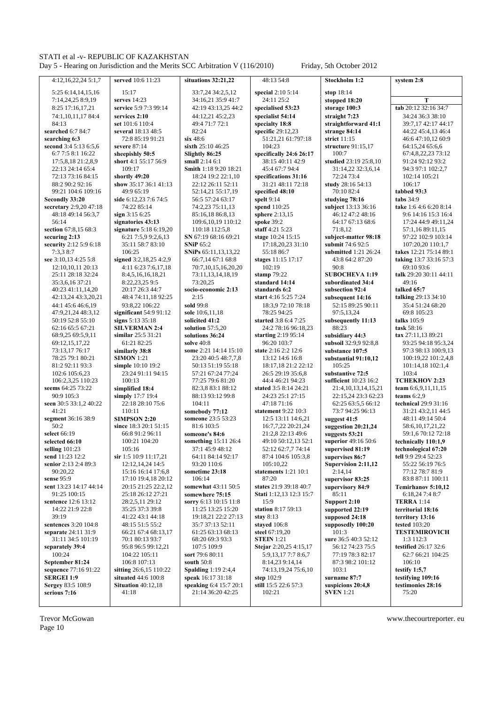84:13 **set** 101:6 110:4 **set** 101:6 110:4 **19:4 71:7 72:1 <b>specialty 18:8 specialty 18:8 specific 29:12,23 searched 6:7 84:7 sexeral 18:13 48:5 18:22 45:4,13 46:4 searched** 6:7 84:7 **several** 18:13 48:5 82:24 **specific** 29:12,23 **strange 84:14** 44:22 45:4,13 46:4<br>**specific** 29:12,23 **strange 84:14** 44:22 45:4,13 46:4<br>46:6 47:10,12 60:9 **second** 3:4 5:13 6:5,6 **severe** 87:14 **sixth** 25:10 46:25 **structure** 91:15,17 **s** and 3:4 5:13 6:5,6 **seecond** 3:4 5:13 6:5,6 **seecond** 3:4 5:13 6:5,6 **seecond** 3:4 5:13 **structure** 91:15,17 **s seecond** 5:13 **structure Secondly 33:20** side 6:12,23 7:6 74:5 56:5 57:24 63:17 **spelt** 9:14 **studying 78:16** tabs 34:9<br>**secretary** 2:9,20 47:18 74:22 85:14 74:22 85:14 74:2,23 75:11,13 **spend** 110:25 **subject** 13:13 36:16 **take** 1:6 4:6 6:20 8:1 **secretary** 2:9,20 47:18 74:22 85:14<br>48:18 49:14 56:3,7 **sign** 3:15 6:25 **section** 67:8,15 68:3 **signature** 5:18 6:19,20 110:18 112:5,8 **staff** 4:21 5:23 11,15 **securing** 2:13 57:1,16 89:11,15 **securing 2:13 6:21** 7:5,9 9:2,6,13 **SN** 67:19 68:16 69:21 **stage** 10:24 15:15 **subject-matter 98:18** 97:22 102:9 103:14<br>**SNiP** 65:2 **5:21 SNiP** 65:2 **10:24 SNiP** 65:2 **11:18:20.23** 31:10 **SNiP** 65:2 **security** 2:12 5:9 6:18 35:11 58:7 83:10 **SNiP** 65:2 17:18,20,23 31:10 **submit** 74:6 92:5 107:20,20 110:1,7<br>106:25 107:20,20 110:1,7 7:3,3 8:7 **SNiPs** 65:11,13,13,22 **SNIPs** 65:11,13,13,22 **takes** 11:15 17:17 **s stabes** 11:15 17:17 **b submitted** 1:21 26: **seems** 64:25 73:22 **simplified 18:4** 82:3,8 83:1 88:12 **stated** 3:5 8:14 24:21 21:4,10,13,14,15,21 **team** 6:6,9,11,11,15 **seen** 30:5 33:1,2 40:22 2:28 22:18 28:10 75:6 104:11 104:11 10:11 10:11 10:11 10:11 10:11 **somebody 77:12** 10:3 **tatement** 9:22 10:3 1:21 43:2.11 44:5 110:11 10:11 41:21 110:11 110:11 **somebody 77:12 statement** 9:22 10:3 73:7 94:25 96:13 **SIMPSON 2:20 someone** 23:5 53:23 12:2 12:5 13:11 14:6 21 **species 41:5** 48:11 49:14 50:4 **segment** 36:16 38:9 **SIMPSON 2:20 someone** 23:5 53:23 12:5 13:11 14:6,21 **suggest 41:5** 48:11 49:14 50:4 50:2 **since** 18:3 20:1 51:15 81:6 103:5 **since** 18:3 20:1 51:15 81:6 103:5 **select** 66:19 **since** 18:3 20:1 51:15 **suggestion 20:21,24 suggestion 20:21,24** 58:6,10,17,21,22<br>**select** 66:19 59:1,6 70:12 72:1 **selected 66:10 100:21 104:20 something** 15:11 26:4 49:10 50:12,13 52:1 **superior** 49:16 50:6 **technically 110:1,9**<br>**selling** 101:23 **105:16 105:16 105:16 105:16 105:16 105:16 105:16 105:16 105:16 105 selling** 101:23 105:16 105:16 37:1 45:9 48:12 52:12 62:7,7 74:14 **supervised 81:19** technological 67:20 **send** 11:23 12:2 **send** 11:23 12:2 **sir** 1:5 10:9 11:17,21 64:11 84:14 92:17 87:4 104:6 105:3,8 **supervises 86:7 tell** 9:9 29:4 52:23 **senior** 2:13 2:4 89:3 12:12,14,24 14:5 93:20 110:6 90:20,22 15:16 16:14 17:6,8 **Supervision 2:11,12** 55:22 56:19 76:5 90:20,22 15:16 16:14 17:6,8 **sometime 23:18 statements** 1:21 10:1 **2:14,14** 77:12 78:7 81:9<br>**sense** 95:9 17:10 19:4,18 20:12 106:14 87:20 83:8 87:11 100:11 **sent** 13:23 14:17 44:14 20:15 21:25 22:2,12 **somewhat** 43:11 50:5 **states** 21:9 39:18 40:7 **supervisory 84:9 Temirhanov 5:10,12**  91:25 100:15 25:18 26:12 27:21 **somewhere 75:15 Stati** 1:12,13 12:3 15:7 85:11 6:18,24 7:4 8:7<br>**91:25 10:15 12:3 15:7** 85:11 8 15:9 **Stati** 1:12,13 12:3 15:7 **Support 2:10 ERRA** 1:14 **sentence** 12:6 13:12 28:2,5,11 29:12 **sorry** 6:13 10:15 11:8 14:22 21:9 22:8 35:25 37:3 39:8 11:25 13:25 15:20 39:19 41:22 43:1 44:18 19:18,21 22:2 27:13 **stay** 8:13 **supposed 24:18 territory 13:1**<br>**stay 8:13 stay** 8:13 **stay** 8:13 **stay** 8:13 **stay** 8:13 **stay** 8:18 **supposed 24:18 texted** 103:20 **separate** 24:11 31:9 66:21 67:4 68:13,17 61:25 63:13 68:13 **steel** 67:19,20 101:3 **TESTEMIROVICH**<br>31:11 34:5 101:19 70:1 80:13 93:7 68:20 69:3 93:3 **STEIN** 1:21 **STEIN** 1:21 1:3 112:3 **separately 39:4 95:8 96:5 99:12,21 107:5 109:9 Stejar** 2:20,25 4:15,17 56:12 74:23 75:5 **testified** 26:17 32:6 **100:24 104:22 105:11 sort** 79:6 80:11 **Stejar** 2:20,25 4:15,17 7:7 8:6.7 **104:25** 77:19 78:3 82:17 **6 September 81:24 sequence** 77:16 91:22 **sitting** 26:6,15 110:22 **Spalding** 1:19 2:4,4 74:13,19,24 75:6,10 103:1 **testify 1:5,7 SERGEI 1:9** situated 44:6 100:8 **speak** 16:17 31:18 **step** 102:9 **step** 102:9 **steps** 33:5 108:9 **step s speaking** 109:16 **step s speaking** 109:16 **step s speaking** 109:16 **speaking** 6:4 15:7 20:1 **still** 15:5 **Sergey** 83:5 108:9 **Situation** 40:12,18 **speaking** 6:4 15:7 20:1 **still** 15:5 22:6 57:3 **suspicions 20:4,8 testimonies 28:16 serious** 7:16 **102:21 csimonics 28:16 html** 

**sense** 95:9 17:10 19:4,18 20:12 106:14 87:20 **supervisor 83:25** 83:8 87:11 100:11

**Smith** 1:18 9:20 18:21

5:25 6:14,14,15,16 15:17 33:7,24 34:2,5,12 **special** 2:10 5:14 **stop** 18:14 7:14,24,25 8:9,19 **serves** 14:23 34:16,21 35:9 41:7 24:11 25:2 **stopped 18:20 T**  8:25 17:16,17,21 **service** 5:9 7:3 99:14 42:19 43:13,25 44:2 **specialised 53:23 storage 100:3 tab** 20:12 32:16 34:7 74:1,10,11,17 84:4 **services 2:10** 44:12,21 45:2,23 **specialist 54:14 straight 7:23** 34:24 36:3 38:10 **six** 48:6 **sexerching 6:4**  $\frac{1}{25}$  **<b>six** 48:6 **sexerching 51:21,21 61:797:18 <b>strict** 11:15 46:6 47:10,12 60:06 **sexerching** 87:14 **sixth** 25:10 46:25 **104:23 structure** 91:15.17 64:15.24 65:6.6 **6:5 sheepishly 50:5 Slightly 86:25 specifically 24:6 26:17** 100:7 17:5,8,18 21:2,8,9 **short** 4:1 55:17 56:9 **small** 2:14 6:1 38:15 40:11 42:9 **studied** 23:19 25:8,10 91:24 92:12 93:2 72:13 73:16 84:15 **shortly 49:20** 18:24 19:2 22:1,10 **specifications 31:16** 72:24 73:4 102:14 105:21 88:2 90:2 92:16 **show** 35:17 36:1 41:13 22:12 26:11 52:11 31:21 48:11 72:18 **study** 28:16 54:13 106:17<br>99:21 104:6 109:16 49:9 65:19 52:14,21 55:17,19 **specified 48:10** 70:10 82:4 **tabbed** 93 99:21 104:6 109:16 49:9 65:19 52:14,21 55:17,19 **specified 48:10** 70:10 82:4 **tabbed 93:3**  48:18 49:14 56:3,7 **sign** 3:15 6:25 85:16,18 86:8,13 **sphere** 2:13,15 **sphere** 2:13,15 **sphere** 2:13,15 9:6 14:16 15:3 16:4 **signatories 43:13** 109:6.10.19 110:12 **sphere** 2:13,15 46:12 47:2 48:16 **signatories 43:13** 109:6 56:14 **signatories 43:13** 109:6,10,19 110:12 **spoke** 39:2 64:17 67:13 68:6 17:24 44:9 49:11,24 12:10,10,11 20:13 4:11 6:23 7:6,17,18 70:7,10,15,16,20,20 102:19 90:8 69:10 93:6 25:25:15,16,16,18,21 73:11,13,14,18,19 **stamp** 79:22 **SUBOCHEVA 1:19 raik** 29:20 30:11 44:11<br>8:22.23.25 9:5 73:20.25 **standard 14:14 subordinated 34:4** 49:16 35:3,6,16 37:21 8:22,23,25 9:5 73:20,25 **standard 14:14** subordinated 34:4 49:16<br>40:23 41:11,14,20 20:17 26:3 44:7 **socio-economic 2:13** standards 6:2 subsection 92:4 talked 65:7 **40.23 5 40.00 5 5 60:2 5 5 60:2 13 standards 6:2 start** 4:16 5:25 7:24 **subsection 92:4** 42:13,24 43:3,20,21 48:4 74:11,18 92:25 2:15 **start** 4:16 5:25 7:24 **subsequent 14:16 talking** 29:13 34:10 44:1 45:6 46:6,19 <br>47:9,21.24 48:3,12 **significant** 54:9 91:12 <br>**sole** 10:6,11,18 <br>**78:25 94:25** <br>**78:25 97:5,13.24** <br>**97:5,13.24** <br>**99:8 105:23 1** significant 54:9 91:12 **sole** 10:6,11,18 **p** 78:25 94:25 **p** 97:5,13,24 **p** 97:5,13,24 **p** 97:5,13,24 **p** 97:5,13,24 **p** 97:5,13,24 **p** 97:5,13,24 **p** 97:5,13,24 **p** 97:5,13,24 **p** 97:5,13,24 **p** 97:5,13,24 **p** 97:5,13 50:19 52:8 55:10 **signs** 5:13 35:18 **solicited 41:2 started** 3:8 6:4 7:25 **subsequently 11:13** 62:16 65:5 67:21 **SILVERMAN 2:4 solution** 57:5,20 24:2 78:16 96:18,23 88:23 **task** 58:16 68:9,25 69:5,9,11 **similar** 25:5 31:21 **solutions 36:24 starting** 2:19 95:14 **subsidiary 44:3 tax** 27:11,13 89:21 73:13,17 76:17 **similarly 38:8 some** 2:21 14:14 15:10 **state** 2:16 2:2 12:6 **substance 107:5** 97:3 98:13 100:9,13 78:25 79:1 80:21 **SIMON** 1:21 23:20 40:5 48:7,7,8 13:12 14:6 16:8 **substantial 91:10,12** 100:19,22 101:2,4,8<br>81:2 92:11 93:3 **simple** 10:10 19:2 101:14,18 102:1,4 81:13 51:19 55:18<br>**18:17,18 21:2 22:12**<br>**26:5 29:19 35:6.8** 102:6 105:6,23 23:24 91:11 94:15 57:21 67:24 77:24 26:5 29:19 35:6,8 **substantive 72:5** 103:4<br>106:2,3,25 110:23 10:23 100:13 77:25 79:6 81:20 44:4 46:21 94:23 **sufficient** 10:23 16:2 **TCHEKHOV 2:23** 100:13<br> **simplified 18:4** 77:25 79:6 81:20<br>
82:3,8 83:1 88:12<br> **stated** 3:5 8:14 24:21<br>
21:4,10,13,14,15.2 90:9 105:3 **simply** 17:7 19:4 88:13 93:12 99:8 24:23 25:1 27:15 22:15,24 23:3 62:23 **teams** 6:2,9<br>**en** 30:5 33:1.2 40:22 22:18 28:10 75:6 104:11 47:18 71:16 62:25 63:5.5 66:12 **technical** 29:9 31:16 **selection** 66:8 91:2 96:11 **someone's 84:6 c** 21:2,8 22:13 49:6 **suggests 53:21** 59:1,6 70:12 72:18 **something** 15:11 26:4 49:10 50:12,13 52:1 **superior** 49:16 50:6 **technically 110:1.9** 14:22 21:9 22:8 35:25 37:3 39:8 11:25 13:25 15:20 **station** 8:17 59:13 **supported 22:19 territorial 18:16**  31:11 34:5 101:19 70:1 80:13 93:7 68:20 69:3 93:3 **STEIN** 1:21 **sure** 36:5 40:3 52:12 1:3 112:3 104:22 105:11 **sort** 79:6 80:11 5:9,13,17 7:7 8:6,7 77:19 78:3 82:17 62:7 6<br>106:8 107:13 **south 50:8 x** 14.23 9:14 14 87:3 98:2 101:12 106:10

subsoil 32:9,9 92:8,8  $s$ upposedly 100:20 **serious 7:16** 41:18 21:14 36:20 42:25 102:21 **SVEN** 1:21 75:20

4:12,16,22,24 5:1,7 **served** 10:6 11:23 **situations 32:21,22** 48:13 54:8 **Stockholm 1:2 system 2:8 see** 3:10,13 4:25 5:8 **signed** 3:2,18,25 4:2,9 66:7,14 67:1 68:8 **stages** 11:15 17:17 43:8 64:2 87:20 **taking** 13:7 33:16 57:3

Page 10

Trevor McGowan www.thecourtreporter. eu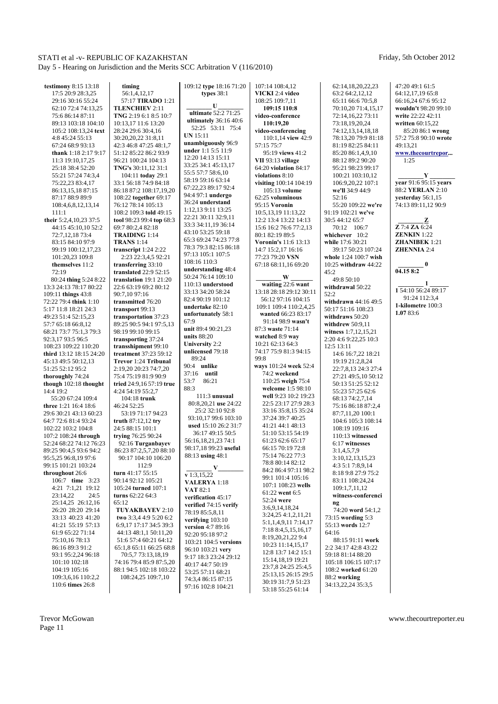| testimony 8:15 13:18                            | timing                                             | 109:12 type 18:16 71:20                        | 107:14 108:4,12                            | 62:14,18,20,22,23                          | 47:20 49:1 61:5               |
|-------------------------------------------------|----------------------------------------------------|------------------------------------------------|--------------------------------------------|--------------------------------------------|-------------------------------|
| 17:5 20:9 28:3,25                               | 56:1,4,12,17                                       | types $38:1$                                   | VICKI 2:4 video                            | 63:2 64:2,12,12                            | 64:12,17,19 65:8              |
| 29:16 30:16 55:24                               | 57:17 TIRADO 1:21                                  |                                                | 108:25 109:7,11                            | 65:11 66:6 70:5,8                          | 66:16,24 67:6 95:12           |
| 62:10 72:4 74:13,25                             | <b>TLENCHIEV 2:11</b>                              | U                                              | 109:15 110:8                               | 70:10,20 71:4,15,17                        | wouldn't 98:20 99:10          |
| 75:6 86:14 87:11                                | TNG 2:19 6:1 8:5 10:7                              | ultimate 52:2 71:25                            | video-conference                           | 72:14,16,22 73:11                          | write 22:22 42:11             |
| 89:13 103:18 104:10                             | 10:13,17 11:6 13:20                                | ultimately 36:16 40:6<br>52:25 53:11 75:4      | 110:19,20                                  | 73:18,19,20,24                             | written $60:15,22$            |
| 105:2 108:13,24 text                            | 28:24 29:6 30:4,16                                 | <b>UN</b> 15:11                                | video-conferencing                         | 74:12,13,14,18,18                          | 85:20 86:1 wrong              |
| 4:8 45:24 55:13                                 | 30:20,20,22 31:8,11                                | unambiguously 96:9                             | 110:1,14 view 42:9                         | 78:13,20 79:9 81:18                        | 57:2 75:8 90:10 wrote         |
| 67:24 68:9 93:13                                | 42:3 46:8 47:25 48:1,7                             | under 1:1 5:5 11:9                             | 57:15 75:7                                 | 81:19 82:25 84:11                          | 49:13,21                      |
| thank 1:18 2:17 9:17                            | 51:12 85:22 86:2 93:9                              | 12:20 14:13 15:11                              | 95:19 views 41:2                           | 85:20 86:1,4,9,10                          | www.thecourtrepor             |
| 11:3 19:10,17,25                                | 96:21 100:24 104:13                                | 33:25 34:1 45:13,17                            | VII 93:13 village<br>64:20 violation 84:17 | 88:12 89:2 90:20<br>95:21 98:23 99:17      | 1:25                          |
| 25:18 38:4 52:20<br>55:21 57:24 74:3,4          | <b>TNG's 30:11,12 31:1</b><br>104:11 today 29:1    | 55:5 57:7 58:6,10                              | violations 8:10                            | 100:21 103:10,12                           | Y                             |
| 75:22,23 83:4,17                                | 33:1 56:18 74:9 84:18                              | 58:19 59:16 63:14                              | visiting 100:14 104:19                     | 106:9,20,22 107:1                          | year 91:6 95:15 years         |
| 86:13,15,18 87:15                               | 86:18 87:2 108:17,19,20                            | 67:22,23 89:17 92:4                            | 105:13 volume                              | we'll 34:9 44:9                            | 88:2 YERLAN 2:10              |
| 87:17 88:9 89:9                                 | 108:22 together 69:17                              | 94:4 97:1 undergo                              | 62:25 voluminous                           | 52:16                                      | yesterday 56:1,15             |
| 108:4,6,8,12,13,14                              | 76:12 78:14 105:13                                 | 36:24 understand                               | 95:15 Voronin                              | 55:20 109:22 we're                         | 74:13 89:11,12 90:9           |
| 111:1                                           | 108:2 109:3 told 49:15                             | 1:12,13 9:11 13:25                             | 10:5, 13, 19 11:13, 22                     | 91:19 102:21 we've                         |                               |
| their 5:2,4,10,23 37:5                          | tool 98:23 99:4 top 68:3                           | 22:21 30:11 32:9,11                            | 12:2 13:4 13:22 14:13                      | 30:5 44:12 65:7                            | z                             |
| 44:15 45:10,10 52:2                             | 69:7 80:2,4 82:18                                  | 33:3 34:11,19 36:14                            | 15:6 16:2 76:6 77:2,13                     | 70:12 106:7                                | Z 7:4 ZA 6:24                 |
| 72:7,12,18 73:4                                 | <b>TRAIDING 1:14</b>                               | 43:10 53:25 59:18                              | 80:1 82:19 89:5                            | whichever 10:2                             | <b>ZENKIN</b> 1:22            |
| 83:15 84:10 97:9                                | <b>TRANS</b> 1:14                                  | 65:3 69:24 74:23 77:8<br>78:3 79:3 82:15 86:18 | <b>Voronin's</b> 11:6 13:13                | while 17:6 30:21                           | <b>ZHANIBEK 1:21</b>          |
| 99:19 100:12,17,23                              | transcript $1:24$ 2:22                             | 97:13 105:1 107:5                              | 14:7 15:2,17 16:16                         | 39:17 50:23 107:24                         | <b>ZHENNIA 2:4</b>            |
| 101:20,23 109:8                                 | 2:23 22:3,4,5 92:21                                | 108:16 110:3                                   | 77:23 79:20 VSN                            | whole 1:24 100:7 wish                      |                               |
| themselves 11:2                                 | transferring 33:10                                 | understanding 48:4                             | 67:18 68:11,16 69:20                       | 10:25 withdraw 44:22                       | $\boldsymbol{0}$<br>04.15 8:2 |
| 72:19                                           | translated $22:952:15$<br>translation $19:121:20$  | 50:24 76:14 109:10                             | W                                          | 45:2<br>49:8 50:10                         |                               |
| 80:24 thing 5:24 8:22<br>13:3 24:13 78:17 80:22 | 22:6 63:19 69:2 80:12                              | 110:13 understood                              | waiting 22:6 want                          | withdrawal 50:22                           |                               |
| 109:11 things 43:8                              | 90:7,10 97:16                                      | 33:13 34:20 58:24                              | 13:18 28:18 29:12 30:11                    | 52:2                                       | 1 54:10 56:24 89:17           |
| 72:22 79:4 think 1:10                           | transmitted 76:20                                  | 82:4 90:19 101:12                              | 56:12 97:16 104:15                         | withdrawn 44:16 49:5                       | 91:24 112:3,4                 |
| 5:17 11:8 18:21 24:3                            | transport 99:13                                    | undertake 82:10                                | 109:1 109:4 110:2,4,25                     | 50:17 51:16 108:23                         | 1-kilometre 100:3             |
| 49:23 51:4 52:15,23                             | transportation 37:23                               | unfortunately 58:1                             | wanted 66:23 83:17                         | withdraws 50:20                            | 1.0783:6                      |
| 57:7 65:18 66:8,12                              | 89:25 90:5 94:1 97:5,13                            | 67:9                                           | 91:14 98:9 wasn't                          | withdrew $50:9,11$                         |                               |
| 68:21 73:7 75:1,3 79:3                          | 98:19 99:10 99:15                                  | unit 89:4 90:21,23                             | 87:3 waste 71:14                           | witness 1:7,12,15,21                       |                               |
| 92:3,17 93:5 96:5                               | transporting 37:24                                 | units 88:20                                    | watched 8:9 way<br>10:21 62:13 64:3        | 2:20 4:6 9:22,25 10:3                      |                               |
| 108:23 109:22 110:20                            | transshipment 99:10                                | University 2:2<br>unlicensed 79:18             | 74:17 75:9 81:3 94:15                      | 12:5 13:11                                 |                               |
| third 13:12 18:15 24:20                         | treatment 37:23 59:12                              | 89:24                                          | 99:8                                       | 14:6 16:7,22 18:21                         |                               |
| 45:13 49:5 50:12,13                             | Trevor 1:24 Tribunal                               | 90:4 unlike                                    | ways 101:24 week 52:4                      | 19:19 21:2,8,24                            |                               |
| 51:25 52:12 95:2<br>thoroughly 74:24            | 2:19,20 20:23 74:7,20<br>75:4 75:19 81:9 90:9      | until<br>37:16                                 | 74:2 weekend                               | 22:7,8,13 24:3 27:4                        |                               |
| though 102:18 thought                           | tried 24:9,16 57:19 true                           | 53:7<br>86:21                                  | 110:25 weigh 75:4                          | 27:21 49:5,10 50:12<br>50:13 51:25 52:12   |                               |
| 14:4 19:2                                       | 4:24 54:19 55:2,7                                  | 88:3                                           | welcome 1:5 98:10                          | 55:23 57:25 62:6                           |                               |
| 55:20 67:24 109:4                               | $104:18$ trunk                                     | $111:3$ unusual                                | well 9:23 10:2 19:23                       | 68:13 74:2,7,14                            |                               |
| three 1:21 16:4 18:6                            | 46:24 52:25                                        | 80:8,20,21 use 24:22                           | 22:5 23:17 27:9 28:3                       | 75:16 86:18 87:2,4                         |                               |
| 29:6 30:21 43:13 60:23                          | 53:19 71:17 94:23                                  | 25:2 32:10 92:8                                | 33:16 35:8,15 35:24                        | 87:7,11,20 100:1                           |                               |
| 64:7 72:6 81:4 93:24                            | truth 87:12,12 try                                 | 93:10,17 99:6 103:10                           | 37:24 39:7 40:25                           | 104:6 105:3 108:14                         |                               |
| 102:22 103:2 104:8                              | 24:5 88:15 101:1                                   | used 15:10 26:2 31:7                           | 41:21 44:1 48:13                           | 108:19 109:16                              |                               |
| 107:2 108:24 through                            | trying 76:25 90:24                                 | 36:17 49:15 50:5<br>56:16,18,21,23 74:1        | 51:10 53:15 54:19<br>61:23 62:6 65:17      | 110:13 witnessed                           |                               |
| 52:24 68:22 74:12 76:23                         | 92:16 Turganbayev                                  | 98:17,18 99:23 useful                          | 66:15 70:19 72:8                           | 6:17 witnesses                             |                               |
| 89:25 90:4,5 93:6 94:2                          | 86:23 87:2,5,7,20 88:10                            | 88:13 using 48:1                               | 75:14 76:22 77:3                           | 3:1,4,5,7,9                                |                               |
| 95:5,25 96:8,19 97:6                            | 90:17 104:10 106:20                                |                                                | 78:8 80:14 82:12                           | 3:10,12,13,15,23                           |                               |
| 99:15 101:21 103:24<br>throughout 26:6          | 112:9<br>turn $41:1755:15$                         | V.                                             | 84:2 86:4 97:11 98:2                       | 4:3 5:1 7:8,9,14<br>8:18 9:8 27:9 75:2     |                               |
| 106:7 time 3:23                                 | 90:14 92:12 105:21                                 | $v$ 1:3,15,22                                  | 99:1 101:4 105:16                          | 83:11 108:24,24                            |                               |
| 4:21 7:1,21 19:12                               | 105:24 turned 107:1                                | <b>VALERYA 1:18</b>                            | 107:1 108:23 wells                         | 109:1,7,11,12                              |                               |
| 23:14,22<br>24:5                                | turns $62:2264:3$                                  | <b>VAT 82:1</b>                                | 61:22 went 6:5                             | witness-conferenci                         |                               |
| 25:14,25 26:12,16                               | 65:12                                              | verification 45:17<br>verified 74:15 verify    | 52:24 were                                 | ng                                         |                               |
| 26:20 28:20 29:14                               | TUYAKBAYEV 2:10                                    | 78:19 85:5,8,11                                | 3:6,9,14,18,24                             | 74:20 word 54:1,2                          |                               |
| 33:13 40:23 41:20                               | two 3:3,4 4:9 5:20 6:2                             | verifying $103:10$                             | 3:24,25 4:1,2,11,21                        | 73:15 wording 5:3                          |                               |
| 41:21 55:19 57:13                               | 6:9,17 17:17 34:5 39:3                             | version 4:7 89:16                              | 5:1,1,4,9,11 7:14,17                       | 55:13 words 12:7                           |                               |
| 61:9 65:22 71:14                                | 44:13 48:1,1 50:11,20                              | 92:20 95:18 97:2                               | 7:18 8:4,5,15,16,17<br>8:19,20,21,22 9:4   | 64:16                                      |                               |
| 75:10,16 78:13                                  | 51:6 57:4 60:21 64:12                              | 103:21 104:5 versions                          | 10:23 11:14,15,17                          | 88:15 91:11 work                           |                               |
| 86:16 89:3 91:2                                 | 65:1,8 65:11 66:25 68:8                            | 96:10 103:21 very                              | 12:8 13:7 14:2 15:1                        | 2:2 34:17 42:8 43:22                       |                               |
| 93:1 95:2,24 96:18                              | 70:5,7 73:13,18,19                                 | 9:17 18:3 23:24 29:12                          | 15:14,18,19 19:21                          | 59:18 81:14 88:20                          |                               |
| 101:10 102:18<br>104:19 105:16                  | 74:16 79:4 85:9 87:5,20<br>88:1 94:5 102:18 103:22 | 40:17 44:7 50:19                               | 23:7,8 24:25 25:4,5                        | 105:18 106:15 107:17<br>108:2 worked 61:20 |                               |
| 109:3,6,16 110:2,2                              | 108:24,25 109:7,10                                 | 53:25 57:11 68:21                              | 25:13,15 26:15 29:5                        | 88:2 working                               |                               |
| 110:6 times 26:8                                |                                                    | 74:3,4 86:15 87:15                             | 30:19 31:7,9 51:23                         | 34:13,22,24 35:3,5                         |                               |
|                                                 |                                                    | 97:16 102:8 104:21                             | 53:18 55:25 61:14                          |                                            |                               |

Trevor McGowan Page 11

www.thecourtreporter.eu

#### Friday, 5th October 2012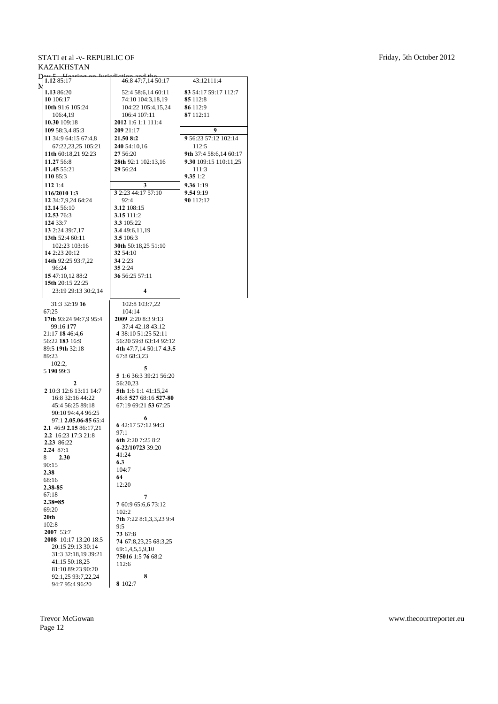| D |                                       |                         |                        |
|---|---------------------------------------|-------------------------|------------------------|
|   | 1.12 85:17                            | 46:8 47:7,14 50:17      | 43:12111:4             |
| N |                                       |                         |                        |
|   | 1.13 86:20                            | 52:4 58:6,14 60:11      | 83 54:17 59:17 112:7   |
|   | 10 106:17                             | 74:10 104:3,18,19       | 85 112:8               |
|   |                                       |                         |                        |
|   | 10th 91:6 105:24                      | 104:22 105:4,15,24      | 86 112:9               |
|   | 106:4,19                              | 106:4 107:11            | 87 112:11              |
|   | 10.30 109:18                          | 2012 1:6 1:1 111:4      |                        |
|   |                                       | 209 21:17               |                        |
|   | 109 58:3,4 85:3                       |                         | 9                      |
|   | 11 34:9 64:15 67:4,8                  | 21.50 8:2               | 9 56:23 57:12 102:14   |
|   | 67:22,23,25 105:21                    | 240 54:10.16            | 112:5                  |
|   |                                       |                         |                        |
|   | 11th 60:18,21 92:23                   | 27 56:20                | 9th 37:4 58:6,14 60:17 |
|   | 11.27 56:8                            | 28th 92:1 102:13,16     | 9.30 109:15 110:11,25  |
|   | 11.45 55:21                           | 29 56:24                | 111:3                  |
|   | 110 85:3                              |                         | 9.35 1:2               |
|   |                                       |                         |                        |
|   | 112 1:4                               | 3                       | 9.36 1:19              |
|   | 116/2010 1:3                          | 3 2:23 44:17 57:10      | 9.549:19               |
|   |                                       |                         |                        |
|   | 12 34:7,9,24 64:24                    | 92:4                    | 90 112:12              |
|   | 12.14 56:10                           | 3.12 108:15             |                        |
|   | 12.53 76:3                            | 3.15 111:2              |                        |
|   | 124 33:7                              | 3.3 105:22              |                        |
|   |                                       |                         |                        |
|   | 13 2:24 39:7,17                       | 3.4 49:6,11,19          |                        |
|   | 13th 52:4 60:11                       | 3.5 106:3               |                        |
|   | 102:23 103:16                         | 30th 50:18,25 51:10     |                        |
|   |                                       |                         |                        |
|   | 14 2:23 20:12                         | 32 54:10                |                        |
|   | 14th 92:25 93:7,22                    | 34 2:23                 |                        |
|   | 96:24                                 | 35 2:24                 |                        |
|   | 15 47:10,12 88:2                      | 36 56:25 57:11          |                        |
|   |                                       |                         |                        |
|   | 15th 20:15 22:25                      |                         |                        |
|   | 23:19 29:13 30:2,14                   | 4                       |                        |
|   |                                       |                         |                        |
|   | 31:3 32:19 16                         | 102:8 103:7,22          |                        |
|   |                                       |                         |                        |
|   | 67:25                                 | 104:14                  |                        |
|   | 17th 93:24 94:7,9 95:4                | 2009 2:20 8:3 9:13      |                        |
|   |                                       |                         |                        |
|   | 99:16 177                             | 37:4 42:18 43:12        |                        |
|   |                                       |                         |                        |
|   | 21:17 18 46:4,6                       | 4 38:10 51:25 52:11     |                        |
|   | 56:22 183 16:9                        | 56:20 59:8 63:14 92:12  |                        |
|   | 89:5 19th 32:18                       | 4th 47:7,14 50:17 4.3.5 |                        |
|   | 89:23                                 |                         |                        |
|   |                                       | 67:8 68:3,23            |                        |
|   | 102:2,                                |                         |                        |
|   | 5 190 99:3                            | 5                       |                        |
|   |                                       | 5 1:6 36:3 39:21 56:20  |                        |
|   | 2                                     | 56:20,23                |                        |
|   | 2 10:3 12:6 13:11 14:7                | 5th 1:6 1:1 41:15,24    |                        |
|   | 16:8 32:16 44:22                      | 46:8 527 68:16 527-80   |                        |
|   |                                       |                         |                        |
|   | 45:4 56:25 89:18                      | 67:19 69:21 53 67:25    |                        |
|   | 90:10 94:4,4 96:25                    |                         |                        |
|   | 97:1 2.05.06-85 65:4                  | 6                       |                        |
|   | 2.1 46:9 2.15 86:17,21                | 6 42:17 57:12 94:3      |                        |
|   | 2.2 16:23 17:3 21:8                   | 97:1                    |                        |
|   |                                       | 6th 2:20 7:25 8:2       |                        |
|   | 2.23 86:22                            | 6-22/10723 39:20        |                        |
|   | 2.24 87:1                             |                         |                        |
|   | 8<br>2.30                             | 41:24                   |                        |
|   | 90:15                                 | 6.3                     |                        |
|   |                                       | 104:7                   |                        |
|   | 2.38                                  | 64                      |                        |
|   | 68:16                                 |                         |                        |
|   | 2.38-85                               | 12:20                   |                        |
|   | 67:18                                 |                         |                        |
|   |                                       | 7                       |                        |
|   | $2.38 = 85$                           | 7 60:9 65:6,6 73:12     |                        |
|   | 69:20                                 | 102:2                   |                        |
|   | 20 <sub>th</sub>                      | 7th 7:22 8:1,3,3,23 9:4 |                        |
|   | 102:8                                 |                         |                        |
|   |                                       | 9:5                     |                        |
|   | 2007 53:7                             | 73 67:8                 |                        |
|   | 2008 10:17 13:20 18:5                 | 74 67:8,23,25 68:3,25   |                        |
|   | 20:15 29:13 30:14                     | 69:1,4,5,5,9,10         |                        |
|   | 31:3 32:18,19 39:21                   |                         |                        |
|   | 41:15 50:18,25                        | 75016 1:5 76 68:2       |                        |
|   |                                       | 112:6                   |                        |
|   | 81:10 89:23 90:20                     |                         |                        |
|   | 92:1,25 93:7,22,24<br>94:7 95:4 96:20 | 8<br>8 102:7            |                        |

Page 12

Trevor McGowan www.thecourtreporter.eu